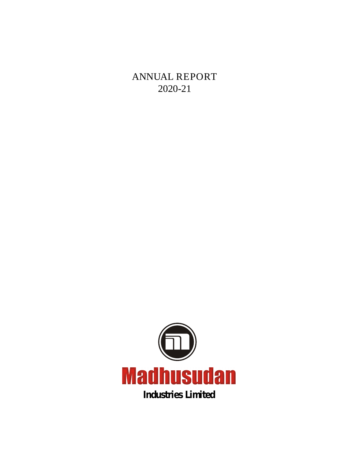**ANNUAL REPORT 2020-21**

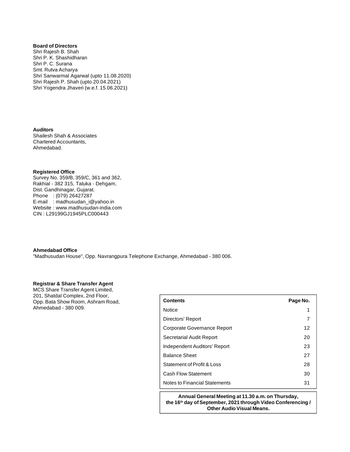**Board of Directors** Shri Rajesh B. Shah Shri P. K. Shashidharan Shri P. C. Surana Smt. Rutva Acharya Shri Sanwarmal Agarwal (upto 11.08.2020) Shri Rajesh P. Shah (upto 20.04.2021) Shri Yogendra Jhaveri (w.e.f. 15.06.2021)

**Auditors** Shailesh Shah & Associates Chartered Accountants, Ahmedabad.

#### **Registered Office**

Survey No. 359/B, 359/C, 361 and 362, Rakhial - 382 315, Taluka - Dehgam, Dist. Gandhinagar, Gujarat. Phone : (079) 26427287 E-mail : [madhusudan\\_i@yahoo.in](mailto:madhusudan_i@yahoo.in) Website : [www.madhusudan-india.com](http://www.madhusudan-india.com) CIN : L29199GJ1945PLC000443

#### **Ahmedabad Office**

"Madhusudan House", Opp. Navrangpura Telephone Exchange, Ahmedabad - 380 006.

#### **Registrar & Share Transfer Agent**

MCS Share Transfer Agent Limited, 201, Shatdal Complex, 2nd Floor, Opp. Bata Show Room, Ashram Road, Ahmedabad - 380 009.

| <b>Contents</b>               | Page No. |
|-------------------------------|----------|
| <b>Notice</b>                 | 1        |
| Directors' Report             | 7        |
| Corporate Governance Report   | 12       |
| Secretarial Audit Report      | 20       |
| Independent Auditors' Report  | 23       |
| <b>Balance Sheet</b>          | 27       |
| Statement of Profit & Loss    | 28       |
| <b>Cash Flow Statement</b>    | 30       |
| Notes to Financial Statements | 31       |

**Annual General Meeting at 11.30 a.m. on Thursday, the 16th day of September, 2021 through Video Conferencing / Other Audio Visual Means.**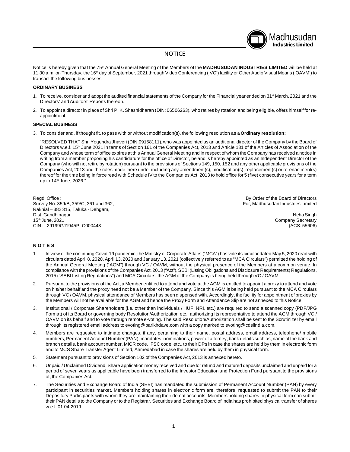

#### **NOTICE**

Notice is hereby given that the 75<sup>th</sup> Annual General Meeting of the Members of the **MADHUSUDAN INDUSTRIES LIMITED** will be held at 11.30 a.m. on Thursday, the 16<sup>th</sup> day of September, 2021 through Video Conferencing ('VC') facility or Other Audio Visual Means ('OAVM') to transact the following businesses:

#### **ORDINARY BUSINESS**

- 1. To receive, consider and adopt the audited financial statements of the Company for the Financial year ended on 31<sup>st</sup> March, 2021 and the Directors' and Auditors' Reports thereon.
- 2. To appoint a director in place of Shri P. K. Shashidharan (DIN: 06506263), who retires by rotation and being eligible, offers himself for reappointment.

#### **SPECIAL BUSINESS**

3. To consider and, if thought fit, to pass with or without modification(s), the following resolution as a **Ordinary resolution:**

"RESOLVED THAT Shri Yogendra Jhaveri (DIN:09158111), who was appointed as an additional director of the Company by the Board of Directors w.e.f. 15<sup>th</sup> June 2021 in terms of Section 161 of the Companies Act, 2013 and Article 131 of the Articles of Association of the Company and whose term of office expires at this Annual General Meeting and in respect of whom the Company has received a notice in writing from a member proposing his candidature for the office of Director, be and is hereby appointed as an Independent Director of the Company (who will not retire by rotation) pursuant to the provisions of Sections 149, 150, 152 and any other applicable provisions of the Companies Act, 2013 and the rules made there under including any amendment(s), modification(s), replacement(s) or re-enactment(s) thereof for the time being in force read with Schedule IV to the Companies Act, 2013 to hold office for 5 (five) consecutive years for a term up to 14<sup>th</sup> June, 2026."

Regd. Office :<br>
Survey No. 359/B, 359/C, 361 and 362, Survey No. 359/B, 359/C, 361 and 362, Survey No. 359/B, 359/C, 361 and 362, Survey No. 359/B, 359/C, 361 and 362, Rakhial – 382 315, Taluka - Dehgam, Dist. Gandhinagar. Neha Singh CIN : L29199GJ1945PLC000443

Company Secretary<br>(ACS: 55606)

#### **N O T E S**

- 1. In view of the continuing Covid-19 pandemic, the Ministry of Corporate Affairs ("MCA") has vide its circular dated May 5, 2020 read with circulars dated April 8, 2020, April 13, 2020 and January 13, 2021 (collectively referred to as "MCA Circulars") permitted the holding of the Annual General Meeting ("AGM") through VC / OAVM, without the physical presence of the Members at a common venue. In compliance with the provisions of the Companies Act, 2013 ("Act"), SEBI (Listing Obligations and Disclosure Requirements) Regulations, 2015 ("SEBI Listing Regulations") and MCA Circulars, the AGM of the Company is being held through VC / OAVM.
- 2. Pursuant to the provisions of the Act, a Member entitled to attend and vote at the AGM is entitled to appoint a proxy to attend and vote on his/her behalf and the proxy need not be a Member of the Company. Since this AGM is being held pursuant to the MCA Circulars through VC / OAVM, physical attendance of Members has been dispensed with. Accordingly, the facility for appointment of proxies by the Members will not be available for the AGM and hence the Proxy Form and Attendance Slip are not annexed to this Notice.
- 3. Institutional / Corporate Shareholders (i.e. other than individuals / HUF, NRI, etc.) are required to send a scanned copy (PDF/JPG Format) of its Board or governing body Resolution/Authorization etc., authorizing its representative to attend the AGM through VC / OAVM on its behalf and to vote through remote e-voting. The said Resolution/Authorization shall be sent to the Scrutinizer by email through its registered email address to [evoting@parikhdave.com](mailto:evoting@parikhdave.com) with a copy marked to [evoting@cdslindia.com.](mailto:evoting@cdslindia.com.)
- 4. Members are requested to intimate changes, if any, pertaining to their name, postal address, email address, telephone/ mobile numbers, Permanent Account Number (PAN), mandates, nominations, power of attorney, bank details such as, name of the bank and branch details, bank account number, MICR code, IFSC code, etc., to their DPs in case the shares are held by them in electronic form and to MCS Share Transfer Agent Limited, Ahmedabad in case the shares are held by them in physical form.
- 5. Statement pursuant to provisions of Section 102 of the Companies Act, 2013 is annexed hereto.
- 6. Unpaid / Unclaimed Dividend, Share application money received and due for refund and matured deposits unclaimed and unpaid for a period of seven years as applicable have been transferred to the Investor Education and Protection Fund pursuant to the provisions of, the Companies Act.
- 7. The Securities and Exchange Board of India (SEBI) has mandated the submission of Permanent Account Number (PAN) by every participant in securities market. Members holding shares in electronic form are, therefore, requested to submit the PAN to their Depository Participants with whom they are maintaining their demat accounts. Members holding shares in physical form can submit their PAN details to the Company or to the Registrar. Securities and Exchange Board of India has prohibited physical transfer of shares w.e.f. 01.04.2019.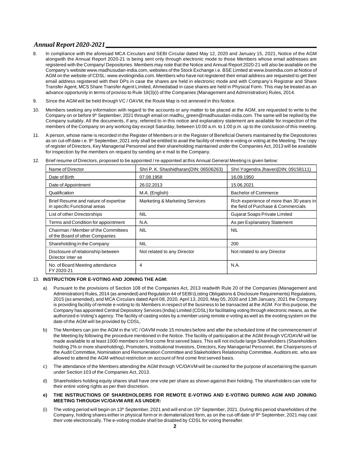- 8. In compliance with the aforesaid MCA Circulars and SEBI Circular dated May 12, 2020 and January 15, 2021, Notice of the AGM alongwith the Annual Report 2020-21 is being sent only through electronic mode to those Members whose email addresses are registered with the Company/ Depositories. Members may note that the Notice and Annual Report 2020-21 will also be available on the Company's website www.madhusudan-india.com, websites of the Stock Exchange i.e. BSE Limited at [www.bseindia.com](http://www.bseindia.com) at Notice of AGM on the website of CDSL: [www.evotingindia.com.](http://www.evotingindia.com.) Members who have not registered their email address are requested to get their email address registered with their DPs in case the shares are held in electronic mode and with Company's Registrar and Share Transfer Agent, MCS Share Transfer Agent Limited, Ahmedabad in case shares are held in Physical Form. This may be treated as an advance opportunity in terms of proviso to Rule 18(3)(i) of the Companies (Management and Administration) Rules, 2014.
- 9. Since the AGM will be held through VC / OAVM, the Route Map is not annexed in this Notice.
- 10. Members seeking any information with regard to the accounts or any matter to be placed at the AGM, are requested to write to the Company on or before 9<sup>th</sup> September, 2021 through email on [madhu\\_green@madhusudan-india.com.](mailto:madhu_green@madhusudan-india.com.) The same will be replied by the Company suitably. All the documents, if any, referred to in this notice and explanatory statement are available for inspection of the members of the Company on any working day except Saturday, between 10:00 a.m. to 1:00 p.m. up to the conclusion of this meeting.
- 11. A person, whose name is recorded in the Register of Members or in the Register of Beneficial Owners maintained by the Depositories as on cut-off date i.e. 9<sup>th</sup> September, 2021 only shall be entitled to avail the facility of remote e-voting or voting at the Meeting. The copy of register of Directors, Key Managerial Personnel and their shareholding maintained under the Companies Act, 2013 will be available for inspection by the members on request by sending an e mail to the Company.

| Name of Director                                                       | Shri P. K. Shashidharan (DIN: 06506263)   | Shri Yogendra Jhaveri(DIN: 09158111)                                            |
|------------------------------------------------------------------------|-------------------------------------------|---------------------------------------------------------------------------------|
| Date of Birth                                                          | 07.08.1958                                | 16.09.1950                                                                      |
| Date of Appointment                                                    | 26.02.2013                                | 15.06.2021                                                                      |
| Qualification                                                          | M.A. (English)                            | <b>Bachelor of Commerce</b>                                                     |
| Brief Resume and nature of expertise<br>in specific Functional areas   | <b>Marketing &amp; Marketing Services</b> | Rich experience of more than 30 years in<br>the field of Purchase & Commercials |
| List of other Directorships                                            | NIL                                       | Gujarat Soaps Private Limited                                                   |
| Terms and Condition for appointment                                    | N.A.                                      | As per Explanatory Statement                                                    |
| Chairman / Member of the Committees<br>of the Board of other Companies | <b>NIL</b>                                | NIL                                                                             |
| Shareholding in the Company                                            | NIL                                       | 200                                                                             |
| Disclosure of relationship between<br>Director inter se                | Not related to any Director               | Not related to any Director                                                     |
| No. of Board Meeting attendance<br>FY 2020-21                          | 4                                         | N.A.                                                                            |

12. Brief resume of Directors, proposed to be appointed / re-appointed at this Annual General Meeting is given below:

#### 13. **INSTRUCTION FOR E-VOTING AND JOINING THE AGM:**

- a) Pursuant to the provisions of Section 108 of the Companies Act, 2013 readwith Rule 20 of the Companies (Management and Administration) Rules, 2014 (as amended) and Regulation 44 of SEBI (Listing Obligations & Disclosure Requirements) Regulations, 2015 (as amended), and MCA Circulars dated April 08, 2020, April 13, 2020, May 05, 2020 and 13th January, 2021 the Company is providing facility of remote e-voting to its Members in respect of the business to be transacted at the AGM. For this purpose, the Company has appointed Central Depository Services (India) Limited (CDSL) for facilitating voting through electronic means, as the authorized e-Voting's agency. The facility of casting votes by a member using remote e-voting as well as the evoting system on the date of the AGM will be provided by CDSL.
- b) The Members can join the AGM in the VC / OAVM mode 15 minutes before and after the scheduled time of the commencement of the Meeting by following the procedure mentioned in the Notice. The facility of participation at the AGM through VC/OAVM will be made available to at least 1000 members on first come first served basis. This will not include large Shareholders (Shareholders holding 2% or more shareholding), Promoters, Institutional Investors, Directors, Key Managerial Personnel, the Chairpersons of the Audit Committee, Nomination and Remuneration Committee and Stakeholders Relationship Committee, Auditors etc. who are allowed to attend the AGM without restriction on account of first come first served basis.
- c) The attendance of the Members attending the AGM through VC/OAVM will be counted for the purpose of ascertaining the quorum under Section 103 of the Companies Act, 2013.
- d) Shareholders holding equity shares shall have one vote per share as shown against their holding. The shareholders can vote for their entire voting rights as per their discretion.
- **e) THE INSTRUCTIONS OF SHAREHOLDERS FOR REMOTE E-VOTING AND E-VOTING DURING AGM AND JOINING MEETING THROUGH VC/OAVM ARE AS UNDER:**
- (i) The voting period will begin on 13<sup>th</sup> September, 2021 and will end on 15<sup>th</sup> September, 2021. During this period shareholders of the Company, holding shares either in physical form or in dematerialized form, as on the cut-off date of 9<sup>th</sup> September, 2021 may cast their vote electronically. The e-voting module shall be disabled by CDSL for voting thereafter.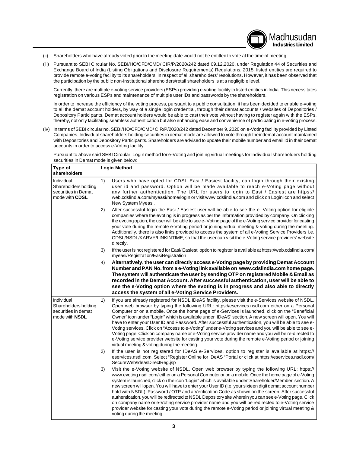- (ii) Shareholders who have already voted prior to the meeting date would not be entitled to vote at the time of meeting.
- (iii) Pursuant to SEBI Circular No. SEBI/HO/CFD/CMD/ CIR/P/2020/242 dated 09.12.2020, under Regulation 44 of Securities and Exchange Board of India (Listing Obligations and Disclosure Requirements) Regulations, 2015, listed entities are required to provide remote e-voting facility to its shareholders, in respect of all shareholders' resolutions. However, it has been observed that the participation by the public non-institutional shareholders/retail shareholders is at a negligible level.

Currently, there are multiple e-voting service providers (ESPs) providing e-voting facility to listed entities in India. This necessitates registration on various ESPs and maintenance of multiple user IDs and passwords by the shareholders.

Madhusudan **Industries Limited**

In order to increase the efficiency of the voting process, pursuant to a public consultation, it has been decided to enable e-voting to all the demat account holders, by way of a single login credential, through their demat accounts / websites of Depositories / Depository Participants. Demat account holders would be able to cast their vote without having to register again with the ESPs, thereby, not only facilitating seamless authentication but also enhancing ease and convenience of participating in e-voting process.

(iv) In terms of SEBI circular no. SEBI/HO/CFD/CMD/ CIR/P/2020/242 dated December 9, 2020 on e-Voting facility provided by Listed Companies, Individual shareholders holding securities in demat mode are allowed to vote through their demat account maintained with Depositories and Depository Participants. Shareholders are advised to update their mobile number and email Id in their demat accounts in order to access e-Voting facility.

Pursuant to above said SEBI Circular, Login method for e-Voting and joining virtual meetings for Individual shareholders holding securities in Demat mode is given below:

| Type of<br>shareholders                                                            | <b>Login Method</b>                                                                                                                                                                                                                                                                                                                                                                                                                                                                                                                                                                                                                                                                                                                                                                                                                                                                                   |
|------------------------------------------------------------------------------------|-------------------------------------------------------------------------------------------------------------------------------------------------------------------------------------------------------------------------------------------------------------------------------------------------------------------------------------------------------------------------------------------------------------------------------------------------------------------------------------------------------------------------------------------------------------------------------------------------------------------------------------------------------------------------------------------------------------------------------------------------------------------------------------------------------------------------------------------------------------------------------------------------------|
| Individual<br>Shareholders holding<br>securities in Demat<br>mode with CDSL        | 1)<br>Users who have opted for CDSL Easi / Easiest facility, can login through their existing<br>user id and password. Option will be made available to reach e-Voting page without<br>any further authentication. The URL for users to login to Easi / Easiest are https://<br>web.cdslindia.com/myeasi/home/login or visit www.cdslindia.com and click on Login icon and select<br>New System Myeasi.                                                                                                                                                                                                                                                                                                                                                                                                                                                                                               |
|                                                                                    | 2)<br>After successful login the Easi / Easiest user will be able to see the e- Voting option for eligible<br>companies where the evoting is in progress as per the information provided by company. On clicking<br>the evoting option, the user will be able to see e-Voting page of the e-Voting service provider for casting<br>your vote during the remote e-Voting period or joining virtual meeting & voting during the meeting.<br>Additionally, there is also links provided to access the system of all e-Voting Service Providers i.e.<br>CDSL/NSDL/KARVY/LINKINTIME, so that the user can visit the e-Voting service providers' website<br>directly.                                                                                                                                                                                                                                       |
|                                                                                    | 3)<br>If the user is not registered for Easi/Easiest, option to register is available at https://web.cdslindia.com/<br>myeasi/Registration/EasiRegistration                                                                                                                                                                                                                                                                                                                                                                                                                                                                                                                                                                                                                                                                                                                                           |
|                                                                                    | Alternatively, the user can directly access e-Voting page by providing Demat Account<br>4)<br>Number and PAN No. from a e-Voting link available on www.cdslindia.com home page.<br>The system will authenticate the user by sending OTP on registered Mobile & Email as<br>recorded in the Demat Account. After successful authentication, user will be able to<br>see the e-Voting option where the evoting is in progress and also able to directly<br>access the system of all e-Voting Service Providers.                                                                                                                                                                                                                                                                                                                                                                                         |
| Individual<br>Shareholders holding<br>securities in demat<br>mode with <b>NSDL</b> | 1)<br>If you are already registered for NSDL IDeAS facility, please visit the e-Services website of NSDL.<br>Open web browser by typing the following URL: https://eservices.nsdl.com either on a Personal<br>Computer or on a mobile. Once the home page of e-Services is launched, click on the "Beneficial<br>Owner" icon under "Login" which is available under 'IDeAS' section. A new screen will open. You will<br>have to enter your User ID and Password. After successful authentication, you will be able to see e-<br>Voting services. Click on "Access to e-Voting" under e-Voting services and you will be able to see e-<br>Voting page. Click on company name or e-Voting service provider name and you will be re-directed to<br>e-Voting service provider website for casting your vote during the remote e-Voting period or joining<br>virtual meeting & voting during the meeting. |
|                                                                                    | If the user is not registered for IDeAS e-Services, option to register is available at https://<br>2)<br>eservices.nsdl.com. Select "Register Online for IDeAS "Portal or click at https://eservices.nsdl.com/<br>SecureWeb/IdeasDirectReg.jsp                                                                                                                                                                                                                                                                                                                                                                                                                                                                                                                                                                                                                                                        |
|                                                                                    | 3)<br>Visit the e-Voting website of NSDL. Open web browser by typing the following URL: https://<br>www.evoting.nsdl.com/either on a Personal Computer or on a mobile. Once the home page of e-Voting<br>system is launched, click on the icon "Login" which is available under 'Shareholder/Member' section. A<br>new screen will open. You will have to enter your User ID (i.e. your sixteen digit demat account number<br>hold with NSDL), Password / OTP and a Verification Code as shown on the screen. After successful<br>authentication, you will be redirected to NSDL Depository site wherein you can see e-Voting page. Click<br>on company name or e-Voting service provider name and you will be redirected to e-Voting service<br>provider website for casting your vote during the remote e-Voting period or joining virtual meeting &<br>voting during the meeting.                  |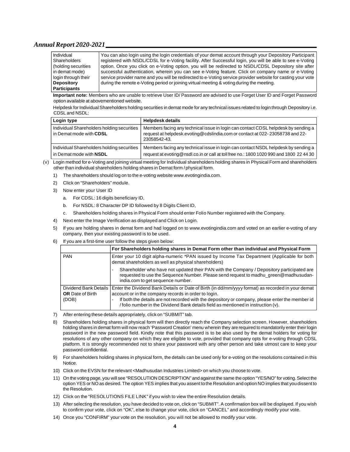| Individual          | You can also login using the login credentials of your demat account through your Depository Participant    |
|---------------------|-------------------------------------------------------------------------------------------------------------|
| Shareholders        | registered with NSDL/CDSL for e-Voting facility. After Successful login, you will be able to see e-Voting   |
| holding securities  | option. Once you click on e-Voting option, you will be redirected to NSDL/CDSL Depository site after        |
| in demat mode)      | successful authentication, wherein you can see e-Voting feature. Click on company name or e-Voting          |
| login through their | service provider name and you will be redirected to e-Voting service provider website for casting your vote |
| <b>Depository</b>   | during the remote e-Voting period or joining virtual meeting & voting during the meeting.                   |
| <b>Participants</b> |                                                                                                             |

**Important note:** Members who are unable to retrieve User ID/ Password are advised to use Forget User ID and Forget Password option available at abovementioned website.

Helpdesk for Individual Shareholders holding securities in demat mode for any technical issues related to login through Depository i.e. CDSL and NSDL:

| Login type                                                                   | <b>Helpdesk details</b>                                                                                                                                                            |
|------------------------------------------------------------------------------|------------------------------------------------------------------------------------------------------------------------------------------------------------------------------------|
| Individual Shareholders holding securities<br>in Demat mode with CDSL        | Members facing any technical issue in login can contact CDSL helpdesk by sending a<br>request at helpdesk.evoting@cdslindia.com or contact at 022-23058738 and 22-<br>23058542-43. |
| Individual Shareholders holding securities<br>in Demat mode with <b>NSDL</b> | Members facing any technical issue in login can contact NSDL helpdesk by sending a<br>request at evoting@nsdl.co.in or call at toll free no.: 1800 1020 990 and 1800 22 44 30      |

- (v) Login method for e-Voting and joining virtual meeting for Individual shareholders holding shares in Physical Form and shareholders other than individual shareholders holding shares in Demat form / physical form.
	- 1) The shareholders should log on to the e-voting website [www.evotingindia.com.](http://www.evotingindia.com.)
	- 2) Click on "Shareholders" module.
	- 3) Now enter your User ID
		- a. For CDSL: 16 digits beneficiary ID,
		- b. For NSDL: 8 Character DP ID followed by 8 Digits Client ID,
		- c. Shareholders holding shares in Physical Form should enter Folio Number registered with the Company.
	- 4) Next enter the Image Verification as displayed and Click on Login.
	- 5) If you are holding shares in demat form and had logged on to [www.evotingindia.com](http://www.evotingindia.com) and voted on an earlier e-voting of any company, then your existing password is to be used.
	- 6) If you are a first-time user follow the steps given below:

|                                                           | For Shareholders holding shares in Demat Form other than individual and Physical Form                                                                                                                                                                                                                                                                                |
|-----------------------------------------------------------|----------------------------------------------------------------------------------------------------------------------------------------------------------------------------------------------------------------------------------------------------------------------------------------------------------------------------------------------------------------------|
| <b>PAN</b>                                                | Enter your 10 digit alpha-numeric *PAN issued by Income Tax Department (Applicable for both<br>demat shareholders as well as physical shareholders)                                                                                                                                                                                                                  |
|                                                           | Shareholder who have not updated their PAN with the Company / Depository participated are<br>requested to use the Sequence Number. Please send request to madhu green@madhusudan-<br>india.com to get sequence number.                                                                                                                                               |
| Dividend Bank Details<br><b>OR</b> Date of Birth<br>(DOB) | Enter the Dividend Bank Details or Date of Birth (in dd/mm/yyyy format) as recorded in your demat<br>account or in the company records in order to login.<br>If both the details are not recorded with the depository or company, please enter the member id<br>$\blacksquare$<br>/ folio number in the Dividend Bank details field as mentioned in instruction (v). |

- 7) After entering these details appropriately, click on "SUBMIT" tab.
- 8) Shareholders holding shares in physical form will then directly reach the Company selection screen. However, shareholders holding shares in demat form will now reach 'Password Creation' menu wherein they are required to mandatorily enter their login password in the new password field. Kindly note that this password is to be also used by the demat holders for voting for resolutions of any other company on which they are eligible to vote, provided that company opts for e-voting through CDSL platform. It is strongly recommended not to share your password with any other person and take utmost care to keep your password confidential.
- 9) For shareholders holding shares in physical form, the details can be used only for e-voting on the resolutions contained in this Notice.
- 10) Click on the EVSN for the relevant <Madhusudan Industries Limited> on which you choose to vote.
- 11) On the voting page, you will see "RESOLUTION DESCRIPTION" and against the same the option "YES/NO" for voting. Select the option YES or NO as desired. The option YES implies that you assent to the Resolution and option NO implies that you dissent to the Resolution.
- 12) Click on the "RESOLUTIONS FILE LINK" if you wish to view the entire Resolution details.
- 13) After selecting the resolution, you have decided to vote on, click on "SUBMIT". A confirmation box will be displayed. If you wish to confirm your vote, click on "OK", else to change your vote, click on "CANCEL" and accordingly modify your vote.
- 14) Once you "CONFIRM" your vote on the resolution, you will not be allowed to modify your vote.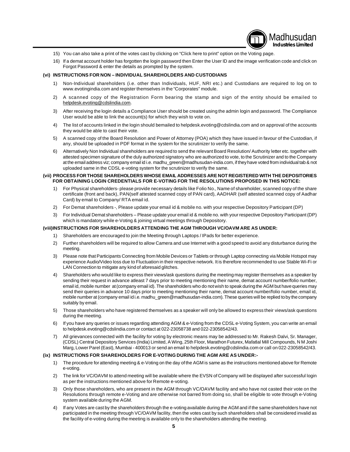

- 15) You can also take a print of the votes cast by clicking on "Click here to print" option on the Voting page.
- 16) If a demat account holder has forgotten the login password then Enter the User ID and the image verification code and click on Forgot Password & enter the details as prompted by the system.

#### **(vi) INSTRUCTIONS FOR NON – INDIVIDUAL SHAREHOLDERS AND CUSTODIANS**

- 1) Non-Individual shareholders (i.e. other than Individuals, HUF, NRI etc.) and Custodians are required to log on to [www.evotingindia.com](http://www.evotingindia.com) and register themselves in the "Corporates" module.
- 2) A scanned copy of the Registration Form bearing the stamp and sign of the entity should be emailed to [helpdesk.evoting@cdslindia.com.](mailto:helpdesk.evoting@cdslindia.com.)
- 3) After receiving the login details a Compliance User should be created using the admin login and password. The Compliance User would be able to link the account(s) for which they wish to vote on.
- 4) The list of accounts linked in the login should bemailed to [helpdesk.evoting@cdslindia.com](mailto:helpdesk.evoting@cdslindia.com) and on approval of the accounts they would be able to cast their vote.
- 5) A scanned copy of the Board Resolution and Power of Attorney (POA) which they have issued in favour of the Custodian, if any, should be uploaded in PDF format in the system for the scrutinizer to verify the same.
- 6) Alternatively Non Individual shareholders are required to send the relevant Board Resolution/ Authority letter etc. together with attested specimen signature of the duly authorized signatory who are authorized to vote, to the Scrutinizer and to the Company at the email address viz; company email id i.e. [madhu\\_green@madhusudan-india.com,](mailto:madhu_green@madhusudan-india.com,) if they have voted from individual tab & not uploaded same in the CDSL e-voting system for the scrutinizer to verify the same.

#### **(vii) PROCESS FOR THOSE SHAREHOLDERS WHOSE EMAIL ADDRESSES ARE NOT REGISTERED WITH THE DEPOSITORIES FOR OBTAINING LOGIN CREDENTIALS FOR E-VOTING FOR THE RESOLUTIONS PROPOSED IN THIS NOTICE:**

- 1) For Physical shareholders- please provide necessary details like Folio No., Name of shareholder, scanned copy of the share certificate (front and back), PAN(self attested scanned copy of PAN card), AADHAR (self attested scanned copy of Aadhar Card) by email to Company/ RTA email id.
- 2) For Demat shareholders -, Please update your email id & mobile no. with your respective Depository Participant (DP)
- 3) For Individual Demat shareholders Please update your email id & mobile no. with your respective Depository Participant (DP) which is mandatory while e-Voting & joining virtual meetings through Depository.

#### **(viii)INSTRUCTIONS FOR SHAREHOLDERS ATTENDING THE AGM THROUGH VC/OAVM ARE AS UNDER:**

- 1) Shareholders are encouraged to join the Meeting through Laptops / IPads for better experience.
- 2) Further shareholders will be required to allow Camera and use Internet with a good speed to avoid any disturbance during the meeting.
- 3) Please note that Participants Connecting from Mobile Devices or Tablets or through Laptop connecting via Mobile Hotspot may experience Audio/Video loss due to Fluctuation in their respective network. It is therefore recommended to use Stable Wi-Fi or LAN Connection to mitigate any kind of aforesaid glitches.
- 4) Shareholders who would like to express their views/ask questions during the meeting may register themselves as a speaker by sending their request in advance atleast 7 days prior to meeting mentioning their name, demat account number/folio number, email id, mobile number at (company email id). The shareholders who do not wish to speak during the AGM but have queries may send their queries in advance 10 days prior to meeting mentioning their name, demat account number/folio number, email id, mobile number at (company email id i.e. [madhu\\_green@madhusudan-india.com\).](mailto:madhu_green@madhusudan-india.com).) These queries will be replied to by the company suitably by email.
- 5) Those shareholders who have registered themselves as a speaker will only be allowed to express their views/ask questions during the meeting.
- 6) If you have any queries or issues regarding attending AGM & e-Voting from the CDSL e-Voting System, you can write an email to [helpdesk.evoting@cdslindia.com](mailto:helpdesk.evoting@cdslindia.com) or contact at 022-23058738 and 022-23058542/43.
- 7) All grievances connected with the facility for voting by electronic means may be addressed to Mr. Rakesh Dalvi, Sr. Manager, (CDSL) Central Depository Services (India) Limited, A Wing, 25th Floor, Marathon Futurex, Mafatlal Mill Compounds, N M Joshi Marg, Lower Parel (East), Mumbai - 400013 or send an email to [helpdesk.evoting@cdslindia.com](mailto:helpdesk.evoting@cdslindia.com) or call on 022-23058542/43.

#### **(ix) INSTRUCTIONS FOR SHAREHOLDERS FOR E-VOTING DURING THE AGM ARE AS UNDER:-**

- 1) The procedure for attending meeting & e-Voting on the day of the AGM is same as the instructions mentioned above for Remote e-voting.
- 2) The link for VC/OAVM to attend meeting will be available where the EVSN of Company will be displayed after successful login as per the instructions mentioned above for Remote e-voting.
- 3) Only those shareholders, who are present in the AGM through VC/OAVM facility and who have not casted their vote on the Resolutions through remote e-Voting and are otherwise not barred from doing so, shall be eligible to vote through e-Voting system available during the AGM.
- 4) If any Votes are cast by the shareholders through the e-voting available during the AGM and if the same shareholders have not participated in the meeting through VC/OAVM facility, then the votes cast by such shareholders shall be considered invalid as the facility of e-voting during the meeting is available only to the shareholders attending the meeting.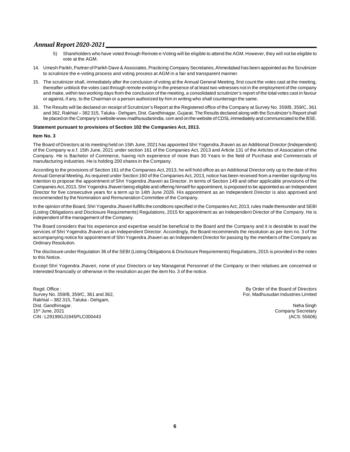- 5) Shareholders who have voted through Remote e-Voting will be eligible to attend the AGM. However, they will not be eligible to vote at the AGM.
- 14. Umesh Parikh, Partner of Parikh Dave & Associates, Practicing Company Secretaries, Ahmedabad has been appointed as the Scrutinizer to scrutinize the e-voting process and voting process at AGM in a fair and transparent manner.
- 15. The scrutinizer shall, immediately after the conclusion of voting at the Annual General Meeting, first count the votes cast at the meeting, thereafter unblock the votes cast through remote evoting in the presence of at least two witnesses not in the employment of the company and make, within two working days from the conclusion of the meeting, a consolidated scrutinizer's report of the total votes cast in favour or against, if any, to the Chairman or a person authorized by him in writing who shall countersign the same.
- 16. The Results will be declared on receipt of Scrutinizer's Report at the Registered office of the Company at Survey No. 359/B, 359/C, 361 and 362, Rakhial – 382 315, Taluka - Dehgam, Dist. Gandhinagar, Gujarat. The Results declared along with the Scrutinizer's Report shall be placed on the Company's website [www.madhusudanindia.](http://www.madhusudanindia.) com and on the website of CDSL immediately and communicated to the BSE.

#### **Statement pursuant to provisions of Section 102 the Companies Act, 2013.**

#### **Item No. 3**

The Board of Directors at its meeting held on 15th June, 2021 has appointed Shri Yogendra Jhaveri as an Additional Director (Independent) of the Company w.e.f. 15th June, 2021 under section 161 of the Companies Act, 2013 and Article 131 of the Articles of Association of the Company. He is Bachelor of Commerce, having rich experience of more than 30 Years in the field of Purchase and Commercials of manufacturing industries. He is holding 200 shares in the Company.

According to the provisions of Section 161 of the Companies Act, 2013, he will hold office as an Additional Director only up to the date of this Annual General Meeting. As required under Section 160 of the Companies Act, 2013, notice has been received from a member signifying his intention to propose the appointment of Shri Yogendra Jhaveri as Director. In terms of Section 149 and other applicable provisions of the Companies Act, 2013, Shri Yogendra Jhaveri being eligible and offering himself for appointment, is proposed to be appointed as an Independent Director for five consecutive years for a term up to 14th June 2026. His appointment as an Independent Director is also approved and recommended by the Nomination and Remuneration Committee of the Company.

In the opinion of the Board, Shri Yogendra Jhaveri fulfills the conditions specified in the Companies Act, 2013, rules made thereunder and SEBI (Listing Obligations and Disclosure Requirements) Regulations, 2015 for appointment as an Independent Director of the Company. He is independent of the management of the Company.

The Board considers that his experience and expertise would be beneficial to the Board and the Company and it is desirable to avail the services of Shri Yogendra Jhaveri as an Independent Director. Accordingly, the Board recommends the resolution as per item no. 3 of the accompanying notice for appointment of Shri Yogendra Jhaveri as an Independent Director for passing by the members of the Company as Ordinary Resolution.

The disclosure under Regulation 36 of the SEBI (Listing Obligations & Disclosure Requirements) Regulations, 2015 is provided in the notes to this Notice.

Except Shri Yogendra Jhaveri, none of your Directors or key Managerial Personnel of the Company or their relatives are concerned or interested financially or otherwise in the resolution as per the item No. 3 of the notice.

Regd. Office :<br>
Survey No. 359/B, 359/C, 361 and 362, Survey No. 359/B, 359/C, 361 and 362, Survey No. 359/B, 359/C, 361 and 362, Survey No. 359/B, 359/C, 361 and 362, Rakhial – 382 315, Taluka - Dehgam, Dist. Gandhinagar. Neha Singh CIN : L29199GJ1945PLC000443

Company Secretary<br>(ACS: 55606)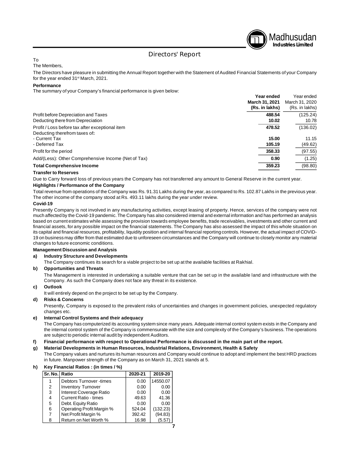

# Directors' Report

# To

The Members,

The Directors have pleasure in submitting the Annual Report together with the Statement of Audited Financial Statements of your Company for the year ended 31st March, 2021.

#### **Performance**

The summary of your Company's financial performance is given below:

|                                                                                                   | Year ended<br>March 31, 2021<br>(Rs. in lakhs) | Year ended<br>March 31, 2020<br>(Rs. in lakhs) |
|---------------------------------------------------------------------------------------------------|------------------------------------------------|------------------------------------------------|
| Profit before Depreciation and Taxes<br>Deducting there from Depreciation                         | 488.54<br>10.02                                | (125.24)<br>10.78                              |
| Profit / Loss before tax after exceptional item<br>Deducting therefrom taxes of:<br>- Current Tax | 478.52<br>15.00                                | (136.02)<br>11.15                              |
| - Deferred Tax                                                                                    | 105.19                                         | (49.62)                                        |
| Profit for the period                                                                             | 358.33                                         | (97.55)                                        |
| Add/(Less): Other Comprehensive Income (Net of Tax)                                               | 0.90                                           | (1.25)                                         |
| <b>Total Comprehensive Income</b>                                                                 | 359.23                                         | (98.80)                                        |

#### **Transfer to Reserves**

Due to Carry forward loss of previous years the Company has not transferred any amount to General Reserve in the current year.

#### **Highlights / Performance of the Company**

Total revenue from operations of the Company was Rs. 91.31 Lakhs during the year, as compared to Rs. 102.87 Lakhs in the previous year. The other income of the company stood at Rs. 493.11 lakhs during the year under review.

#### **Covid-19**

Presently Company is not involved in any manufacturing activities, except leasing of property. Hence, services of the company were not much affected by the Covid-19 pandemic. The Company has also considered internal and external information and has performed an analysis based on current estimates while assessing the provision towards employee benefits, trade receivables, investments and other current and financial assets, for any possible impact on the financial statements. The Company has also assessed the impact of this whole situation on its capital and financial resources, profitability, liquidity position and internal financial reporting controls. However, the actual impact of COVID-19 on business may differ from that estimated due to unforeseen circumstances and the Company will continue to closely monitor any material changes to future economic conditions.

#### **Management Discussion and Analysis**

#### **a) Industry Structure and Developments**

The Company continues its search for a viable project to be set up at the available facilities at Rakhial.

#### **b) Opportunities and Threats**

The Management is interested in undertaking a suitable venture that can be set up in the available land and infrastructure with the Company. As such the Company does not face any threat in its existence.

#### **c) Outlook**

It will entirely depend on the project to be set up by the Company.

#### **d) Risks & Concerns**

Presently, Company is exposed to the prevalent risks of uncertainties and changes in government policies, unexpected regulatory changes etc.

#### **e) Internal Control Systems and their adequacy**

The Company has computerized its accounting system since many years. Adequate internal control system exists in the Company and the internal control system of the Company is commensurate with the size and complexity of the Company's business. The operations are subject to periodic internal audit by independent Auditors.

#### **f) Financial performance with respect to Operational Performance is discussed in the main part of the report.**

# **g) Material Developments in Human Resources, Industrial Relations, Environment, Health & Safety**

The Company values and nurtures its human resources and Company would continue to adopt and implement the best HRD practices in future. Manpower strength of the Company as on March 31, 2021 stands at 5.

| Sr. No. Ratio |                                | 2020-21 | 2019-20  |  |
|---------------|--------------------------------|---------|----------|--|
|               | <b>Debtors Turnover -times</b> | 0.00    | 14550.07 |  |
| 2             | <b>Inventory Turnover</b>      | 0.00    | 0.00     |  |
| 3             | Interest Coverage Ratio        | 0.00    | 0.00     |  |
| 4             | <b>Current Ratio - times</b>   | 49.63   | 41.36    |  |
| 5             | Debt. Equity Ratio             | 0.00    | 0.00     |  |
| 6             | Operating Profit Margin %      | 524.04  | (132.23) |  |
| 7             | Net Profit Margin %            | 392.42  | (94.83)  |  |
| 8             | Return on Net Worth %          | 16.98   | (5.57)   |  |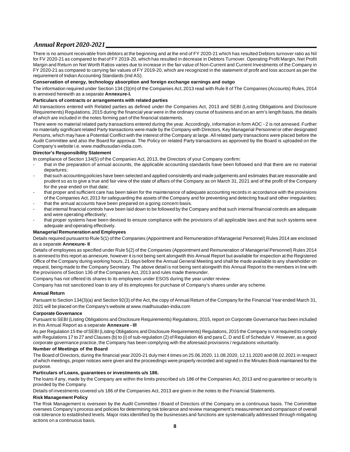There is no amount receivable from debtors at the beginning and at the end of FY 2020-21 which has resulted Debtors turnover ratio as Nil for FV 2020-21 as compared to that of FY 2019-20, which has resulted in decrease in Debtors Turnover. Operating Profit Margin, Net Profit Margin and Return on Net Worth Ratios varies due to increase in the fair value of Non-Current and Current Investments of the Company in FY 2020-21 as compared to carrying fair values of FY 2019-20, which are recognized in the statement of profit and loss account as per the requirement of Indian Accounting Standards (Ind AS).

#### **Conservation of energy, technology absorption and foreign exchange earnings and outgo**

The information required under Section 134 (3)(m) of the Companies Act, 2013 read with Rule 8 of The Companies (Accounts) Rules, 2014 is annexed herewith as a separate **Annexure-I.**

#### **Particulars of contracts or arrangements with related parties**

All transactions entered with Related parties as defined under the Companies Act, 2013 and SEBI (Listing Obligations and Disclosure Requirements) Regulations, 2015 during the financial year were in the ordinary course of business and on an arm's length basis, the details of which are included in the notes forming part of the financial statements.

There were no material related party transactions entered during the year. Accordingly, information in form AOC - 2 is not annexed. Further no materially significant related Party transactions were made by the Company with Directors, Key Managerial Personnel or other designated Persons, which may have a Potential Conflict with the interest of the Company at large. All related party transactions were placed before the Audit Committee and also the Board for approval. The Policy on related Party transactions as approved by the Board is uploaded on the Company's website i.e. [www.madhusudan-india.com.](http://www.madhusudan-india.com.)

#### **Director's Responsibility Statement**

In compliance of Section 134(5) of the Companies Act, 2013, the Directors of your Company confirm:

- that in the preparation of annual accounts, the applicable accounting standards have been followed and that there are no material departures;
- that such accounting policies have been selected and applied consistently and made judgements and estimates that are reasonable and prudent so as to give a true and fair view of the state of affairs of the Company as on March 31, 2021 and of the profit of the Company for the year ended on that date;
- that proper and sufficient care has been taken for the maintenance of adequate accounting records in accordance with the provisions of the Companies Act, 2013 for safeguarding the assets of the Company and for preventing and detecting fraud and other irregularities;
- that the annual accounts have been prepared on a going concern basis.
- that internal financial controls have been laid down to be followed by the Company and that such internal financial controls are adequate and were operating effectively;
- that proper systems have been devised to ensure compliance with the provisions of all applicable laws and that such systems were adequate and operating effectively.

#### **Managerial Remuneration and Employees**

Details required pursuant to Rule 5(1) of the Companies (Appointment and Remuneration of Managerial Personnel) Rules 2014 are enclosed as a separate **Annexure- II**

Details of employees as specified under Rule 5(2) of the Companies (Appointment and Remuneration of Managerial Personnel) Rules 2014 is annexed to this report as annexure, however it is not being sent alongwith this Annual Report but available for inspection at the Registered Office of the Company during working hours, 21 days before the Annual General Meeting and shall be made available to any shareholder on request, being made to the Company Secretary. The above detail is not being sent alongwith this Annual Report to the members in line with the provisions of Section 136 of the Companies Act, 2013 and rules made thereunder.

Company has not offered its shares to its employees under ESOS during the year under review.

Company has not sanctioned loan to any of its employees for purchase of Company's shares under any scheme.

#### **Annual Return**

Parsuant to Section 134(3)(a) and Section 92(3) of the Act, the copy of Annual Return of the Company for the Financial Year ended March 31, 2021 will be placed on the Company's website at [www.madhusudan-india.com](http://www.madhusudan-india.com)

#### **Corporate Governance**

Pursuant to SEBI (Listing Obligations and Disclosure Requirements) Regulations, 2015, report on Corporate Governance has been included in this Annual Report as a separate **Annexure - Ill**

As per Regulation 15 the of SEBI (Listing Obligations and Disclosure Requirements) Regulations, 2015 the Company is not required to comply with Regulations 17 to 27 and Clauses (b) to (i) of sub-regulation (2) of Regulation 46 and para C, D and E of Schedule V. However, as a good corporate governance practice, the Company has been complying with the aforesaid provisions / regulations voluntarily.

#### **Number of Meetings of the Board**

The Board of Directors, during the financial year 2020-21 duly met 4 times on 25.06.2020, 11.08.2020, 12.11.2020 and 08.02.2021 in respect of which meetings, proper notices were given and the proceedings were properly recorded and signed in the Minutes Book maintained for the purpose.

#### **Particulars of Loans, guarantees or investments u/s 186.**

The loans if any, made by the Company are within the limits prescribed u/s 186 of the Companies Act, 2013 and no guarantee or security is provided by the Company.

Details of investments covered u/s 186 of the Companies Act, 2013 are given in the notes to the Financial Statements.

#### **Risk Management Policy**

The Risk Management is overseen by the Audit Committee / Board of Directors of the Company on a continuous basis. The Committee oversees Company's process and policies for determining risk tolerance and review management's measurement and comparison of overall risk tolerance to established levels. Major risks identified by the businesses and functions are systematically addressed through mitigating actions on a continuous basis.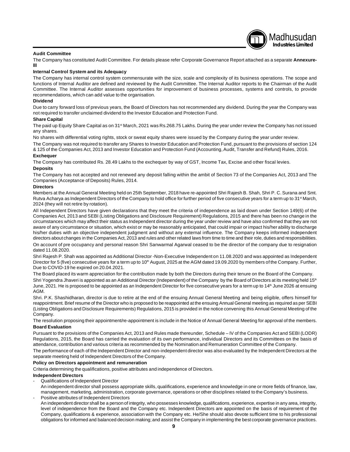#### **Audit Committee**

The Company has constituted Audit Committee. For details please refer Corporate Governance Report attached as a separate **Annexurelll**

Madhusudan **Industries Limited**

#### **Internal Control System and its Adequacy**

The Company has internal control system commensurate with the size, scale and complexity of its business operations. The scope and functions of Internal Auditor are defined and reviewed by the Audit Committee. The Internal Auditor reports to the Chairman of the Audit Committee. The Internal Auditor assesses opportunities for improvement of business processes, systems and controls, to provide recommendations, which can add value to the organisation.

#### **Dividend**

Due to carry forward loss of previous years, the Board of Directors has not recommended any dividend. During the year the Company was not required to transfer unclaimed dividend to the Investor Education and Protection Fund.

#### **Share Capital**

The paid up Equity Share Capital as on 31<sup>st</sup> March, 2021 was Rs.268.75 Lakhs. During the year under review the Company has not issued any shares.

No shares with differential voting rights, stock or sweat equity shares were issued by the Company during the year under review.

The Company was not required to transfer any Shares to Investor Education and Protection Fund, pursuant to the provisions of section 124 & 125 of the Companies Act, 2013 and Investor Education and Protection Fund (Accounting, Audit, Transfer and Refund) Rules, 2016.

### **Exchequer**

The Company has contributed Rs. 28.49 Lakhs to the exchequer by way of GST, Income Tax, Excise and other fiscal levies.

### **Deposits**

The Company has not accepted and not renewed any deposit falling within the ambit of Section 73 of the Companies Act, 2013 and The Companies (Acceptance of Deposits) Rules, 2014.

#### **Directors**

Members at the Annual General Meeting held on 25th September, 2018 have re-appointed Shri Rajesh B. Shah, Shri P. C. Surana and Smt. Rutva Acharya as Independent Directors of the Company to hold office for further period of five consecutive years for a term up to 31<sup>st</sup> March, 2024 (they will not retire by rotation).

All Independent Directors have given declarations that they meet the criteria of independence as laid down under Section 149(6) of the Companies Act, 2013 and SEBI (Listing Obligations and Disclosure Requirement) Regulations, 2015 and there has been no change in the circumstances which may affect their status as Independent director during the year under review and have also confirmed that they are not aware of any circumstance or situation, which exist or may be reasonably anticipated, that could impair or impact his/her ability to discharge his/her duties with an objective independent judgment and without any external influence. The Company keeps informed independent directors about changes in the Companies Act, 2013 and rules and other related laws from time to time and their role, duties and responsibilities.

On account of pre occupancy and personal reason Shri Sanwarmal Agarwal ceased to be the director of the company due to resignation dated 11.08.2020.

Shri Rajesh P. Shah was appointed as Additional Director -Non-Executive Independent on 11.08.2020 and was appointed as Independent Director for 5 (five) consecutive years for a term up to 10<sup>th</sup> August, 2025 at the AGM dated 19.09.2020 by members of the Company. Further, Due to COVID-19 he expired on 20.04.2021.

The Board placed its warm appreciation for the contribution made by both the Directors during their tenure on the Board of the Company.

Shri Yogendra Jhaveri is appointed as an Additional Director (Independent) of the Company by the Board of Directors at its meeting held 15<sup>th</sup> June, 2021. He is proposed to be appointed as an Independent Director for five consecutive years for a term up to 14<sup>th</sup> June 2026 at ensuing AGM.

Shri. P.K. Shashidharan, director is due to retire at the end of the ensuing Annual General Meeting and being eligible, offers himself for reappointment. Brief resume of the Director who is proposed to be reappointed at the ensuing Annual General meeting as required as per SEBI (Listing Obligations and Disclosure Requirements) Regulations, 2015 is provided in the notice convening this Annual General Meeting of the Company.

The resolution proposing their appointment/re-appointment is include in the Notice of Annual General Meeting for approval of the members. **Board Evaluation**

Pursuant to the provisions of the Companies Act, 2013 and Rules made thereunder, Schedule – IV of the Companies Act and SEBI (LODR) Regulations, 2015, the Board has carried the evaluation of its own performance, individual Directors and its Committees on the basis of attendance, contribution and various criteria as recommended by the Nomination and Remuneration Committee of the Company.

The performance of each of the Independent Director and non-independent director was also evaluated by the Independent Directors at the separate meeting held of Independent Directors of the Company.

#### **Policy on Directors appointment and remuneration**

Criteria determining the qualifications, positive attributes and independence of Directors.

#### **Independent Directors**

- Qualifications of Independent Director
- An independent director shall possess appropriate skills, qualifications, experience and knowledge in one or more fields of finance, law, management, marketing, administration, corporate governance, operations or other disciplines related to the Company's business. Positive attributes of Independent Directors
- An independent director shall be a person of integrity, who possesses knowledge, qualifications, experience, expertise in any area, integrity, level of independence from the Board and the Company etc. Independent Directors are appointed on the basis of requirement of the Company, qualifications & experience, association with the Company etc. He/She should also devote sufficient time to his professional obligations for informed and balanced decision making; and assist the Company in implementing the best corporate governance practices.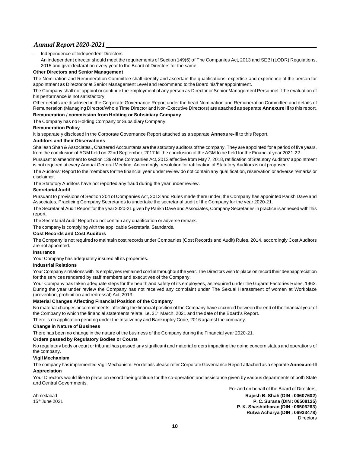Independence of Independent Directors

An independent director should meet the requirements of Section 149(6) of The Companies Act, 2013 and SEBI (LODR) Regulations, 2015 and give declaration every year to the Board of Directors for the same.

#### **Other Directors and Senior Management**

The Nomination and Remuneration Committee shall identify and ascertain the qualifications, expertise and experience of the person for appointment as Director or at Senior Management Level and recommend to the Board his/her appointment.

The Company shall not appoint or continue the employment of any person as Director or Senior Management Personnel if the evaluation of his performance is not satisfactory.

Other details are disclosed in the Corporate Governance Report under the head Nomination and Remuneration Committee and details of Remuneration (Managing Director/Whole Time Director and Non-Executive Directors) are attached as separate **Annexure Ill** to this report.

# **Remuneration / commission from Holding or Subsidiary Company**

The Company has no Holding Company or Subsidiary Company.

#### **Remuneration Policy**

It is separately disclosed in the Corporate Governance Report attached as a separate **Annexure-Ill** to this Report.

#### **Auditors and their Observations**

Shailesh Shah & Associates., Chartered Accountants are the statutory auditors of the company. They are appointed for a period of five years, from the conclusion of AGM held on 22nd September, 2017 till the conclusion of the AGM to be held for the Financial year 2021-22.

Pursuant to amendment to section 139 of the Companies Act, 2013 effective from May 7, 2018, ratification of Statutory Auditors' appointment is not required at every Annual General Meeting. Accordingly, resolution for ratification of Statutory Auditors is not proposed.

The Auditors' Report to the members for the financial year under review do not contain any qualification, reservation or adverse remarks or disclaimer.

The Statutory Auditors have not reported any fraud during the year under review.

#### **Secretarial Audit**

Pursuant to provisions of Section 204 of Companies Act, 2013 and Rules made there under, the Company has appointed Parikh Dave and Associates, Practicing Company Secretaries to undertake the secretarial audit of the Company for the year 2020-21.

The Secretarial Audit Report for the year 2020-21 given by Parikh Dave and Associates, Company Secretaries in practice is annexed with this report.

The Secretarial Audit Report do not contain any qualification or adverse remark.

The company is complying with the applicable Secretarial Standards.

#### **Cost Records and Cost Auditors**

The Company is not required to maintain cost records under Companies (Cost Records and Audit) Rules, 2014, accordingly Cost Auditors are not appointed.

#### **Insurance**

Your Company has adequately insured all its properties.

#### **Industrial Relations**

Your Company's relations with its employees remained cordial throughout the year. The Directors wish to place on record their deepappreciation for the services rendered by staff members and executives of the Company.

Your Company has taken adequate steps for the health and safety of its employees, as required under the Gujarat Factories Rules, 1963. During the year under review the Company has not received any complaint under The Sexual Harassment of women at Workplace (prevention, prohibition and redressal) Act, 2013.

#### **Material Changes Affecting Financial Position of the Company**

No material changes or commitments, affecting the financial position of the Company have occurred between the end of the financial year of the Company to which the financial statements relate, i.e. 31<sup>st</sup> March, 2021 and the date of the Board's Report.

There is no application pending under the Insolvency and Bankruptcy Code, 2016 against the company.

#### **Change in Nature of Business**

There has been no change in the nature of the business of the Company during the Financial year 2020-21.

#### **Orders passed by Regulatory Bodies or Courts**

No regulatory body or court or tribunal has passed any significant and material orders impacting the going concern status and operations of the company.

#### **Vigil Mechanism**

The company has implemented Vigil Mechanism. For details please refer Corporate Governance Report attached as a separate **Annexure-Ill Appreciation**

Your Directors would like to place on record their gratitude for the co-operation and assistance given by various departments of both State and Central Governments.

For and on behalf of the Board of Directors, Ahmedabad **Rajesh B. Shah (DIN : 00607602)** 15th June 2021 **P. C. Surana (DIN : 06508125) P. K. Shashidharan (DIN : 06506263) Rutva Acharya (DIN : 06933478) Directors**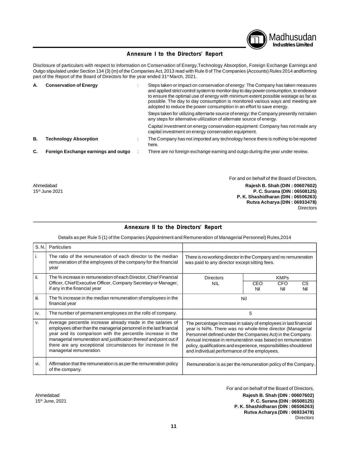

# **Annexure I to the Directors' Report**

Disclosure of particulars with respect to Information on Conservation of Energy,Technology Absorption, Foreign Exchange Earnings and Outgo stipulated under Section 134 (3) (m) of the Companies Act, 2013 read with Rule 8 of The Companies (Accounts) Rules 2014 andforming part of the Report of the Board of Directors for the year ended 31<sup>st</sup> March, 2021.

| А. | <b>Conservation of Energy</b>       | Steps taken or impact on conservation of energy: The Company has taken measures<br>and applied strict control system to monitor day to day power consumption, to endeavor<br>to ensure the optimal use of energy with minimum extent possible wastage as far as<br>possible. The day to day consumption is monitored various ways and meeting are<br>adopted to reduce the power consumption in an effort to save energy. |
|----|-------------------------------------|---------------------------------------------------------------------------------------------------------------------------------------------------------------------------------------------------------------------------------------------------------------------------------------------------------------------------------------------------------------------------------------------------------------------------|
|    |                                     | Steps taken for utilizing alternarte source of energy: the Company presently not taken<br>any steps for alternative utilization of alternate source of energy.                                                                                                                                                                                                                                                            |
|    |                                     | Capital investment on energy conservation equipment: Company has not made any<br>capital investment on energy conservation equipment.                                                                                                                                                                                                                                                                                     |
| В. | <b>Technology Absorption</b>        | The Company has not imported any technology hence there is nothing to be reported<br>here.                                                                                                                                                                                                                                                                                                                                |
| C. | Foreign Exchange earnings and outgo | There are no foreign exchange earning and outgo during the year under review.                                                                                                                                                                                                                                                                                                                                             |

For and on behalf of the Board of Directors, Ahmedabad **Rajesh B. Shah (DIN : 00607602)** 15th June 2021 **P. C. Surana (DIN : 06508125) P. K. Shashidharan (DIN : 06506263) Rutva Acharya (DIN : 06933478) Directors** 

#### **Annexure II to the Directors' Report**

Details as per Rule 5 (1) of the Companies (Appointment and Remuneration of Managerial Personnel) Rules,2014

| S. N.                                                                                                                                                           | Particulars                                                                                                                                                                                                                                                                                                                                                        |                                                                                                                                                                                                                                                                                                                                                                                 |     |     |     |
|-----------------------------------------------------------------------------------------------------------------------------------------------------------------|--------------------------------------------------------------------------------------------------------------------------------------------------------------------------------------------------------------------------------------------------------------------------------------------------------------------------------------------------------------------|---------------------------------------------------------------------------------------------------------------------------------------------------------------------------------------------------------------------------------------------------------------------------------------------------------------------------------------------------------------------------------|-----|-----|-----|
|                                                                                                                                                                 | The ratio of the remuneration of each director to the median<br>remuneration of the employees of the company for the financial<br>year                                                                                                                                                                                                                             | There is no working director in the Company and no remuneration<br>was paid to any director except sitting fees.                                                                                                                                                                                                                                                                |     |     |     |
| ii.                                                                                                                                                             | The % increase in remuneration of each Director, Chief Financial<br>Officer, Chief Executive Officer, Company Secretary or Manager,                                                                                                                                                                                                                                | <b>KMPs</b><br><b>Directors</b><br>CEO<br>CFO<br><b>NIL</b>                                                                                                                                                                                                                                                                                                                     |     |     | CS. |
|                                                                                                                                                                 | if any in the financial year                                                                                                                                                                                                                                                                                                                                       |                                                                                                                                                                                                                                                                                                                                                                                 | Nil | Nil | Nil |
| iii.                                                                                                                                                            | The % increase in the median remuneration of employees in the<br>financial year                                                                                                                                                                                                                                                                                    | Nil                                                                                                                                                                                                                                                                                                                                                                             |     |     |     |
| iv.                                                                                                                                                             | The number of permanent employees on the rolls of company.                                                                                                                                                                                                                                                                                                         | 5                                                                                                                                                                                                                                                                                                                                                                               |     |     |     |
| v.                                                                                                                                                              | Average percentile increase already made in the salaries of<br>employees other than the managerial personnel in the last financial<br>year and its comparison with the percentile increase in the<br>managerial remuneration and justification thereof and point out if<br>there are any exceptional circumstances for increase in the<br>managerial remuneration. | The percentage increase in salary of employees in last financial<br>year is Nil%. There was no whole-time director (Managerial<br>Personnel defined under the Companies Act) in the Company.<br>Annual increase in remuneration was based on remuneration<br>policy, qualifications and experience, responsibilities shouldered<br>and individual performance of the employees. |     |     |     |
| vi.<br>Affirmation that the remuneration is as per the remuneration policy<br>Remuneration is as per the remuneration policy of the Company.<br>of the company. |                                                                                                                                                                                                                                                                                                                                                                    |                                                                                                                                                                                                                                                                                                                                                                                 |     |     |     |

For and on behalf of the Board of Directors,

Ahmedabad **Rajesh B. Shah (DIN : 00607602)** 15th June, 2021 **P. C. Surana (DIN : 06508125) P. K. Shashidharan (DIN : 06506263) Rutva Acharya (DIN : 06933478)** Directors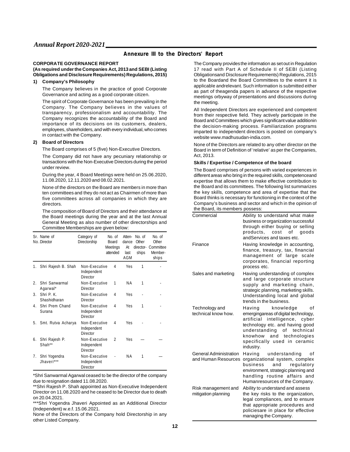## **Annexure III to the Directors' Report**

#### **CORPORATE GOVERNANCE REPORT**

#### **(As required under the Companies Act, 2013 and SEBI (Listing Obligations and Disclosure Requirements) Regulations, 2015)**

#### **1) Company's Philosophy**

The Company believes in the practice of good Corporate Governance and acting as a good corporate citizen.

The spirit of Corporate Governance has been prevailing in the Company. The Company believes in the values of transparency, professionalism and accountability. The Company recognizes the accountability of the Board and importance of its decisions on its customers, dealers, employees, shareholders, and with every individual, who comes in contact with the Company.

#### **2) Board of Directors**

The Board comprises of 5 (five) Non-Executive Directors.

The Company did not have any pecuniary relationship or transactions with the Non-Executive Directors during the period under review.

During the year, 4 Board Meetings were held on 25.06.2020, 11.08.2020, 12.11.2020 and 08.02.2021.

None of the directors on the Board are members in more than ten committees and they do not act as Chairmen of more than five committees across all companies in which they are directors.

The composition of Board of Directors and their attendance at the Board meetings during the year and at the last Annual General Meeting as also number of other directorships and Committee Memberships are given below:

|                  | Sr. Name of<br>No. Director | Category of<br>Directorship                     | No. of<br>Board<br>Meetings<br>attended | Atten-<br>dance<br>At<br>last<br><b>AGM</b> | No. of<br>Other<br>ships | No. of<br>Other<br>director- Committee<br>Member-<br>ships |
|------------------|-----------------------------|-------------------------------------------------|-----------------------------------------|---------------------------------------------|--------------------------|------------------------------------------------------------|
| 1.               | Shri Rajesh B. Shah         | Non-Executive<br>Independent<br><b>Director</b> | 4                                       | Yes                                         | 1                        |                                                            |
| $\overline{2}$ . | Shri Sanwarmal<br>Agarwal*  | Non-Executive<br><b>Director</b>                | 1                                       | ΝA                                          | 1                        |                                                            |
| 3.               | Shri P.K.<br>Shashidharan   | Non-Executive<br><b>Director</b>                | 4                                       | Yes                                         |                          |                                                            |
| 4.               | Shri Prem Chand<br>Surana   | Non-Executive<br>Independent<br><b>Director</b> | 4                                       | Yes                                         | 1                        |                                                            |
| 5.               | Smt. Rutva Acharya          | Non-Executive<br>Independent<br><b>Director</b> | 4                                       | Yes                                         |                          |                                                            |
| 6.               | Shri Rajesh P.<br>Shah**    | Non-Executive<br>Independent<br><b>Director</b> | $\overline{2}$                          | Yes                                         |                          |                                                            |
| 7.               | Shri Yogendra<br>Jhaveri*** | Non-Executive<br>Independent<br><b>Director</b> |                                         | ΝA                                          | 1                        |                                                            |

\*Shri Sanwarmal Agarwal ceased to be the director of the company due to resignation dated 11.08.2020.

\*\*Shri Rajesh P. Shah appointed as Non-Executive Independent Director on 11.08.2020 and he ceased to be Director due to death on 20.04.2021.

\*\*\*Shri Yogendra Jhaveri Appointed as an Additional Director (Independent) w.e.f. 15.06.2021.

None of the Directors of the Company hold Directorship in any other Listed Company.

The Company provides the information as set out in Regulation 17 read with Part A of Schedule II of SEBI (Listing Obligationsand Disclosure Requirements) Regulations, 2015 to the Boardand the Board Committees to the extent it is applicable andrelevant. Such information is submitted either as part of theagenda papers in advance of the respective meetings orbyway of presentations and discussions during the meeting.

All Independent Directors are experienced and competent from their respective field. They actively participate in the Board and Committees which gives significant value additionin the decision-making process. Familiarization programs imparted to independent directors is posted on company's website [www.madhusudan-india.com.](http://www.madhusudan-india.com.)

None of the Directors are related to any other director on the Board in term of Definition of 'relative' as per the Companies, Act, 2013.

#### **Skills / Expertise / Competence of the board**

The Board comprises of persons with varied experiences in different areas who bring in the required skills, competenceand expertise that allows them to make effective contribution to the Board and its committees. The following list summarizes the key skills, competence and area of expertise that the Board thinks is necessary for functioning in the context of the Company's business and sector and which in the opinion of the Board, its members possess:

| Commercial                                           | Ability to understand what make<br>business or organization successful<br>through either buying or selling<br>products, cost of goods<br>andServices and taxes etc.                                                                              |
|------------------------------------------------------|--------------------------------------------------------------------------------------------------------------------------------------------------------------------------------------------------------------------------------------------------|
| Finance                                              | Having knowledge in accounting,<br>finance, treasury, tax, financial<br>management of large scale<br>corporates, financial reporting<br>process etc.                                                                                             |
| Sales and marketing                                  | Having understanding of complex<br>and large corporate structure<br>supply and marketing chain,<br>strategic planning, marketing skills.<br>Understanding local and global<br>trends in the business.                                            |
| Technology and<br>technical know how.                | knowledge<br>Having<br>of<br>emergingareas of digital technology,<br>intelligence, cyber<br>artificial<br>technology etc. and having good<br>understanding of technical<br>knowhow and technologies<br>specifically used in ceramic<br>industry. |
| <b>General Administration</b><br>and Human Resources | Having<br>understanding<br>οf<br>organizational system, complex<br>business<br>and<br>regulatory<br>environment, strategic planning and<br>handling routine affairs and<br>Humanresources of the Company.                                        |
| Risk management and<br>mitigation planning           | Ability to understand and assess<br>the key risks to the organization,<br>legal compliances, and to ensure<br>that appropriate procedures and<br>policiesare in place for effective<br>managing the Company.                                     |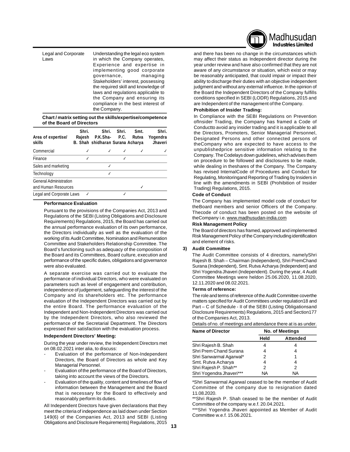Legal and Corporate Understanding the legal eco system Laws in which the Company operates, Experience and expertise in implementing good corporate governance, Stakeholders' interest, possessing the required skill and knowledge of laws and regulations applicable to the Company and ensuring its compliance in the best interest of the Company.

#### **Chart / matrix setting out the skills/expertise/competence of the Board of Directors**

| Area of expertise/<br>skills                         | Shri.<br>Rajesh | Shri.<br>P.K.Sha- P.C.<br>B. Shah shidharan Surana Acharya | Shri. | Smt.<br>Rutva | Shri.<br>Yogendra<br>Jhaveri |
|------------------------------------------------------|-----------------|------------------------------------------------------------|-------|---------------|------------------------------|
| Commercial                                           |                 |                                                            |       |               |                              |
| Finance                                              |                 |                                                            |       |               |                              |
| Sales and marketing                                  |                 |                                                            |       |               |                              |
| Technology                                           |                 |                                                            |       |               |                              |
| <b>General Administration</b><br>and Human Resources |                 |                                                            |       |               |                              |
| Legal and Corporate Laws                             |                 |                                                            |       |               |                              |

#### **Performance Evaluation**

Pursuant to the provisions of the Companies Act, 2013 and Regulations of the SEBI (Listing Obligations and Disclosure Requirements) Regulations, 2015, the Board has carried out the annual performance evaluation of its own performance, the Directors individually as well as the evaluation of the working of its Audit Committee, Nomination and Remuneration Committee and Stakeholders Relationship Committee. The Board's functioning such as adequacy of the composition of the Board and its Committees, Board culture, execution and performance of the specific duties, obligations and governance were also evaluated.

A separate exercise was carried out to evaluate the performance of individual Directors, who were evaluated on parameters such as level of engagement and contribution, independence of judgement, safeguarding the interest of the Company and its shareholders etc. The performance evaluation of the Independent Directors was carried out by the entire Board. The performance evaluation of the Independent and Non-Independent Directors was carried out by the Independent Directors, who also reviewed the performance of the Secretarial Department. The Directors expressed their satisfaction with the evaluation process.

#### **Independent Directors' Meeting:**

During the year under review, the Independent Directors met on 08.02.2021 inter alia, to discuss:

- Evaluation of the performance of Non-Independent Directors, the Board of Directors as whole and Key Managerial Personnel.
- Evaluation of the performance of the Board of Directors, taking into account the views of the Directors.
- Evaluation of the quality, content and timelines of flow of information between the Management and the Board that is necessary for the Board to effectively and reasonably perform its duties.

All Independent Directors have given declarations that they meet the criteria of independence as laid down under Section 149(6) of the Companies Act, 2013 and SEBI (Listing Obligations and Disclosure Requirements) Regulations, 2015



and there has been no change in the circumstances which may affect their status as Independent director during the year under review and have also confirmed that they are not aware of any circumstance or situation, which exist or may be reasonably anticipated, that could impair or impact their ability to discharge their duties with an objective independent judgment and without any external influence. In the opinion of the Board the Independent Directors of the Company fulfills conditions specified in SEBI (LODR) Regulations, 2015 and are Independent of the management of the Company.

#### **Prohibition of Insider Trading:**

In Compliance with the SEBI Regulations on Prevention ofInsider Trading, the Company has framed a Code of Conductto avoid any insider trading and it is applicable to all the Directors, Promoters, Senior Managerial Personnel, Designated Persons and other connected persons of theCompany who are expected to have access to the unpublishedprice sensitive information relating to the Company. The Codelays down guidelines, which advises them on procedure to be followed and disclosures to be made, while dealing in theshares of the Company. The Company has revised InternalCode of Procedures and Conduct for Regulating, Monitoringand Reporting of Trading by Insiders in line with the amendments in SEBI (Prohibition of Insider Trading) Regulations, 2015.

#### **Code of Conduct**

The Company has implemented model code of conduct for theBoard members and senior Officers of the Company. Thecode of conduct has been posted on the website of theCompany i.e. [www.madhusudan-india.com](http://www.madhusudan-india.com)

#### **Risk Management Policy**

The Board of directors has framed, approved and implemented Risk Management Policy of the Company including identification and element of risks.

#### **3) Audit Committee**

The Audit Committee consists of 4 directors, namelyShri Rajesh B. Shah – Chairman (Independent), Shri PremChand Surana (Independent), Smt. Rutva Acharya (Independent) and Shri Yogendra Jhaveri (Independent). During the year, 4 Audit Committee Meetings were heldon 25.06.2020, 11.08.2020, 12.11.2020 and 08.02.2021.

#### **Terms of reference:**

The role and terms of reference of the Audit Committee coverthe matters specified for Audit Committees under regulation18 and Part – C of Schedule - II of the SEBI (Listing Obligationsand Disclosure Requirements) Regulations, 2015 and Section177 of the Companies Act, 2013.

Details of no. of meetings and attendance there at is as under.

| <b>Name of Director</b>  | <b>No. of Meetings</b> |                 |  |
|--------------------------|------------------------|-----------------|--|
|                          | Held                   | <b>Attended</b> |  |
| Shri Rajesh B. Shah      |                        |                 |  |
| Shri Prem Chand Surana   |                        |                 |  |
| Shri Sanwarmal Agarwal*  | 2                      | 1               |  |
| Smt. Rutva Acharya       | 4                      | 4               |  |
| Shri Rajesh P. Shah**    | 2                      | 2               |  |
| Shri Yogendra Jhaveri*** | NΑ                     | NА              |  |

\*Shri Sanwarmal Agarwal ceased to be the member of Audit Committee of the company due to resignation dated 11.08.2020.

\*\*Shri Rajesh P. Shah ceased to be the member of Audit Committee of the company w.e.f. 20.04.2021.

\*\*\*Shri Yogendra Jhaveri appointed as Member of Audit Committee w.e.f. 15.06.2021.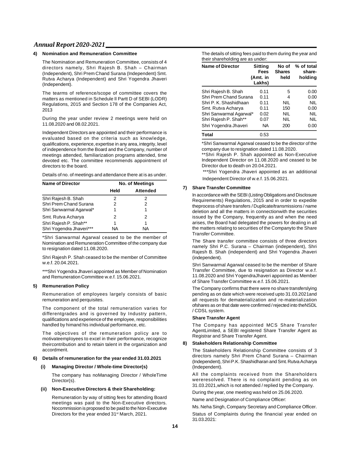#### **4) Nomination and Remuneration Committee**

The Nomination and Remuneration Committee, consists of 4 directors namely, Shri Rajesh B. Shah – Chairman (Independent), Shri Prem Chand Surana (Independent) Smt. Rutva Acharya (Independent) and Shri Yogendra Jhaveri (Independent).

The tearms of reference/scope of committee covers the matters as mentioned in Schedule ll Partt D of SEBI (LODR) Regulations, 2015 and Section 178 of the Companies Act, 2013

During the year under review 2 meetings were held on 11.08.2020 and 08.02.2021.

Independent Directors are appointed and their performance is evaluated based on the criteria such as knowledge, qualifications, experience, expertise in any area, integrity, level of independence from the Board and the Company, number of meetings attended, familiarization programs attended, time devoted etc. The committee recommends appointment of directors to the board.

Details of no. of meetings and attendance there at is as under.

| <b>Name of Director</b>  | <b>No. of Meetings</b> |                 |  |
|--------------------------|------------------------|-----------------|--|
|                          | Held                   | <b>Attended</b> |  |
| Shri Rajesh B. Shah      | 2                      | 2               |  |
| Shri Prem Chand Surana   | 2                      | 2               |  |
| Shri Sanwarmal Agarwal*  | 1                      | 1               |  |
| Smt. Rutva Acharya       | 2                      | 2               |  |
| Shri Rajesh P. Shah**    | 1                      | 1               |  |
| Shri Yogendra Jhaveri*** | ΝA                     | ΝA              |  |

\*Shri Sanwarmal Agarwal ceased to be the member of Nomination and Remuneration Committee of the company due to resignation dated 11.08.2020.

Shri Rajesh P. Shah ceased to be the member of Committee w.e.f. 20.04.2021.

\*\*\*Shri Yogendra Jhaveri appointed as Member of Nomination and Remuneration Committee w.e.f. 15.06.2021.

#### **5) Remuneration Policy**

Remuneration of employees largely consists of basic remuneration and perquisites.

The component of the total remuneration varies for differentgrades and is governed by Industry pattern, qualifications and experience of the employee, responsibilities handled by himand his individual performance, etc.

The objectives of the remuneration policy are to motivateemployees to excel in their performance, recognize theircontribution and to retain talent in the organization and accordmerit.

#### **6) Details of remuneration for the year ended 31.03.2021**

#### **(i) Managing Director / Whole-time Director(s)**

The company has noManaging Director / WholeTime Director(s).

#### **(ii) Non-Executive Directors & their Shareholding:**

Remuneration by way of sitting fees for attending Board meetings was paid to the Non-Executive directors. Nocommission is proposed to be paid to the Non-Executive Directors for the year ended 31<sup>st</sup> March, 2021.

The details of sitting fees paid to them during the year and their shareholding are as under:

| <b>Name of Director</b> | <b>Sitting</b><br>Fees<br>(Amt. in<br>Lakhs) | No of<br><b>Shares</b><br>held | % of total<br>share-<br>holding |
|-------------------------|----------------------------------------------|--------------------------------|---------------------------------|
| Shri Rajesh B. Shah     | 0.11                                         | 5                              | 0.00                            |
| Shri Prem Chand Surana  | 0.11                                         | 4                              | 0.00                            |
| Shri P. K. Shashidhaan  | 0.11                                         | <b>NIL</b>                     | <b>NIL</b>                      |
| Smt. Rutva Acharya      | 0.11                                         | 150                            | 0.00                            |
| Shri Sanwarmal Agarwal* | 0.02                                         | <b>NIL</b>                     | <b>NIL</b>                      |
| Shri Rajesh P. Shah**   | 0.07                                         | <b>NIL</b>                     | <b>NIL</b>                      |
| Shri Yogendra Jhaveri   | NA                                           | 200                            | 0.00                            |
| <b>Total</b>            | 0.53                                         |                                |                                 |

\*Shri Sanwarmal Agarwal ceased to be the director of the company due to resignation dated 11.08.2020.

\*\*Shri Rajesh P. Shah appointed as Non-Executive Independent Director on 11.08.2020 and ceased to be Director due to death on 20.04.2021.

\*\*\*Shri Yogendra Jhaveri appointed as an additional Independent Director of w.e.f. 15.06.2021.

#### **7) Share Transfer Committee**

In accordance with the SEBI (Listing Obligations and Disclosure Requirements) Regulations, 2015 and in order to expedite theprocess of share transfers / Duplicate/transmissions / name deletion and all the matters in connectionwith the securities issued by the Company, frequently as and when the need arises, the Board had delegated the powers for dealing in all the matters relating to securities of the Companyto the Share Transfer Committee.

The Share transfer committee consists of three directors namely Shri P.C. Surana – Chairman (independent), Shri Rajesh B. Shah (independent) and Shri Yogendra Jhaveri (independent).

Shri Sanwarmal Agarwal ceased to be the member of Share Transfer Committee, due to resignation as Director w.e.f. 11.08.2020 and Shri YogendraJhaveri appointed as Member of Share Transfer Committee w.e.f. 15.06.2021.

The Company confirms that there were no share transferslying pending as on date which were received upto 31.03.2021and all requests for dematerialization and re-materialization ofshares as on that date were confirmed / rejected into theNSDL / CDSL system.

#### **Share Transfer Agent**

The Company has appointed MCS Share Transfer AgentLimited, a SEBI registered Share Transfer Agent as Registrar and Share Transfer Agent.

#### **8) Stakeholders Relationship Committee**

The Stakeholders Relationship Committee consists of 3 directors namely Shri Prem Chand Surana – Chairman (Independent), Shri P.K. Shashidharan and Smt. Rutva Acharya (Independent).

All the complaints received from the Shareholders wereresolved. There is no complaint pending as on 31.03.2021,which is not attended / replied by the Company.

During the year, one meeting was held on 25.06.2020.

Name and Designation of Compliance Officer:

Ms. Neha Singh, Company Secretary and Compliance Officer.

Status of Complaints during the financial year ended on 31.03.2021: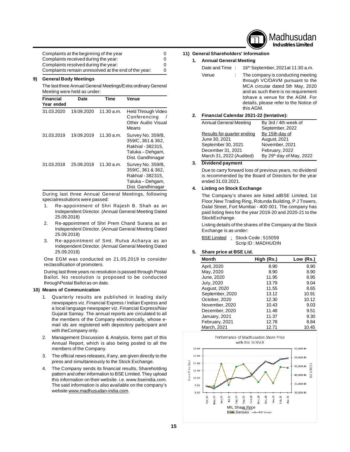

| Complaints at the beginning of the year              |  |
|------------------------------------------------------|--|
| Complaints received during the year:                 |  |
| Complaints resolved during the year:                 |  |
| Complaints remain unresolved at the end of the year: |  |

#### **9) General Body Meetings**

The last three Annual General Meetings/Extra ordinary General Meeting were held as under:

| ັ                              |            |            |                                                                                                      |
|--------------------------------|------------|------------|------------------------------------------------------------------------------------------------------|
| <b>Financial</b><br>Year ended | Date       | Time       | Venue                                                                                                |
| 31.03.2020                     | 19.09.2020 | 11.30 a.m. | Held Through Video<br>Conferencing<br>Other Audio Visual<br>Means                                    |
| 31.03.2019                     | 19.09.2019 | 11.30 a.m. | Survey No. 359/B,<br>359/C, 361 & 362,<br>Rakhial - 382315.<br>Taluka – Dehgam,<br>Dist. Gandhinagar |
| 31.03.2018                     | 25.09.2018 | 11.30 a.m. | Survey No. 359/B,<br>359/C, 361 & 362,<br>Rakhial - 382315.<br>Taluka - Dehgam,<br>Dist. Gandhinagar |

During last three Annual General Meetings, following specialresolutions were passed:

- 1. Re-appointment of Shri Rajesh B. Shah as an Independent Director. (Annual General Meeting Dated 25.09.2018)
- 2. Re-appointment of Shri Prem Chand Surana as an Independent Director. (Annual General Meeting Dated 25.09.2018)
- 3. Re-appointment of Smt. Rutva Acharya as an Independent Director. (Annual General Meeting Dated 25.09.2018)

One EGM was conducted on 21.05.2019 to consider reclassification of promoters.

During last three years no resolution is passed through Postal Ballot. No resolution is proposed to be conducted throughPostal Ballot as on date.

#### **10) Means of Communication**

- 1. Quarterly results are published in leading daily newspapers viz. Financial Express / Indian Express and a local language newspaper viz. Financial Express/Nav Gujarat Samay. The annual reports are circulated to all the members of the Company electronically, whose email ids are registered with depository participant and with theCompany only.
- 2. Management Discussion & Analysis, forms part of this Annual Report, which is also being posted to all the members of the Company.
- 3. The official news releases, if any, are given directly to the press and simultaneously to the Stock Exchange.
- 4. The Company sends its financial results, Shareholding pattern and other information to BSE Limited. They upload this information on their website. i.e. [www.bseindia.com.](http://www.bseindia.com.) The said information is also available on the company's website [www.madhusudan-india.com.](http://www.madhusudan-india.com.)

# **11) General Shareholders' Information**

#### **1. Annual General Meeting**

| Date and Time: | 16 <sup>th</sup> September, 2021at 11:30 a.m.                                                                                                                                                                                             |
|----------------|-------------------------------------------------------------------------------------------------------------------------------------------------------------------------------------------------------------------------------------------|
| Venue          | The company is conducting meeting<br>through VC/OAVM pursuant to the<br>MCA circular dated 5th May, 2020<br>and as such there is no requirement<br>tohave a venue for the AGM. For<br>details, please refer to the Notice of<br>this AGM. |
|                | Financial Calendar 2021-22 (tentative):                                                                                                                                                                                                   |

#### **2. Financial Calendar 2021-22 (tentative):**

| <b>Annual General Meeting</b> | By 3rd / 4th week of                 |
|-------------------------------|--------------------------------------|
|                               | September, 2022                      |
| Results for quarter ending    | By 15th day of                       |
| June 30, 2021                 | August, 2021                         |
| September 30, 2021            | November, 2021                       |
| December 31, 2021             | February, 2022                       |
| March 31, 2022 (Audited)      | By 29 <sup>th</sup> day of May, 2022 |

#### **3. Dividend payment**

Due to carry forward loss of previous years, no dividend is recommended by the Board of Directors for the year ended 31.03.2021.

#### **4. Listing on Stock Exchange**

The Company's shares are listed atBSE Limited, 1st Floor,New Trading Ring, Rotunda Building, P J Towers, Dalal Street, Fort Mumbai - 400 001. The company has paid listing fees for the year 2019-20 and 2020-21 to the StockExchange.

Listing details of the shares of the Company at the Stock Exchange is as under:

|  | BSE Limited : Stock Code: 515059 |
|--|----------------------------------|
|  | Scrip ID: MADHUDIN               |

#### **5. Share price at BSE Ltd.**

| <b>Month</b>        | High (Rs.) | Low (Rs.) |
|---------------------|------------|-----------|
| April, 2020         | 8.90       | 8.90      |
| May, 2020           | 8.90       | 8.90      |
| June, 2020          | 11.95      | 8.95      |
| July, 2020          | 13.79      | 9.04      |
| <b>August, 2020</b> | 11.55      | 8.65      |
| September, 2020     | 13.12      | 10.91     |
| October, 2020       | 12.30      | 10.12     |
| November, 2020      | 10.43      | 9.03      |
| December, 2020      | 11.48      | 9.51      |
| January, 2021       | 11.37      | 9.30      |
| February, 2021      | 12.78      | 8.84      |
| March, 2021         | 12.71      | 10.45     |

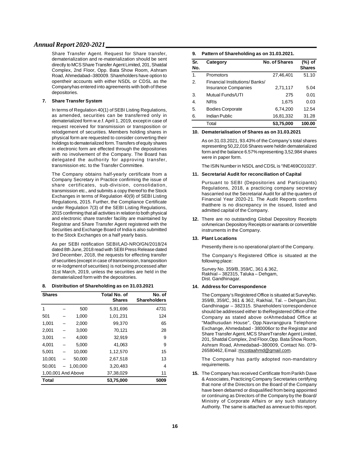Share Transfer Agent. Request for Share transfer, dematerialization and re-materialization should be sent directly to MCS Share Transfer Agent Limited, 201, Shatdal Complex, 2nd Floor, Opp. Bata Show Room, Ashram Road, Ahmedabad–380009. Shareholders have option to opentheir accounts with either NSDL or CDSL as the Companyhas entered into agreements with both of these depositories.

#### **7. Share Transfer System**

In terms of Regulation 40(1) of SEBI Listing Regulations, as amended, securities can be transferred only in dematerialized form w.e.f. April 1, 2019, except in case of request received for transmission or transposition or relodgement of securities. Members holding shares in physical form are requested to consider converting their holdings to dematerialized form. Transfers of equity shares in electronic form are effected through the depositories with no involvement of the Company. The Board has delegated the authority for approving transfer, transmission etc. to the Transfer Committee.

The Company obtains half-yearly certificate from a Company Secretary in Practice confirming the issue of share certificates, sub-division, consolidation, transmission etc., and submits a copy thereof to the Stock Exchanges in terms of Regulation 40(9) of SEBI Listing Regulations, 2015. Further, the Compliance Certificate under Regulation 7(3) of the SEBI Listing Regulations, 2015 confirming that all activities in relation to both physical and electronic share transfer facility are maintained by Registrar and Share Transfer Agent registered with the Securities and Exchange Board of India is also submitted to the Stock Exchanges on a half yearly basis.

As per SEBI notification SEBI/LAD-NRO/GN/2018/24 dated 8th June, 2018 read with SEBI Press Release dated 3rd December, 2018, the requests for effecting transfer of securities (except in case of transmission, transposition or re-lodgment of securities) is not being processed after 31st March, 2019, unless the securities are held in the dematerialized form with the depositories.

#### **8. Distribution of Shareholding as on 31.03.2021**

| <b>Shares</b>      |          | Total No. of<br><b>Shares</b> | No. of<br><b>Shareholders</b> |
|--------------------|----------|-------------------------------|-------------------------------|
| 1                  | 500      | 5,91,696                      | 4731                          |
| 501                | 1,000    | 1,01,231                      | 124                           |
| 1,001              | 2,000    | 99,370                        | 65                            |
| 2,001              | 3,000    | 70,121                        | 28                            |
| 3,001              | 4.000    | 32,919                        | 9                             |
| 4,001              | 5,000    | 41,063                        | 9                             |
| 5,001              | 10,000   | 1,12,570                      | 15                            |
| 10.001             | 50,000   | 2.67.518                      | 13                            |
| 50,001             | 1,00,000 | 3,20,483                      | 4                             |
| 1,00,001 And Above |          | 37,38,029                     | 11                            |
| Total              |          | 53.75.000                     | 5009                          |

#### **9. Pattern of Shareholding as on 31.03.2021.**

| Sr.<br>No.            | Category                                                    | <b>No. of Shares</b> | (%) of<br><b>Shares</b> |
|-----------------------|-------------------------------------------------------------|----------------------|-------------------------|
| 1.                    | Promotors                                                   | 27,46,401            | 51.10                   |
| $\mathcal{P}_{\cdot}$ | Financial Institutions/Banks/<br><b>Insurance Companies</b> | 2,71,117             | 5.04                    |
| 3.                    | Mutual Funds/UTI                                            | 275                  | 0.01                    |
| 4.                    | <b>NRIs</b>                                                 | 1,675                | 0.03                    |
| 5.                    | <b>Bodies Corporate</b>                                     | 6,74,200             | 12.54                   |
| 6.                    | Indian Public                                               | 16,81,332            | 31.28                   |
|                       | Total                                                       | 53,75,000            | 100.00                  |

#### **10. Dematerialisation of Shares as on 31.03.2021**

As on 31.03.2021, 93.43% of the Company's total shares representing 50,22,016 Shares were heldin dematerialized form and the balance 6.57% representing 3,52,984 shares were in paper form.

The ISIN Number in NSDL and CDSL is "INE469C01023".

#### **11. Secretarial Audit for reconciliation of Capital**

Pursuant to SEBI (Depositories and Participants) Regulations, 2018, a practicing company secretary hascarried out the Secretarial Audit for all the quarters of Financial Year 2020-21. The Audit Reports confirms thatthere is no discrepancy in the issued, listed and admitted capital of the Company.

**12.** There are no outstanding Global Depository Receipts orAmerican Depository Receipts or warrants or convertible instruments in the Company.

#### **13. Plant Locations**

Presently there is no operational plant of the Company.

The Company's Registered Office is situated at the following place:

Survey No. 359/B, 359/C, 361 & 362, Rakhial – 382315, Taluka – Dehgam, Dist. Gandhinagar.

#### **14. Address for Correspondence**

The Company's Registered Office is situated at SurveyNo. 359/B, 359/C, 361 & 362, Rakhial, Tal. – Dehgam,Dist. Gandhinagar – 382315. Shareholders'correspondence should be addressed either to theRegistered Office of the Company as stated above orAhmedabad Office at "Madhusudan House", Opp.Navrangpura Telephone Exchange, Ahmedabad - 380006or to the Registrar and Share Transfer Agent, MCS ShareTransfer Agent Limited, 201, Shatdal Complex, 2nd Floor,Opp. Bata Show Room, Ashram Road, Ahmedabad–380009, Contact No. 079- 26580462, Email [:mcsstaahmd@gmail.com.](mailto::mcsstaahmd@gmail.com.)

The Company has partly adopted non-mandatory requirements.

**15.** The Company has received Certificate from Parikh Dave & Associates, Practicing Company Secretaries certifying that none of the Directors on the Board of the Company have been debarred or disqualified from being appointed or continuing as Directors of the Company by the Board/ Ministry of Corporate Affairs or any such statutory Authority. The same is attached as annexue to this report.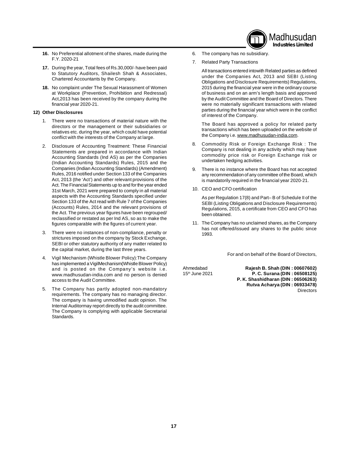

- **16.** No Preferential allotment of the shares, made during the F.Y. 2020-21
- **17.** During the year, Total fees of Rs.30,000/- have been paid to Statutory Auditors, Shailesh Shah & Associates, Chartered Accountants by the Company.
- **18.** No complaint under The Sexual Harassment of Women at Workplace (Prevention, Prohibition and Redressal) Act,2013 has been received by the company during the financial year 2020-21.

#### **12) Other Disclosures**

- 1. There were no transactions of material nature with the directors or the management or their subsidiaries or relatives etc. during the year, which could have potential conflict with the interests of the Company at large.
- 2. Disclosure of Accounting Treatment: These Financial Statements are prepared in accordance with Indian Accounting Standards (Ind AS) as per the Companies (Indian Accounting Standards) Rules, 2015 and the Companies (Indian Accounting Standards) (Amendment) Rules, 2016 notified under Section 133 of the Companies Act, 2013 (the 'Act') and other relevant provisions of the Act. The Financial Statements up to and for the year ended 31st March, 2021 were prepared to comply in all material aspects with the Accounting Standards specified under Section 133 of the Act read with Rule 7 of the Companies (Accounts) Rules, 2014 and the relevant provisions of the Act. The previous year figures have been regrouped/ reclassified or restated as per Ind AS, so as to make the figures comparable with the figures of current year.
- 3. There were no instances of non-compliance, penalty or strictures imposed on the company by Stock Exchange, SEBI or other statutory authority of any matter related to the capital market, during the last three years.
- 4. Vigil Mechanism (Whistle Blower Policy):The Company has implemented a VigilMechanism(Whistle Blower Policy) and is posted on the Company's website i.e. [www.madhusudan-india.com](http://www.madhusudan-india.com) and no person is denied access to the Audit Committee.
- 5. The Company has partly adopted non-mandatory requirements. The company has no managing director. The company is having unmodified audit opinion. The Internal Auditormay report directly to the audit committee. The Company is complying with applicable Secretarial Standards.
- 6. The company has no subsidiary.
- 7. Related Party Transactions
	- All transactions entered intowith Related parties as defined under the Companies Act, 2013 and SEBI (Listing Obligations and Disclosure Requirements) Regulations, 2015 during the financial year were in the ordinary course of business and on an arm's length basis and approved by the Audit Committee and the Board of Directors. There were no materially significant transactions with related parties during the financial year which were in the conflict of interest of the Company.

The Board has approved a policy for related party transactions which has been uploaded on the website of the Company i.e. [www.madhusudan-india.com.](http://www.madhusudan-india.com.)

- 8. Commodity Risk or Foreign Exchange Risk : The Company is not dealing in any activity which may have commodity price risk or Foreign Exchange risk or undertaken hedging activities.
- 9. There is no instance where the Board has not accepted any recommendation of any committee of the Board, which is mandatorily required in the financial year 2020-21.
- 10. CEO and CFO certification

As per Regulation 17(8) and Part– B of Schedule II of the SEBI (Listing Obligations and Disclosure Requirements) Regulations, 2015, a certificate from CEO and CFO has been obtained.

11. The Company has no unclaimed shares, as the Company has not offered/issued any shares to the public since 1993.

For and on behalf of the Board of Directors,

Ahmedabad **Rajesh B. Shah (DIN : 00607602)** 15th June 2021 **P. C. Surana (DIN : 06508125) P. K. Shashidharan (DIN : 06506263) Rutva Acharya (DIN : 06933478) Directors**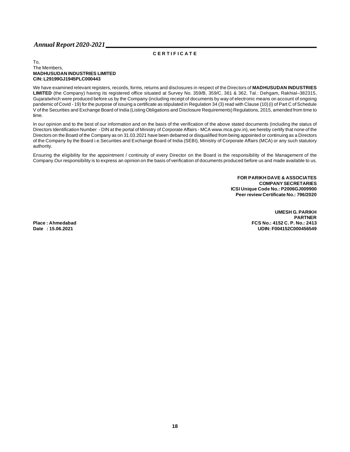# **C E R T I F I C A T E**

#### To, The Members, **MADHUSUDAN INDUSTRIES LIMITED CIN: L29199GJ1945PLC000443**

We have examined relevant registers, records, forms, returns and disclosures in respect of the Directors of **MADHUSUDAN INDUSTRIES LIMITED** (the Company) having its registered office situated at Survey No. 359/B, 359/C, 361 & 362, Tal.: Dehgam, Rakhial–382315, Gujaratwhich were produced before us by the Company (including receipt of documents by way of electronic means on account of ongoing pandemic of Covid - 19) for the purpose of issuing a certificate as stipulated in Regulation 34 (3) read with Clause (10) (i) of Part C of Schedule V of the Securities and Exchange Board of India (Listing Obligations and Disclosure Requirements) Regulations, 2015, amended from time to time.

In our opinion and to the best of our information and on the basis of the verification of the above stated documents (including the status of Directors Identification Number - DIN at the portal of Ministry of Corporate Affairs - MCA [www.mca.gov.in\),](http://www.mca.gov.in),) we hereby certify that none of the Directors on the Board of the Company as on 31.03.2021 have been debarred or disqualified from being appointed or continuing as a Directors of the Company by the Board i.e.Securities and Exchange Board of India (SEBI), Ministry of Corporate Affairs (MCA) or any such statutory authority.

Ensuring the eligibility for the appointment / continuity of every Director on the Board is the responsibility of the Management of the Company.Our responsibility is to express an opinion on the basis of verification of documents produced before us and made available to us.

> **FOR PARIKH DAVE & ASSOCIATES COMPANY SECRETARIES ICSI Unique Code No.: P2006GJ009900 Peer review Certificate No.: 796/2020**

**UMESH G. PARIKH PARTNER Place : Ahmedabad FCS No.: 4152 C. P. No.: 2413 Date : 15.06.2021 UDIN: F004152C000456549**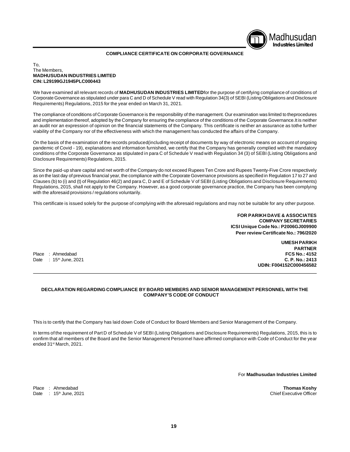# Madhusudan **Industries Limited**

### **COMPLIANCE CERTIFICATE ON CORPORATE GOVERNANCE**

#### To, The Members, **MADHUSUDAN INDUSTRIES LIMITED CIN: L29199GJ1945PLC000443**

We have examined all relevant records of **MADHUSUDAN INDUSTRIES LIMITED**for the purpose of certifying compliance of conditions of Corporate Governance as stipulated under para C and D of Schedule V read with Regulation 34(3) of SEBI (Listing Obligations and Disclosure Requirements) Regulations, 2015 for the year ended on March 31, 2021.

The compliance of conditions of Corporate Governance is the responsibility of the management. Our examination was limited to theprocedures and implementation thereof, adopted by the Company for ensuring the compliance of the conditions of the Corporate Governance.It is neither an audit nor an expression of opinion on the financial statements of the Company. This certificate is neither an assurance as tothe further viability of the Company nor of the effectiveness with which the management has conducted the affairs of the Company.

On the basis of the examination of the records produced(including receipt of documents by way of electronic means on account of ongoing pandemic of Covid - 19), explanations and information furnished, we certify that the Company has generally complied with the mandatory conditions of the Corporate Governance as stipulated in para C of Schedule V read with Regulation 34 (3) of SEBI (Listing Obligations and Disclosure Requirements) Regulations, 2015.

Since the paid-up share capital and net worth of the Company do not exceed Rupees Ten Crore and Rupees Twenty-Five Crore respectively as on the last day of previous financial year, the compliance with the Corporate Governance provisions as specified in Regulation 17 to 27 and Clauses (b) to (i) and (t) of Regulation 46(2) and para C, D and E of Schedule V of SEBI (Listing Obligations and Disclosure Requirements) Regulations, 2015, shall not apply to the Company. However, as a good corporate governance practice, the Company has been complying with the aforesaid provisions / regulations voluntarily.

This certificate is issued solely for the purpose of complying with the aforesaid regulations and may not be suitable for any other purpose.

**FOR PARIKH DAVE & ASSOCIATES COMPANY SECRETARIES ICSI Unique Code No.: P2006GJ009900 Peer review Certificate No.: 796/2020**

Place : Ahmedahad

**UMESH PARIKH PARTNER**<br>**FCS No.: 4152** Date : 15th June, 2021 **C. P. No.: 2413 UDIN: F004152C000456582**

#### **DECLARATION REGARDING COMPLIANCE BY BOARD MEMBERS AND SENIOR MANAGEMENT PERSONNEL WITH THE COMPANY'S CODE OF CONDUCT**

This is to certify that the Company has laid down Code of Conduct for Board Members and Senior Management of the Company.

In terms of the requirement of Part D of Schedule V of SEBI (Listing Obligations and Disclosure Requirements) Regulations, 2015, this is to confirm that all members of the Board and the Senior Management Personnel have affirmed compliance with Code of Conduct for the year ended 31st March, 2021.

For **Madhusudan Industries Limited**

Place : Ahmedabad **Thomas Koshy** Date :  $15<sup>th</sup>$  June, 2021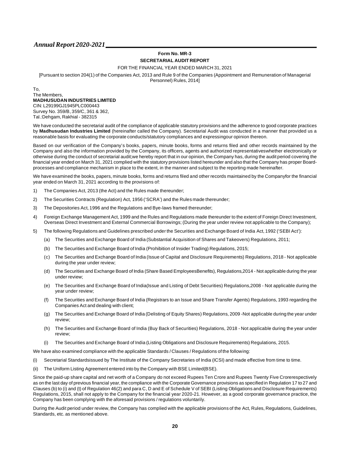#### **Form No. MR-3 SECRETARIAL AUDIT REPORT**

FOR THE FINANCIAL YEAR ENDED MARCH 31, 2021

[Pursuant to section 204(1) of the Companies Act, 2013 and Rule 9 of the Companies (Appointment and Remuneration of Managerial Personnel) Rules, 2014]

To, The Members, **MADHUSUDAN INDUSTRIES LIMITED** CIN: L29199GJ1945PLC000443 Survey No. 359/B, 359/C, 361 & 362, Tal.:Dehgam, Rakhial - 382315

We have conducted the secretarial audit of the compliance of applicable statutory provisions and the adherence to good corporate practices by **Madhusudan Industries Limited** (hereinafter called the Company). Secretarial Audit was conducted in a manner that provided us a reasonable basis for evaluating the corporate conducts/statutory compliances and expressingour opinion thereon.

Based on our verification of the Company's books, papers, minute books, forms and returns filed and other records maintained by the Company and also the information provided by the Company, its officers, agents and authorized representativeswhether electronically or otherwise during the conduct of secretarial audit;we hereby report that in our opinion, the Company has, during the audit period covering the financial year ended on March 31, 2021 complied with the statutory provisions listed hereunder and also that the Company has proper Boardprocesses and compliance mechanism in place to the extent, in the manner and subject to the reporting made hereinafter.

We have examined the books, papers, minute books, forms and returns filed and other records maintained by the Companyfor the financial year ended on March 31, 2021 according to the provisions of:

- 1) The Companies Act, 2013 (the Act) and the Rules made thereunder;
- 2) The Securities Contracts (Regulation) Act, 1956 ('SCRA') and the Rules made thereunder;
- 3) The Depositories Act, 1996 and the Regulations and Bye-laws framed thereunder;
- 4) Foreign Exchange Management Act, 1999 and the Rules and Regulations made thereunder to the extent of Foreign Direct Investment, Overseas Direct Investment and External Commercial Borrowings; (During the year under review not applicable to the Company);
- 5) The following Regulations and Guidelines prescribed under the Securities and Exchange Board of India Act, 1992 ('SEBI Act'):
	- (a) The Securities and Exchange Board of India (Substantial Acquisition of Shares and Takeovers) Regulations, 2011;
	- (b) The Securities and Exchange Board of India (Prohibition of Insider Trading) Regulations, 2015;
	- (c) The Securities and Exchange Board of India (Issue of Capital and Disclosure Requirements) Regulations, 2018 Not applicable during the year under review;
	- (d) The Securities and Exchange Board of India (Share Based EmployeesBenefits), Regulations,2014 Not applicable during the year under review;
	- (e) The Securities and Exchange Board of India(Issue and Listing of Debt Securities) Regulations,2008 Not applicable during the year under review;
	- (f) The Securities and Exchange Board of India (Registrars to an Issue and Share Transfer Agents) Regulations, 1993 regarding the Companies Act and dealing with client;
	- (g) The Securities and Exchange Board of India (Delisting of Equity Shares) Regulations, 2009 -Not applicable during the year under review;
	- (h) The Securities and Exchange Board of India (Buy Back of Securities) Regulations, 2018 Not applicable during the year under review;
	- (i) The Securities and Exchange Board of India (Listing Obligations and Disclosure Requirements) Regulations, 2015.

We have also examined compliance with the applicable Standards / Clauses / Regulations of the following:

- (i) Secretarial Standardsissued by The Institute of the Company Secretaries of India (ICSI) and made effective from time to time.
- (ii) The Uniform Listing Agreement entered into by the Company with BSE Limited(BSE).

Since the paid-up share capital and net worth of a Company do not exceed Rupees Ten Crore and Rupees Twenty Five Crorerespectively as on the last day of previous financial year, the compliance with the Corporate Governance provisions as specified in Regulation 17 to 27 and Clauses (b) to (i) and (t) of Regulation 46(2) and para C, D and E of Schedule V of SEBI (Listing Obligations and Disclosure Requirements) Regulations, 2015, shall not apply to the Company for the financial year 2020-21. However, as a good corporate governance practice, the Company has been complying with the aforesaid provisions / regulations voluntarily.

During the Audit period under review, the Company has complied with the applicable provisions of the Act, Rules, Regulations, Guidelines, Standards, etc. as mentioned above.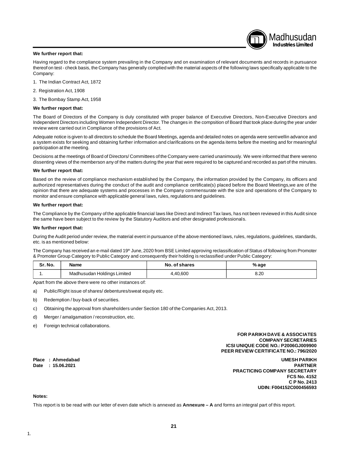#### **We further report that:**

Madhusudan **Industries Limited**

Having regard to the compliance system prevailing in the Company and on examination of relevant documents and records in pursuance thereof on test - check basis, the Company has generally complied with the material aspects of the following laws specifically applicable to the Company:

- 1. The Indian Contract Act, 1872
- 2. Registration Act, 1908
- 3. The Bombay Stamp Act, 1958

#### **We further report that:**

The Board of Directors of the Company is duly constituted with proper balance of Executive Directors, Non-Executive Directors and Independent Directors including Women Independent Director. The changes in the compsition of Board that took place during the year under review were carried out in Compliance of the provisions of Act.

Adequate notice is given to all directors to schedule the Board Meetings, agenda and detailed notes on agenda were sent wellin advance and a system exists for seeking and obtaining further information and clarifications on the agenda items before the meeting and for meaningful participation at the meeting.

Decisions at the meetings of Board of Directors/ Committees of the Company were carried unanimously. We were informed that there wereno dissenting views of the memberson any of the matters during the year that were required to be captured and recorded as part of the minutes.

#### **We further report that:**

Based on the review of compliance mechanism established by the Company, the information provided by the Company, its officers and authorized representatives during the conduct of the audit and compliance certificate(s) placed before the Board Meetings,we are of the opinion that there are adequate systems and processes in the Company commensurate with the size and operations of the Company to monitor and ensure compliance with applicable general laws, rules, regulations and guidelines.

#### **We further report that:**

The Compliance by the Company of the applicable financial laws like Direct and Indirect Tax laws, has not been reviewed in this Audit since the same have been subject to the review by the Statutory Auditors and other designated professionals.

#### **We further report that:**

During the Audit period under review, the material event in pursuance of the above mentioned laws, rules, regulations, guidelines, standards, etc. is as mentioned below:

The Company has received an e-mail dated 19<sup>th</sup> June, 2020 from BSE Limited approving reclassification of Status of following from Promoter & Promoter Group Category to Public Category and consequently their holding is reclassified under Public Category:

| Sr. No. | Name                        | No. of shares | % age |
|---------|-----------------------------|---------------|-------|
|         | Madhusudan Holdings Limited | .40.600       | 8.20  |

Apart from the above there were no other instances of:

- a) Public/Right issue of shares/ debentures/sweat equity etc.
- b) Redemption / buy-back of securities.
- c) Obtaining the approval from shareholders under Section 180 of the Companies Act, 2013.
- d) Merger / amalgamation / reconstruction, etc.
- e) Foreign technical collaborations.

#### **FOR PARIKH DAVE & ASSOCIATES COMPANY SECRETARIES ICSI UNIQUE CODE NO.: P2006GJ009900 PEER REVIEW CERTIFICATE NO.: 796/2020**

**Place : Ahmedabad UMESH PARIKH Date : 15.06.2021 PARTNER PRACTICING COMPANY SECRETARY FCS No. 4152 C P No. 2413 UDIN: F004152C000456593**

#### **Notes:**

This report is to be read with our letter of even date which is annexed as **Annexure – A** and forms an integral part of this report.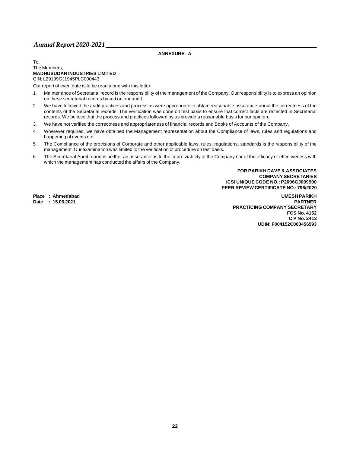# **ANNEXURE - A**

#### To, The Members, **MADHUSUDAN INDUSTRIES LIMITED** CIN: L29199GJ1945PLC000443

Our report of even date is to be read along with this letter.

- 1. Maintenance of Secretarial record is the responsibility of the management of the Company. Our responsibility is to express an opinion on these secretarial records based on our audit.
- 2. We have followed the audit practices and process as were appropriate to obtain reasonable assurance about the correctness of the contents of the Secretarial records. The verification was done on test basis to ensure that correct facts are reflected in Secretarial records. We believe that the process and practices followed by us provide a reasonable basis for our opinion.
- 3. We have not verified the correctness and appropriateness of financial records and Books of Accounts of the Company.
- 4. Wherever required, we have obtained the Management representation about the Compliance of laws, rules and regulations and happening of events etc.
- 5. The Compliance of the provisions of Corporate and other applicable laws, rules, regulations, standards is the responsibility of the management. Our examination was limited to the verification of procedure on test basis.
- 6. The Secretarial Audit report is neither an assurance as to the future viability of the Company nor of the efficacy or effectiveness with which the management has conducted the affairs of the Company.

**FOR PARIKH DAVE & ASSOCIATES COMPANY SECRETARIES ICSI UNIQUE CODE NO.: P2006GJ009900 PEER REVIEW CERTIFICATE NO.: 796/2020**

**Place : Ahmedabad UMESH PARIKH**

**Date : 15.06.2021 PARTNER PRACTICING COMPANY SECRETARY FCS No. 4152 C P No. 2413 UDIN: F004152C000456593**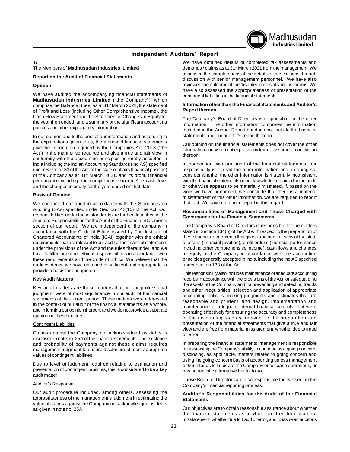

# **Independent Auditors' Report**

To,

#### The Members of **Madhusudan Industries Limited**

#### **Report on the Audit of Financial Statements**

#### **Opinion**

We have audited the accompanying financial statements of **Madhusudan Industries Limited** ("the Company"), which comprise the Balance Sheet as at 31st March 2021, the statement of Profit and Loss (including Other Comprehensive Income), the Cash Flow Statement and the Statement of Changes in Equity for the year then ended, and a summary of the significant accounting policies and other explanatory information.

In our opinion and to the best of our information and according to the explanations given to us, the aforesaid financial statements give the information required by the Companies Act, 2013 ("the Act") in the manner so required and give a true and fair view in conformity with the accounting principles generally accepted in India including the Indian Accounting Standards (Ind AS) specified under Section 133 of the Act, of the state of affairs (financial position) of the Company as at 31<sup>st</sup> March, 2021, and its profit, (financial performance including other comprehensive income), its cash flows and the changes in equity for the year ended on that date.

#### **Basis of Opinion**

We conducted our audit in accordance with the Standards on Auditing (SAs) specified under Section 143(10) of the Act. Our responsibilities under those standards are further described in the Auditors Responsibilities for the Audit of the Financial Statements section of our report. We are independent of the company in accordance with the Code of Ethics issued by The Institute of Chartered Accountants of India (ICAI) together with the ethical requirements that are relevant to our audit of the financial statements under the provisions of the Act and the rules thereunder, and we have fulfilled our other ethical responsibilities in accordance with these requirements and the Code of Ethics. We believe that the audit evidence we have obtained is sufficient and appropriate to provide a basis for our opinion.

#### **Key Audit Matters**

Key audit matters are those matters that, in our professional judgment, were of most significance in our audit of thefinancial statements of the current period. These matters were addressed in the context of our audit of the financial statements as a whole, and in forming our opinion thereon, and we do not provide a separate opinion on these matters.

#### Contingent Liabilities

Claims against the Company not acknowledged as debts is disclosed in note no. 25A of the financial statements. The existence and probability of payments against these claims requires management judgment to ensure disclosure of most appropriate values of contingent liabilities.

Due to level of judgment required relating to estimation and presentation of contingent liabilities, this is considered to be a key audit matter.

#### Auditor's Response

Our audit procedure included, among others, assessing the appropriateness of the management's judgment in estimating the value of claims against the Company not acknowledged as debts as given in note no. 25A.

We have obtained details of completed tax assessments and demands / claims as at 31<sup>st</sup> March 2021 from the management. We assessed the completeness of the details of these claims through discussion with senior management personnel. We have also reviewed the outcome of the disputed cases at various forums. We have also assessed the appropriateness of presentation of the contingent liabilities in the financial statements.

#### **Information other than the Financial Statements and Auditor's Report thereon**

The Company's Board of Directors is responsible for the other information. The other information comprises the information included in the Annual Report but does not include the financial statements and our auditor's report thereon.

Our opinion on the financial statements does not cover the other information and we do not express any form of assurance conclusion thereon.

In connection with our audit of the financial statements, our responsibility is to read the other information and, in doing so, consider whether the other information is materially inconsistent with the financial statements or our knowledge obtained in the audit or otherwise appears to be materially misstated. If, based on the work we have performed, we conclude that there is a material misstatement of this other information, we are required to report that fact. We have nothing to report in this regard.

#### **Responsibilities of Management and Those Charged with Governance for the Financial Statements**

The Company's Board of Directors is responsible for the matters stated in Section 134(5) of the Act with respect to the preparation of these financial statements that give a true and fair view of the state of affairs (financial position), profit or loss (financial performance including other comprehensive income), cash flows and changes in equity of the Company in accordance with the accounting principles generally accepted in India, including the Ind AS specified under section 133 of the Act.

This responsibility also includes maintenance of adequate accounting records in accordance with the provisions of the Act for safeguarding the assets of the Company and for preventing and detecting frauds and other irregularities; selection and application of appropriate accounting policies; making judgments and estimates that are reasonable and prudent; and design, implementation and maintenance of adequate internal financial controls, that were operating effectively for ensuring the accuracy and completeness of the accounting records, relevant to the preparation and presentation of the financial statements that give a true and fair view and are free from material misstatement, whether due to fraud or error.

In preparing the financial statements, management is responsible for assessing the Company's ability to continue as a going concern, disclosing, as applicable, matters related to going concern and using the going concern basis of accounting unless management either intends to liquidate the Company or to cease operations, or has no realistic alternative but to do so.

Those Board of Directors are also responsible for overseeing the Company's financial reporting process.

#### **Auditor's Responsibilities for the Audit of the Financial Statements**

Our objectives are to obtain reasonable assurance about whether the financial statements as a whole are free from material misstatement, whether due to fraud or error, and to issue an auditor's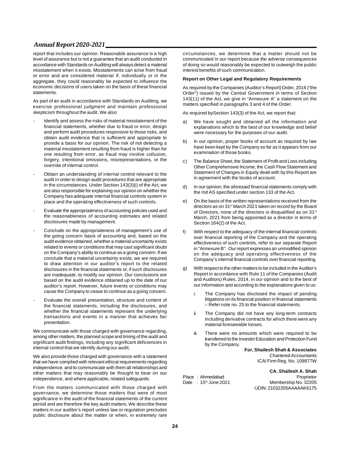report that includes our opinion. Reasonable assurance is a high level of assurance but is not a guarantee that an audit conducted in accordance with Standards on Auditing will always detect a material misstatement when it exists. Misstatements can arise from fraud or error and are considered material if, individually or in the aggregate, they could reasonably be expected to influence the economic decisions of users taken on the basis of these financial statements.

As part of an audit in accordance with Standards on Auditing, we exercise professional judgment and maintain professional skepticism throughout the audit. We also:

- Identify and assess the risks of material misstatement of the financial statements, whether due to fraud or error, design and perform audit procedures responsive to those risks, and obtain audit evidence that is sufficient and appropriate to provide a basis for our opinion. The risk of not detecting a material misstatement resulting from fraud is higher than for one resulting from error, as fraud may involve collusion, forgery, intentional omissions, misrepresentations, or the override of internal control.
- Obtain an understanding of internal control relevant to the audit in order to design audit procedures that are appropriate in the circumstances. Under Section 143(3)(i) of the Act, we are also responsible for explaining our opinion on whether the Company has adequate internal financial controls system in place and the operating effectiveness of such controls.
- Evaluate the appropriateness of accounting policies used and the reasonableness of accounting estimates and related disclosures made by management.
- Conclude on the appropriateness of management's use of the going concern basis of accounting and, based on the audit evidence obtained, whether a material uncertainty exists related to events or conditions that may cast significant doubt on the Company's ability to continue as a going concern. If we conclude that a material uncertainty exists, we are required to draw attention in our auditor's report to the related disclosures in the financial statements or, if such disclosures are inadequate, to modify our opinion. Our conclusions are based on the audit evidence obtained up to the date of our auditor's report. However, future events or conditions may cause the Company to cease to continue as a going concern.
- Evaluate the overall presentation, structure and content of the financial statements, including the disclosures, and whether the financial statements represent the underlying transactions and events in a manner that achieves fair presentation.

We communicate with those charged with governance regarding, among other matters, the planned scope and timing of the audit and significant audit findings, including any significant deficiencies in internal control that we identify during our audit.

We also provide those charged with governance with a statement that we have complied with relevant ethical requirements regarding independence, and to communicate with them all relationships and other matters that may reasonably be thought to bear on our independence, and where applicable, related safeguards.

From the matters communicated with those charged with governance, we determine those matters that were of most significance in the audit of the financial statements of the current period and are therefore the key audit matters. We describe these matters in our auditor's report unless law or regulation precludes public disclosure about the matter or when, in extremely rare

circumstances, we determine that a matter should not be communicated in our report because the adverse consequences of doing so would reasonably be expected to outweigh the public interest benefits of such communication.

#### **Report on Other Legal and Regulatory Requirements**

As required by the Companies (Auditor's Report) Order, 2016 ("the Order") issued by the Central Government in terms of Section 143(11) of the Act, we give in "Annexure A" a statement on the matters specified in paragraphs 3 and 4 of the Order.

As required bySection 143(3) of the Act, we report that:

- a) We have sought and obtained all the information and explanations which to the best of our knowledge and belief were necessary for the purposes of our audit.
- b) In our opinion, proper books of account as required by law have been kept by the Company so far as it appears from our examination of those books.
- c) The Balance Sheet, the Statement of Profit and Loss including Other Comprehensive Income, the Cash Flow Statement and Statement of Changes in Equity dealt with by this Report are in agreement with the books of account.
- d) In our opinion, the aforesaid financial statements comply with the Ind AS specified under section 133 of the Act.
- e) On the basis of the written representations received from the directors as on 31st March 2021 taken on record by the Board of Directors, none of the directors is disqualified as on 31<sup>st</sup> March, 2021 from being appointed as a director in terms of Section 164(2) of the Act.
- f) With respect to the adequacy of the internal financial controls over financial reporting of the Company and the operating effectiveness of such controls, refer to our separate Report in "Annexure B". Our report expresses an unmodified opinion on the adequacy and operating effectiveness of the Company's internal financial controls over financial reporting.
- g) With respect to the other matters to be included in the Auditor's Report in accordance with Rule 11 of the Companies (Audit and Auditors) Rules, 2014, in our opinion and to the best of our information and according to the explanations given to us:
	- i. The Company has disclosed the impact of pending litigations on its financial position in financial statements – Refer note no. 25 to the financial statements.
	- ii. The Company did not have any long-term contracts including derivative contracts for which there were any material foreseeable losses.
	- iii. There were no amounts which were required to be transferred to the Investor Education and Protection Fund by the Company.

**For, Shailesh Shah & Associates** Chartered Accountants ICAI Firm Reg. No. 109877W

**CA. Shailesh A. Shah** Place : Ahmedabad<br>
Date : 15<sup>th</sup> June 2021 Membership No. 32205 Membership No. 32205 UDIN: 21032205AAAAAK6175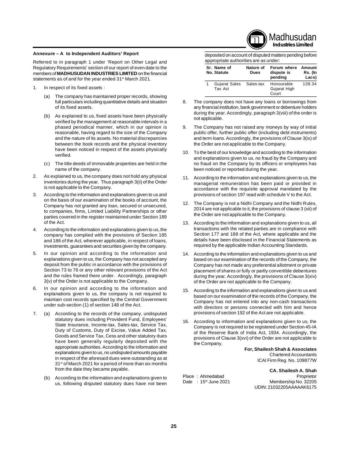#### **Annexure – A to Independent Auditors' Report**

Referred to in paragraph 1 under 'Report on Other Legal and Regulatory Requirements' section of our report of even date to the members of **MADHUSUDAN INDUSTRIES LIMITED** on the financial statements as of and for the year ended 31<sup>st</sup> March 2021.

- 1. In respect of its fixed assets :
	- (a) The company has maintained proper records, showing full particulars including quantitative details and situation of its fixed assets.
	- (b) As explained to us, fixed assets have been physically verified by the management at reasonable intervals in a phased periodical manner, which in our opinion is reasonable, having regard to the size of the Company and the nature of its assets. No material discrepancies between the book records and the physical inventory have been noticed in respect of the assets physically verified.
	- (c) The title deeds of immovable properties are held in the name of the company.
- 2. As explained to us, the company does not hold any physical inventories during the year. Thus paragraph 3(ii) of the Order is not applicable to the Company.
- 3. According to the information and explanations given to us and on the basis of our examination of the books of account, the Company has not granted any loan, secured or unsecured, to companies, firms, Limited Liability Partnerships or other parties covered in the register maintained under Section 189 of the Act.
- 4. According to the information and explanations given to us, the company has complied with the provisions of Section 185 and 186 of the Act, wherever applicable, in respect of loans, investments, guarantees and securities given by the company.
- 5. In our opinion and according to the information and explanations given to us, the Company has not accepted any deposit from the public in accordance with the provisions of Section 73 to 76 or any other relevant provisions of the Act and the rules framed there under. Accordingly, paragraph 3(v) of the Order is not applicable to the Company.
- 6. In our opinion and according to the information and explanations given to us, the company is not required to maintain cost records specified by the Central Government under sub-section (1) of section 148 of the Act.
- 7. (a) According to the records of the company, undisputed statutory dues including Provident Fund, Employees' State Insurance, Income-tax, Sales-tax, Service Tax, Duty of Customs, Duty of Excise, Value Added Tax, Goods and Service Tax, Cess and other statutory dues have been generally regularly deposited with the appropriate authorities. According to the information and explanations given to us, no undisputed amounts payable in respect of the aforesaid dues were outstanding as at 31<sup>st</sup> of March 2021 for a period of more than six months from the date they became payable.
	- (b) According to the information and explanations given to us, following disputed statutory dues have not been

**Industries Limited** deposited on account of disputed matters pending before

Madhusudan

|   | appropriate authorities are as under: |                   |                                      |                            |
|---|---------------------------------------|-------------------|--------------------------------------|----------------------------|
|   | Sr. Name of<br><b>No. Statute</b>     | Nature of<br>Dues | Forum where<br>dispute is<br>pending | Amount<br>Rs. (In<br>Lacs) |
| 1 | Gujarat Sales Sales-tax<br>Tax Act    |                   | Honourable<br>Gujarat High<br>Court  | 139.34                     |

- 8. The company does not have any loans or borrowings from any financial institution, bank government or debenture holders during the year. Accordingly, paragraph 3(viii) of the order is not applicable.
- 9. The Company has not raised any moneys by way of initial public offer, further public offer (including debt instruments) and term loans. Accordingly, the provisions of Clause 3(ix) of the Order are not applicable to the Company.
- 10. To the best of our knowledge and according to the information and explanations given to us, no fraud by the Company and no fraud on the Company by its officers or employees has been noticed or reported during the year.
- 11. According to the information and explanations given to us, the managerial remuneration has been paid or provided in accordance with the requisite approval mandated by the provisions of section 197 read with schedule V to the Act.
- 12. The Company is not a Nidhi Company and the Nidhi Rules, 2014 are not applicable to it, the provisions of clause 3 (xii) of the Order are not applicable to the Company.
- 13. According to the information and explanations given to us, all transactions with the related parties are in compliance with Section 177 and 188 of the Act, where applicable and the details have been disclosed in the Financial Statements as required by the applicable Indian Accounting Standards.
- 14. According to the information and explanations given to us and based on our examination of the records of the Company, the Company has not made any preferential allotment or private placement of shares or fully or partly convertible debentures during the year. Accordingly, the provisions of Clause 3(xiv) of the Order are not applicable to the Company.
- 15. According to the information and explanations given to us and based on our examination of the records of the Company, the Company has not entered into any non-cash transactions with directors or persons connected with him and hence provisions of section 192 of the Act are not applicable.
- 16. According to information and explanations given to us, the Company is not required to be registered under Section 45-IA of the Reserve Bank of India Act, 1934. Accordingly, the provisions of Clause 3(xvi) of the Order are not applicable to the Company.

**For, Shailesh Shah & Associates** Chartered Accountants ICAI Firm Reg. No. 109877W

**CA. Shailesh A. Shah** Place : Ahmedabad<br>
Date : 15<sup>th</sup> June 2021 Membership No. 32205 Membership No. 32205 UDIN: 21032205AAAAAK6175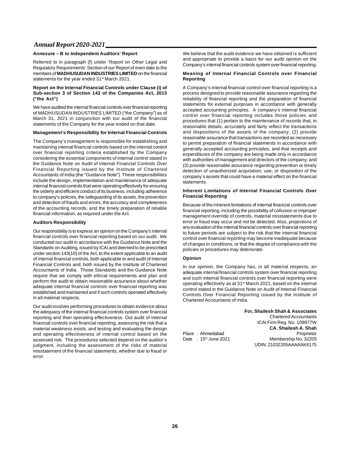#### **Annexure – B to Independent Auditors' Report**

Referred to in paragraph (f) under 'Report on Other Legal and Regulatory Requirements' Section of our Report of even date to the members of **MADHUSUDAN INDUSTRIES LIMITED** on the financial statements for the year ended 31<sup>st</sup> March 2021.

#### **Report on the Internal Financial Controls under Clause (i) of Sub-section 3 of Section 143 of the Companies Act, 2013 ("the Act")**

We have audited the internal financial controls over financial reporting of MADHUSUDAN INDUSTRIES LIMITED ("the Company") as of March 31, 2021 in conjunction with our audit of the financial statements of the Company for the year ended on that date.

#### **Management's Responsibility for Internal Financial Controls**

The Company's management is responsible for establishing and maintaining internal financial controls based on the internal control over financial reporting criteria established by the Company considering the essential components of internal control stated in the Guidance Note on Audit of Internal Financial Controls Over Financial Reporting issued by the Institute of Chartered Accountants of India (the "Guidance Note"). These responsibilities include the design, implementation and maintenance of adequate internal financial controls that were operating effectively for ensuring the orderly and efficient conduct of its business, including adherence to company's policies, the safeguarding of its assets, the prevention and detection of frauds and errors, the accuracy and completeness of the accounting records, and the timely preparation of reliable financial information, as required under the Act.

#### **Auditors Responsibility**

Our responsibility is to express an opinion on the Company's internal financial controls over financial reporting based on our audit. We conducted our audit in accordance with the Guidance Note and the Standards on Auditing, issued by ICAI and deemed to be prescribed under section 143(10) of the Act, to the extent applicable to an audit of internal financial controls, both applicable to and audit of Internal Financial Controls and, both issued by the Institute of Chartered Accountants of India. Those Standards and the Guidance Note require that we comply with ethical requirements and plan and perform the audit to obtain reasonable assurance about whether adequate internal financial controls over financial reporting was established and maintained and if such controls operated effectively in all material respects.

Our audit involves performing procedures to obtain evidence about the adequacy of the internal financial controls system over financial reporting and their operating effectiveness. Out audit of internal financial controls over financial reporting, assessing the risk that a material weakness exists, and testing and evaluating the design and operating effectiveness of internal control based on the assessed risk. The procedures selected depend on the auditor's judgment, including the assessment of the risks of material misstatement of the financial statements, whether due to fraud or error.

We believe that the audit evidence we have obtained is sufficient and appropriate to provide a basis for our audit opinion on the Company's internal financial controls system over financial reporting.

#### **Meaning of Internal Financial Controls over Financial Reporting**

A Company's internal financial control over financial reporting is a process designed to provide reasonable assurance regarding the reliability of financial reporting and the preparation of financial statements for external purposes in accordance with generally accepted accounting principles. A company's internal financial control over financial reporting includes those policies and procedures that (1) pertain to the maintenance of records that, in reasonable details, accurately and fairly reflect the transactions and dispositions of the assets of the company; (2) provide reasonable assurance that transactions are recorded as necessary to permit preparation of financial statements in accordance with generally accepted accounting principles, and that receipts and expenditures of the company are being made only in accordance with authorities of management and directors of the company; and (3) provide reasonable assurance regarding prevention or timely detection of unauthorized acquisition, use, or disposition of the company's assets that could have a material effect on the financial statements.

#### **Inherent Limitations of Internal Financial Controls Over Financial Reporting**

Because of the inherent limitations of internal financial controls over financial reporting, including the possibility of collusion or improper management override of controls, material misstatements due to error or fraud may occur and not be detected. Also, projections of any evaluation of the internal financial controls over financial reporting to future periods are subject to the risk that the internal financial control over financial reporting may become inadequate because of changes in conditions, or that the degree of compliance with the policies or procedures may deteriorate.

#### **Opinion**

Place : Ahmedabad<br>Date : 15<sup>th</sup> June 2021

In our opinion, the Company has, in all material respects, an adequate internal financial controls system over financial reporting and such internal financial controls over financial reporting were operating effectively as at 31st March 2021, based on the internal control stated in the Guidance Note on Audit of Internal Financial Controls Over Financial Reporting issued by the Institute of Chartered Accountants of India.

> **For, Shailesh Shah & Associates** Chartered Accountants ICAI Firm Reg. No. 109877W **CA. Shailesh A. Shah** Membership No. 32205 UDIN: 21032205AAAAAK6175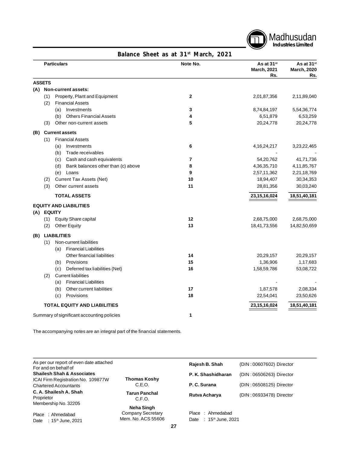

# **Particulars Note No. As at 31st As at 31st March, 2021 March, 2020 Rs. Rs. ASSETS (A) Non-current assets:** (1) Property, Plant and Equipment **2** 2,01,87,356 2,11,89,040 (2) Financial Assets (a) Investments **3** 8,74,84,197 5,54,36,774 (b) Others Financial Assets **4** 6,51,879 6,53,259 (3) Other non-current assets **5** 20,24,778 20,24,778 **(B) Current assets** (1) Financial Assets (a) Investments **6** 4,16,24,217 3,23,22,465 (b) Trade receivables (c) Cash and cash equivalents **7** 54,20,762 41,71,736 (d) Bank balances other than (c) above **8** 4,36,35,710 4,11,85,767 (e) Loans **9** 2,57,11,362 2,21,18,769 (2) Current Tax Assets (Net) **10** 18,94,407 30,34,353 (3) Other current assets **11** 28,81,356 30,03,240 **TOTAL ASSETS 23,15,16,024 18,51,40,181 EQUITY AND LIABILITIES (A) EQUITY** (1) Equity Share capital **12** 2,68,75,000 2,68,75,000 (2) Other Equity **13** 18,41,73,556 14,82,50,659 **(B) LIABILITIES** (1) Non-current liabilities (a) Financial Liabilities Other financial liabilities **14** 20,29,157 20,29,157 (b) Provisions **15** 1,36,906 1,17,683 (c) Deferred tax liabilities (Net) **16** 1,58,59,786 53,08,722 (2) Current liabilities (a) Financial Liabilities (b) Other current liabilities **17** 1,87,578 2,08,334 (c) Provisions **18** 22,54,041 23,50,626 **TOTAL EQUITY AND LIABILITIES 23,15,16,024 18,51,40,181** Summary of significant accounting policies **1**

**Balance Sheet as at 31st March, 2021**

The accompanying notes are an integral part of the financial statements.

| As per our report of even date attached<br>For and on behalf of    |                                         | Rajesh B. Shah                                      | (DIN: 00607602) Director |
|--------------------------------------------------------------------|-----------------------------------------|-----------------------------------------------------|--------------------------|
| <b>Shailesh Shah &amp; Associates</b>                              |                                         | P. K. Shashidharan                                  | (DIN: 06506263) Director |
| ICAI Firm Registration No. 109877W<br><b>Chartered Accountants</b> | <b>Thomas Koshy</b><br>C.E.O.           | P. C. Surana                                        | (DIN: 06508125) Director |
| C. A. Shailesh A. Shah<br>Proprietor                               | <b>Tarun Panchal</b><br>C.F.O.          | Rutva Acharya                                       | (DIN: 06933478) Director |
| Membership No. 32205                                               | Neha Singh                              |                                                     |                          |
| : Ahmedabad<br>Place<br>∶ 15 <sup>th</sup> June, 2021<br>Date      | Company Secretary<br>Mem. No. ACS 55606 | : Ahmedabad<br>Place<br>: $15th$ June, 2021<br>Date |                          |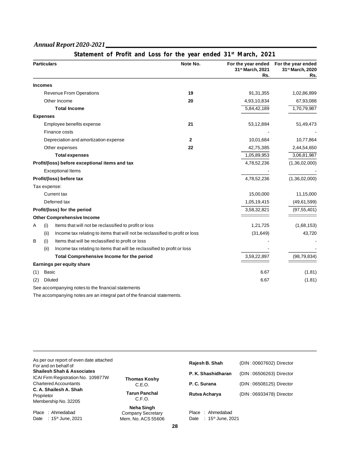|     |                    | Statement of Profit and Loss for the year ended 31 <sup>st</sup> March, 2021 |          |                                                           |                                               |
|-----|--------------------|------------------------------------------------------------------------------|----------|-----------------------------------------------------------|-----------------------------------------------|
|     | <b>Particulars</b> |                                                                              | Note No. | For the year ended<br>31 <sup>st</sup> March, 2021<br>Rs. | For the year ended<br>31st March, 2020<br>Rs. |
|     | <b>Incomes</b>     |                                                                              |          |                                                           |                                               |
|     |                    | <b>Revenue From Operations</b>                                               | 19       | 91,31,355                                                 | 1,02,86,899                                   |
|     |                    | Other Income                                                                 | 20       | 4,93,10,834                                               | 67,93,088                                     |
|     |                    | <b>Total Income</b>                                                          |          | 5,84,42,189                                               | 1,70,79,987                                   |
|     | <b>Expenses</b>    |                                                                              |          |                                                           |                                               |
|     |                    | Employee benefits expense                                                    | 21       | 53,12,884                                                 | 51,49,473                                     |
|     |                    | Finance costs                                                                |          |                                                           |                                               |
|     |                    | Depreciation and amortization expense                                        | 2        | 10,01,684                                                 | 10,77,864                                     |
|     |                    | Other expenses                                                               | 22       | 42,75,385                                                 | 2,44,54,650                                   |
|     |                    | <b>Total expenses</b>                                                        |          | 1,05,89,953                                               | 3,06,81,987                                   |
|     |                    | Profit/(loss) before exceptional items and tax                               |          | 4,78,52,236                                               | (1,36,02,000)                                 |
|     |                    | <b>Exceptional Items</b>                                                     |          |                                                           |                                               |
|     |                    | Profit/(loss) before tax                                                     |          | 4,78,52,236                                               | (1,36,02,000)                                 |
|     | Tax expense:       |                                                                              |          |                                                           |                                               |
|     |                    | <b>Current tax</b>                                                           |          | 15,00,000                                                 | 11,15,000                                     |
|     |                    | Deferred tax                                                                 |          | 1,05,19,415                                               | (49, 61, 599)                                 |
|     |                    | Profit/(loss) for the period                                                 |          | 3,58,32,821                                               | (97, 55, 401)                                 |
|     |                    | <b>Other Comprehensive Income</b>                                            |          |                                                           |                                               |
| Α   | (i)                | Items that will not be reclassified to profit or loss                        |          | 1,21,725                                                  | (1,68,153)                                    |
|     | (ii)               | Income tax relating to items that will not be reclassified to profit or loss |          | (31, 649)                                                 | 43,720                                        |
| B   | (i)                | Items that will be reclassified to profit or loss                            |          |                                                           |                                               |
|     | (ii)               | Income tax relating to items that will be reclassified to profit or loss     |          |                                                           |                                               |
|     |                    | Total Comprehensive Income for the period                                    |          | 3,59,22,897                                               | (98, 79, 834)                                 |
|     |                    | Earnings per equity share                                                    |          |                                                           |                                               |
| (1) | Basic              |                                                                              |          | 6.67                                                      | (1.81)                                        |
| (2) | Diluted            |                                                                              |          | 6.67                                                      | (1.81)                                        |
|     |                    | See accompanying notes to the financial statements                           |          |                                                           |                                               |

The accompanying notes are an integral part of the financial statements.

| As per our report of even date attached<br>For and on behalf of<br><b>Shailesh Shah &amp; Associates</b> |                                                | Rajesh B. Shah<br>P. K. Shashidharan                  | (DIN: 00607602) Director<br>(DIN: 06506263) Director |
|----------------------------------------------------------------------------------------------------------|------------------------------------------------|-------------------------------------------------------|------------------------------------------------------|
| ICAI Firm Registration No. 109877W<br><b>Chartered Accountants</b><br>C. A. Shailesh A. Shah             | <b>Thomas Koshy</b><br>C.E.O.                  | P. C. Surana                                          | (DIN: 06508125) Director                             |
| Proprietor<br>Membership No. 32205                                                                       | <b>Tarun Panchal</b><br>C.F.O.<br>Neha Singh   | Rutva Acharya                                         | (DIN: 06933478) Director                             |
| Place : Ahmedabad<br>$: 15th$ June, 2021<br>Date                                                         | <b>Company Secretary</b><br>Mem. No. ACS 55606 | Place: Ahmedabad<br>Date: 15 <sup>th</sup> June, 2021 |                                                      |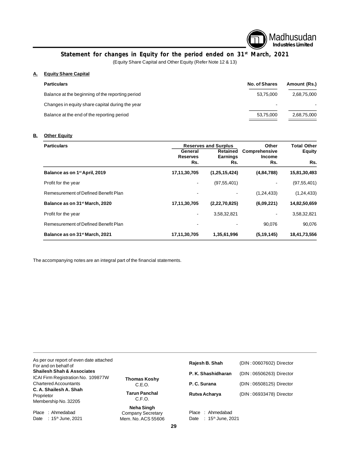

# **Statement for changes in Equity for the period ended on 31st March, 2021**

(Equity Share Capital and Other Equity (Refer Note 12 & 13)

# **A. Equity Share Capital**

| <b>Particulars</b>                               | <b>No. of Shares</b> | Amount (Rs.) |
|--------------------------------------------------|----------------------|--------------|
| Balance at the beginning of the reporting period | 53.75.000            | 2,68,75,000  |
| Changes in equity share capital during the year  |                      |              |
| Balance at the end of the reporting period       | 53,75,000            | 2,68,75,000  |
|                                                  |                      |              |

# **B. Other Equity**

| <b>Particulars</b>                         |                              | <b>Reserves and Surplus</b>        | Other                                 | <b>Total Other</b> |
|--------------------------------------------|------------------------------|------------------------------------|---------------------------------------|--------------------|
|                                            | General<br><b>Reserves</b>   | <b>Retained</b><br><b>Earnings</b> | <b>Comprehensive</b><br><b>Income</b> | <b>Equity</b>      |
|                                            | Rs.                          | Rs.                                | Rs.                                   | Rs.                |
| Balance as on 1 <sup>st</sup> April, 2019  | 17,11,30,705                 | (1, 25, 15, 424)                   | (4, 84, 788)                          | 15,81,30,493       |
| Profit for the year                        | -                            | (97, 55, 401)                      |                                       | (97, 55, 401)      |
| Remesurement of Defined Benefit Plan       |                              |                                    | (1, 24, 433)                          | (1, 24, 433)       |
| Balance as on 31 <sup>st</sup> March, 2020 | 17,11,30,705                 | (2, 22, 70, 825)                   | (6,09,221)                            | 14,82,50,659       |
| Profit for the year                        | $\qquad \qquad \blacksquare$ | 3,58,32,821                        |                                       | 3,58,32,821        |
| Remesurement of Defined Benefit Plan       |                              |                                    | 90,076                                | 90.076             |
| Balance as on 31 <sup>st</sup> March, 2021 | 17,11,30,705                 | 1,35,61,996                        | (5, 19, 145)                          | 18,41,73,556       |

The accompanying notes are an integral part of the financial statements.

| As per our report of even date attached<br>For and on behalf of |                      | Rajesh B. Shah                            | (DIN: 00607602) Director |
|-----------------------------------------------------------------|----------------------|-------------------------------------------|--------------------------|
| <b>Shailesh Shah &amp; Associates</b>                           |                      | P. K. Shashidharan                        | (DIN: 06506263) Director |
| ICAI Firm Registration No. 109877W                              | Thomas Koshy         |                                           |                          |
| <b>Chartered Accountants</b>                                    | C.E.O.               | P. C. Surana                              | (DIN: 06508125) Director |
| C. A. Shailesh A. Shah                                          |                      |                                           |                          |
| Proprietor                                                      | <b>Tarun Panchal</b> | Rutva Acharya                             | (DIN: 06933478) Director |
| Membership No. 32205                                            | C.F.O.               |                                           |                          |
|                                                                 | Neha Singh           |                                           |                          |
| Place<br>: Ahmedabad                                            | Company Secretary    | Ahmedabad<br>Place                        |                          |
| ∶ 15 <sup>th</sup> June, 2021<br>Date                           | Mem. No. ACS 55606   | 15th June, 2021<br>Date<br>$\mathbb{R}^n$ |                          |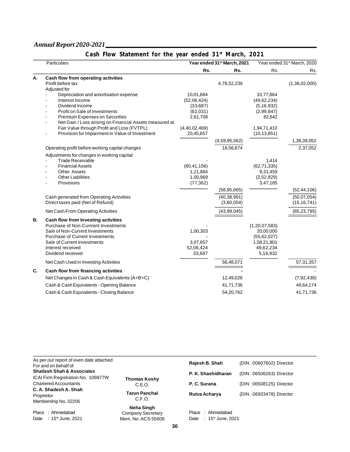|    | Particulars                                                  |                          | Year ended 31 <sup>st</sup> March, 2021 |                            | Year ended 31 <sup>st</sup> March, 2020 |
|----|--------------------------------------------------------------|--------------------------|-----------------------------------------|----------------------------|-----------------------------------------|
|    |                                                              | Rs.                      | Rs.                                     | Rs.                        | Rs.                                     |
| А. | Cash flow from operating activities                          |                          |                                         |                            |                                         |
|    | Profit before tax                                            |                          | 4,78,52,236                             |                            | (1,36,02,000)                           |
|    | Adjusted for                                                 |                          |                                         |                            |                                         |
|    | Depreciation and amortisation expense<br>Interest Income     | 10,01,684<br>(52,06,424) |                                         | 10,77,864<br>(49, 62, 234) |                                         |
|    | Dividend Income                                              | (33,687)                 |                                         | (5, 16, 932)               |                                         |
|    | Profit on Sale of Investments                                | (62,031)                 |                                         | (2,99,847)                 |                                         |
|    | Premium Expenses on Securities                               | 2,61,708                 |                                         | 82,642                     |                                         |
|    | Net Gain / Loss arising on Financial Assets measured at<br>۰ |                          |                                         |                            |                                         |
|    | Fair Value through Profit and Loss (FVTPL)                   | (4,40,02,469)            |                                         | 1,94,71,410                |                                         |
|    | Provision for Impairment in Value of Investment              | 20,45,657                |                                         | (10, 13, 851)              |                                         |
|    |                                                              |                          | (4,59,95,562)                           |                            | 1,38,39,052                             |
|    | Operating profit before working capital changes              |                          | 18,56,674                               |                            | 2,37,052                                |
|    | Adjustments for changes in working capital                   |                          |                                         |                            |                                         |
|    | <b>Trade Receivable</b>                                      |                          |                                         | 1,414                      |                                         |
|    | <b>Financial Assets</b>                                      | (60, 41, 156)            |                                         | (62, 71, 335)              |                                         |
|    | <b>Other Assets</b>                                          | 1,21,884                 |                                         | 9,31,459                   |                                         |
|    | <b>Other Liabilities</b>                                     | 1,00,969                 |                                         | (2,52,829)                 |                                         |
|    | Provisions                                                   | (77, 362)                |                                         | 3,47,185                   |                                         |
|    |                                                              |                          | (58, 95, 665)                           |                            | (52, 44, 106)                           |
|    | Cash generated from Operating Activities                     |                          | (40, 38, 991)                           |                            | (50,07,054)                             |
|    | Direct taxes paid (Net of Refund)                            |                          | (3,60,054)                              |                            | (15, 16, 741)                           |
|    | Net Cash From Operating Activities                           |                          | (43, 99, 045)                           |                            | (65, 23, 795)                           |
| В. | Cash flow from Investing activities                          |                          |                                         |                            |                                         |
|    | Purchase of Non-Currrent Investments                         |                          |                                         | (1, 20, 07, 583)           |                                         |
|    | Sale of Non-Current Investments                              | 1,00,303                 |                                         | 20,00,000                  |                                         |
|    | <b>Purchase of Current Investments</b>                       |                          |                                         | (55, 62, 027)              |                                         |
|    | Sale of Current Investments<br>Interest received             | 3,07,657<br>52,06,424    |                                         | 1,58,21,801<br>49,62,234   |                                         |
|    | Dividend received                                            | 33,687                   |                                         | 5,16,932                   |                                         |
|    | Net Cash Used in Investing Activities                        |                          | 56,48,071                               |                            | 57, 31, 357                             |
| C. | Cash flow from financing activities                          |                          |                                         |                            |                                         |
|    | Net Changes in Cash & Cash Equivalents (A+B+C)               |                          | 12,49,026                               |                            | (7, 92, 438)                            |
|    | Cash & Cash Equivalents - Opening Balance                    |                          | 41,71,736                               |                            | 49,64,174                               |
|    | Cash & Cash Equivalents - Closing Balance                    |                          | 54,20,762                               |                            | 41,71,736                               |

| As per our report of even date attached<br>For and on behalf of    |                                                       | Rajesh B. Shah                                            | (DIN: 00607602) Director |
|--------------------------------------------------------------------|-------------------------------------------------------|-----------------------------------------------------------|--------------------------|
| <b>Shailesh Shah &amp; Associates</b>                              |                                                       | P. K. Shashidharan                                        | (DIN: 06506263) Director |
| ICAI Firm Registration No. 109877W<br><b>Chartered Accountants</b> | Thomas Koshy<br>C.E.O.                                | P. C. Surana                                              | (DIN: 06508125) Director |
| C. A. Shailesh A. Shah<br>Proprietor<br>Membership No. 32205       | <b>Tarun Panchal</b><br>C.F.O.                        | Rutva Acharya                                             | (DIN: 06933478) Director |
| Place: Ahmedabad<br>: 15 <sup>th</sup> June, 2021<br>Date          | Neha Singh<br>Company Secretary<br>Mem. No. ACS 55606 | : Ahmedabad<br>Place<br>Date: 15 <sup>th</sup> June, 2021 |                          |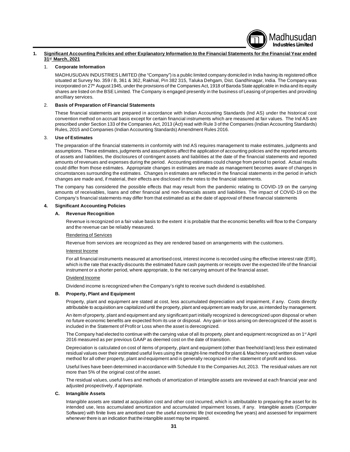## **1. Significant Accounting Policies and other Explanatory Information to the Financial Statements for the Financial Year ended 31st March, 2021**

#### 1. **Corporate Information**

MADHUSUDAN INDUSTRIES LIMITED (the "Company") is a public limited company domiciled in India having its registered office situated at Survey No. 359 / B, 361 & 362, Rakhial, Pin 382 315, Taluka Dehgam, Dist. Gandhinagar, India. The Company was incorporated on 27<sup>th</sup> August 1945, under the provisions of the Companies Act, 1918 of Baroda State applicable in India and its equity shares are listed on the BSE Limited. The Company is engaged presently in the business of Leasing of properties and providing ancilliary services.

Madhusudan **Industries Limited**

#### 2. **Basis of Preparation of Financial Statements**

These financial statements are prepared in accordance with Indian Accounting Standards (Ind AS) under the historical cost convention method on accrual basis except for certain financial instruments which are measured at fair values. The Ind AS are prescribed under Section 133 of the Companies Act, 2013 (Àct) read with Rule 3 of the Companies (Indian Accounting Standards) Rules, 2015 and Companies (Indian Accounting Standards) Amendment Rules 2016.

#### 3. **Use of Estimates**

The preparation of the financial statements in conformity with Ind AS requires management to make estimates, judgments and assumptions. These estimates, judgments and assumptions affect the application of accounting policies and the reported amounts of assets and liabilities, the disclosures of contingent assets and liabilities at the date of the financial statements and reported amounts of revenues and expenses during the period. Accounting estimates could change from period to period. Actual results could differ from those estimates. Appropriate changes in estimates are made as management becomes aware of changes in circumstances surrounding the estimates. Changes in estimates are reflected in the financial statements in the period in which changes are made and, if material, their effects are disclosed in the notes to the financial statements.

The company has considered the possible effects that may result from the pandemic relating to COVID-19 on the carrying amounts of receivables, loans and other financial and non-financials assets and liabilities. The impact of COVID-19 on the Company's financial statements may differ from that estimated as at the date of approval of these financial statements

#### **4. Significant Accounting Policies**

#### **A. Revenue Recognition**

Revenue is recognized on a fair value basis to the extent it is probable that the economic benefits will flow to the Company and the revenue can be reliably measured.

#### Rendering of Services

Revenue from services are recognized as they are rendered based on arrangements with the customers.

#### Interest Income

For all financial instruments measured at amortised cost, interest income is recorded using the effective interest rate (EIR), which is the rate that exactly discounts the estimated future cash payments or receipts over the expected life of the financial instrument or a shorter period, where appropriate, to the net carrying amount of the financial asset.

#### Dividend Income

Dividend income is recognized when the Company's right to receive such dividend is established.

#### **B. Property, Plant and Equipment**

Property, plant and equipment are stated at cost, less accumulated depreciation and impairment, if any. Costs directly attributable to acquisition are capitalized until the property, plant and equipment are ready for use, as intended by management.

An item of property, plant and equipment and any significant part initially recognized is derecognized upon disposal or when no future economic benefits are expected from its use or disposal. Any gain or loss arising on derecognized of the asset is included in the Statement of Profit or Loss when the asset is derecognized.

The Company had elected to continue with the carrying value of all its property, plant and equipment recognized as on 1<sup>st</sup> April 2016 measured as per previous GAAP as deemed cost on the date of transition.

Depreciation is calculated on cost of items of property, plant and equipment (other than freehold land) less their estimated residual values over their estimated useful lives using the straight-line method for plant & Machinery and written down value method for all other property, plant and equipment and is generally recognized in the statement of profit and loss.

Useful lives have been determined in accordance with Schedule II to the Companies Act, 2013. The residual values are not more than 5% of the original cost of the asset.

The residual values, useful lives and methods of amortization of intangible assets are reviewed at each financial year and adjusted prospectively, if appropriate.

#### **C. Intangible Assets**

Intangible assets are stated at acquisition cost and other cost incurred, which is attributable to preparing the asset for its intended use, less accumulated amortization and accumulated impairment losses, if any. Intangible assets (Computer Software) with finite lives are amortised over the useful economic life (not exceeding five years) and assessed for impairment whenever there is an indication that the intangible asset may be impaired.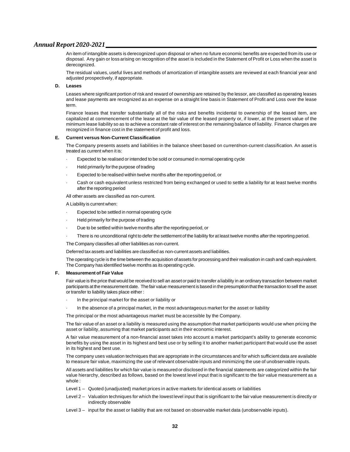An item of intangible assets is derecognized upon disposal or when no future economic benefits are expected from its use or disposal. Any gain or loss arising on recognition of the asset is included in the Statement of Profit or Loss when the asset is derecognized.

The residual values, useful lives and methods of amortization of intangible assets are reviewed at each financial year and adjusted prospectively, if appropriate.

#### **D. Leases**

Leases where significant portion of risk and reward of ownership are retained by the lessor, are classified as operating leases and lease payments are recognized as an expense on a straight line basis in Statement of Profit and Loss over the lease term.

Finance leases that transfer substantially all of the risks and benefits incidental to ownership of the leased item, are capitalized at commencement of the lease at the fair value of the leased property or, if lower, at the present value of the minimum lease liability so as to achieve a constant rate of interest on the remaining balance of liability. Finance charges are recognized in finance cost in the statement of profit and loss.

#### **E. Current versus Non-Current Classification**

The Company presents assets and liabilities in the balance sheet based on current/non-current classification. An asset is treated as current when it is:

- Expected to be realised or intended to be sold or consumed in normal operating cycle
- · Held primarily for the purpose of trading
- Expected to be realised within twelve months after the reporting period, or
- Cash or cash equivalent unless restricted from being exchanged or used to settle a liability for at least twelve months after the reporting period

#### All other assets are classified as non-current.

A Liability is current when:

- Expected to be settled in normal operating cycle
- · Held primarily for the purpose of trading
- Due to be settled within twelve months after the reporting period, or
- There is no unconditional right to defer the settlement of the liability for at least twelve months after the reporting period.

The Company classifies all other liabilities as non-current.

Deferred tax assets and liabilities are classified as non-current assets and liabilities.

The operating cycle is the time between the acquisition of assets for processing and their realisation in cash and cash equivalent. The Company has identified twelve months as its operating cycle.

#### **F. Measurement of Fair Value**

Fair value is the price that would be received to sell an asset or paid to transfer a liability in an ordinary transaction between market participants at the measurement date. The fair value measurement is based in the presumption that the transaction to sell the asset or transfer to liability takes place either :

- In the principal market for the asset or liability or
- In the absence of a principal market, in the most advantageous market for the asset or liability

The principal or the most advantageous market must be accessible by the Company.

The fair value of an asset or a liability is measured using the assumption that market participants would use when pricing the asset or liability, assuming that market participants act in their economic interest.

A fair value measurement of a non-financial asset takes into account a market participant's ability to generate economic benefits by using the asset in its highest and best use or by selling it to another market participant that would use the asset in its highest and best use.

The company uses valuation techniques that are appropriate in the circumstances and for which sufficient data are available to measure fair value, maximizing the use of relevant observable inputs and minimizing the use of unobservable inputs.

All assets and liabilities for which fair value is measured or disclosed in the financial statements are categorized within the fair value hierarchy, described as follows, based on the lowest level input that is significant to the fair value measurement as a whole :

- Level 1 Quoted (unadjusted) market prices in active markets for identical assets or liabilities
- Level 2 Valuation techniques for which the lowest level input that is significant to the fair value measurement is directly or indirectly observable
- Level 3 input for the asset or liability that are not based on observable market data (unobservable inputs).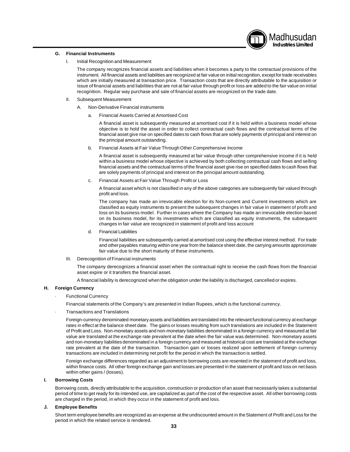# Madhusudan **Industries Limited**

#### **G. Financial Instruments**

I. Initial Recognition and Measurement

The company recognizes financial assets and liabilities when it becomes a party to the contractual provisions of the instrument. All financial assets and liabilities are recognized at fair value on initial recognition, except for trade receivables which are initially measured at transaction price. Transaction costs that are directly attributable to the acquisition or issue of financial assets and liabilities that are not at fair value through profit or loss are added to the fair value on initial recognition. Regular way purchase and sale of financial assets are recognized on the trade date.

- II. Subsequent Measurement
	- A. Non-Derivative Financial instruments
		- a. Financial Assets Carried at Amortised Cost

A financial asset is subsequently measured at amortised cost if it is held within a business model whose objective is to hold the asset in order to collect contractual cash flows and the contractual terms of the financial asset give rise on specified dates to cash flows that are solely payments of principal and interest on the principal amount outstanding.

b. Financial Assets at Fair Value Through Other Comprehensive Income

A financial asset is subsequently measured at fair value through other comprehensive income if it is held within a business model whose objective is achieved by both collecting contractual cash flows and selling financial assets and the contractual terms of the financial asset give rise on specified dates to cash flows that are solely payments of principal and interest on the principal amount outstanding.

c. Financial Assets at Fair Value Through Profit or Loss

A financial asset which is not classified in any of the above categories are subsequently fair valued through profit and loss.

The company has made an irrevocable election for its Non-current and Current investments which are classified as equity instruments to present the subsequent changes in fair value in statement of profit and loss on its business model. Further in cases where the Company has made an irrevocable election based on its business model, for its investments which are classified as equity instruments, the subsequent changes in fair value are recognized in statement of profit and loss account

d. Financial Liabilities

Financial liabilities are subsequently carried at amortised cost using the effective interest method. For trade and other payables maturing within one year from the balance sheet date, the carrying amounts approximate fair value due to the short maturity of these instruments.

III. Derecognition of Financial instruments

The company derecognizes a financial asset when the contractual right to receive the cash flows from the financial asset expire or it transfers the financial asset.

A financial liability is derecognized when the obligation under the liability is discharged, cancelled or expires.

#### **H. Foreign Currency**

**Functional Currency** 

Financial statements of the Company's are presented in Indian Rupees, which is the functional currency.

· Transactions and Translations

Foreign-currency denominated monetary assets and liabilities are translated into the relevant functional currency at exchange rates in effect at the balance sheet date. The gains or losses resulting from such translations are included in the Statement of Profit and Loss. Non-monetary assets and non-monetary liabilities denominated in a foreign currency and measured at fair value are translated at the exchange rate prevalent at the date when the fair value was determined. Non-monetary assets and non-monetary liabilities denominated in a foreign currency and measured at historical cost are translated at the exchange rate prevalent at the date of the transaction. Transaction gain or losses realized upon settlement of foreign currency transactions are included in determining net profit for the period in which the transaction is settled.

Foreign exchange differences regarded as an adjustment to borrowing costs are resented in the statement of profit and loss, within finance costs. All other foreign exchange gain and losses are presented in the statement of profit and loss on net basis within other gains / (losses).

#### **I. Borrowing Costs**

Borrowing costs, directly attributable to the acquisition, construction or production of an asset that necessarily takes a substantial period of time to get ready for its intended use, are capitalized as part of the cost of the respective asset. All other borrowing costs are charged in the period, in which they occur in the statement of profit and loss.

#### **J. Employee Benefits**

Short term employee benefits are recognized as an expense at the undiscounted amount in the Statement of Profit and Loss for the period in which the related service is rendered.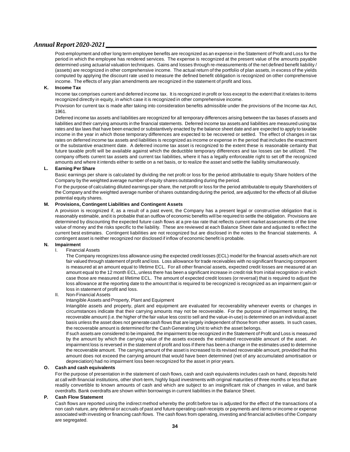Post-employment and other long term employee benefits are recognized as an expense in the Statement of Profit and Loss for the period in which the employee has rendered services. The expense is recognized at the present value of the amounts payable determined using actuarial valuation techniques. Gains and losses through re-measurements of the net defined benefit liability / (assets) are recognized in other comprehensive income. The actual return of the portfolio of plan assets, in excess of the yields computed by applying the discount rate used to measure the defined benefit obligation is recognized on other comprehensive income. The effects of any plan amendments are recognized in the statement of profit and loss.

#### **K. Income Tax**

Income tax comprises current and deferred income tax. It is recognized in profit or loss except to the extent that it relates to items recognized directly in equity, in which case it is recognized in other comprehensive income.

Provision for current tax is made after taking into consideration benefits admissible under the provisions of the Income-tax Act, 1961.

Deferred income tax assets and liabilities are recognized for all temporary differences arising between the tax bases of assets and liabilities and their carrying amounts in the financial statements. Deferred income tax assets and liabilities are measured using tax rates and tax laws that have been enacted or substantively enacted by the balance sheet date and are expected to apply to taxable income in the year in which those temporary differences are expected to be recovered or settled. The effect of changes in tax rates on deferred income tax assets and liabilities is recognized as income or expense in the period that includes the enactment or the substantive enactment date. A deferred income tax asset is recognized to the extent these is reasonable certainty that future taxable profit will be available against which the deductible temporary differences and tax losses can be utilized. The company offsets current tax assets and current tax liabilities, where it has a legally enforceable right to set off the recognized amounts and where it intends either to settle on a net basis, or to realize the asset and settle the liability simultaneously.

#### **L. Earning Per Share**

Basic earnings per share is calculated by dividing the net profit or loss for the period attributable to equity Share holders of the Company by the weighted average number of equity shares outstanding during the period.

For the purpose of calculating diluted earnings per share, the net profit or loss for the period attributable to equity Shareholders of the Company and the weighted average number of shares outstanding during the period, are adjusted for the effects of all dilutive potential equity shares.

#### **M. Provisions, Contingent Liabilities and Contingent Assets**

A provision is recognized if, as a result of a past event, the Company has a present legal or constructive obligation that is reasonably estimable, and it is probable that an outflow of economic benefits will be required to settle the obligation. Provisions are determined by discounting the expected future cash flows at a pre-tax rate that reflects current market assessments of the time value of money and the risks specific to the liability. These are reviewed at each Balance Sheet date and adjusted to reflect the current best estimates. Contingent liabilities are not recognized but are disclosed in the notes to the financial statements. A contingent asset is neither recognized nor disclosed if inflow of economic benefit is probable.

# **N. Impairment**

**Financial Assets** 

The Company recognizes loss allowance using the expected credit losses (ECL) model for the financial assets which are not fair valued through statement of profit and loss. Loss allowance for trade receivables with no significant financing component is measured at an amount equal to lifetime ECL. For all other financial assets, expected credit losses are measured at an amount equal to the 12 month ECL, unless there has been a significant increase in credit risk from initial recognition in which case those are measured at lifetime ECL. The amount of expected credit losses (or reversal) that is required to adjust the loss allowance at the reporting date to the amount that is required to be recognized is recognized as an impairment gain or loss in statement of profit and loss.

#### II. Non-Financial Assets

#### Intangible Assets and Property, Plant and Equipment

Intangible assets and property, plant and equipment are evaluated for recoverability whenever events or changes in circumstances indicate that their carrying amounts may not be recoverable. For the purpose of impairment testing, the recoverable amount (i.e. the higher of the fair value less cost to sell and the value-in-use) is determined on an individual asset basis unless the asset does not generate cash flows that are largely independent of those from other assets. In such cases, the recoverable amount is determined for the Cash Generating Unit to which the asset belongs.

If such assets are considered to be impaired, the impairment to be recognized in the Statement of Profit and Loss is measured by the amount by which the carrying value of the assets exceeds the estimated recoverable amount of the asset. An impairment loss is reversed in the statement of profit and loss if there has been a change in the estimates used to determine the recoverable amount. The carrying amount of the asset is increased to its revised recoverable amount, provided that this amount does not exceed the carrying amount that would have been determined (net of any accumulated amortisation or depreciation) had no impairment loss been recognized for the asset in prior years.

#### **O. Cash and cash equivalents**

For the purpose of presentation in the statement of cash flows, cash and cash equivalents includes cash on hand, deposits held at call with financial institutions, other short-term, highly liquid investments with original maturities of three months or less that are readily convertible to known amounts of cash and which are subject to an insignificant risk of changes in value, and bank overdrafts. Bank overdrafts are shown within borrowings in current liabilities in the Balance Sheet.

#### **P. Cash Flow Statement**

Cash flows are reported using the indirect method whereby the profit before tax is adjusted for the effect of the transactions of a non cash nature, any deferral or accruals of past and future operating cash receipts or payments and items or income or expense associated with investing or financing cash flows. The cash flows from operating, investing and financial activities of the Company are segregated.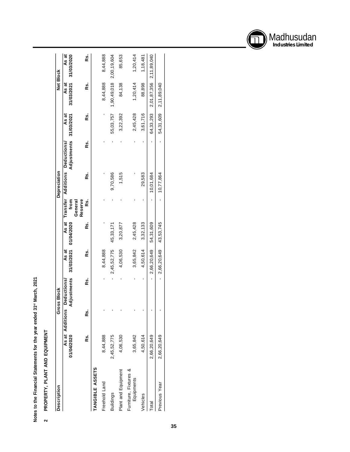Notes to the Financial Statements for the year ended 31st March, 2021 **Notes to the Financial Statements for the year ended 31st March, 2021**

# PROPERTY, PLANT AND EQUIPMENT **PROPERTY, PLANT AND EQUIPMENT 2**

| Description                         |             | ະ               | <b>SS Block</b>                  |                     |            |                    | Depreciation |                                                     |                       |                       | Net Block                   |
|-------------------------------------|-------------|-----------------|----------------------------------|---------------------|------------|--------------------|--------------|-----------------------------------------------------|-----------------------|-----------------------|-----------------------------|
|                                     | 01/04/2020  | As at Additions | Adjustments<br><b>Deductions</b> | 31/03/2021<br>As at | 01/04/2020 | from               |              | Adjustments<br>As at Transfer Additions Deductions/ | 31/03/2021<br>ಗ<br>As | As at<br>31/03/2021   | As at<br>31/03/2020         |
|                                     |             |                 |                                  |                     |            | Reserve<br>General |              |                                                     |                       |                       |                             |
|                                     | Ŗs.         | œ.              | Ŗs.                              | es.                 | ة          | œ.                 | ة            | es.                                                 | es.                   | ks.                   | œ.                          |
| <b>TANGIBLE ASSETS</b>              |             |                 |                                  |                     |            |                    |              |                                                     |                       |                       |                             |
| Freehold Land                       | 8,44,888    |                 |                                  | 8,44,888            |            |                    |              |                                                     |                       | 8,44,888              | 8,44,888                    |
| <b>Buildings</b>                    | 2,45,52,775 |                 |                                  | 2,45,52,775         | 45,33,171  |                    | 9,70,586     |                                                     | 55,03,757             |                       | $1,90,49,018$ $2,00,19,604$ |
| Plant and Equipment                 | 4,06,530    |                 |                                  | 4,06,530            | 3,20,877   |                    | 1,515        |                                                     | 3,22,392              | 84,138                | 85,653                      |
| Furniture, Fixtures &<br>Equipments | 3,65,842    |                 |                                  | 3,65,842            | 2,45,428   |                    |              |                                                     | 2,45,428              | 1,20,414              | 1,20,414                    |
| Vehicles                            | 4,50,614    |                 |                                  | 4.50.614            | 3,32,133   |                    | 29,583       |                                                     | 3,61,716              | 88,898                | 1,18,481                    |
| <b>Total</b>                        | 2,66,20,649 |                 |                                  | 2,66,20,649         | 54,31,609  |                    | 10,01,684    |                                                     | 64,33,293             |                       | 2,01,87,356 2,11,89,040     |
| Previous Year                       | 2,66,20,649 |                 |                                  | 2,66,20,649         | 43,53,745  |                    | 10,77,864    |                                                     |                       | 54,31,609 2,11,89,040 |                             |
|                                     |             |                 |                                  |                     |            |                    |              |                                                     |                       |                       |                             |

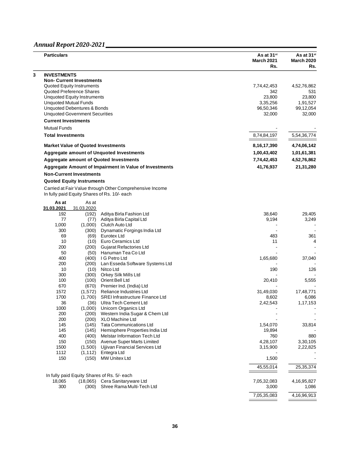| <b>Particulars</b>       |                                           |                                                          | As at 31 <sup>st</sup><br><b>March 2021</b><br>Rs. | As at 31 <sup>st</sup><br><b>March 2020</b><br>Rs. |
|--------------------------|-------------------------------------------|----------------------------------------------------------|----------------------------------------------------|----------------------------------------------------|
| <b>INVESTMENTS</b>       |                                           |                                                          |                                                    |                                                    |
|                          | <b>Non- Current Investments</b>           |                                                          |                                                    |                                                    |
|                          | Quoted Equity Instruments                 |                                                          | 7,74,42,453                                        | 4,52,76,862                                        |
|                          | Quoted Preference Shares                  |                                                          | 342                                                | 531                                                |
|                          | <b>Unquoted Equity Instruments</b>        |                                                          | 23,800                                             | 23,800                                             |
|                          | <b>Unquoted Mutual Funds</b>              |                                                          | 3,35,256                                           | 1,91,527                                           |
|                          | <b>Unquoted Debentures &amp; Bonds</b>    |                                                          | 96,50,346                                          | 99,12,054                                          |
|                          | <b>Unquoted Government Securities</b>     |                                                          | 32,000                                             | 32,000                                             |
|                          | <b>Current Investments</b>                |                                                          |                                                    |                                                    |
| <b>Mutual Funds</b>      |                                           |                                                          |                                                    |                                                    |
| <b>Total Investments</b> |                                           |                                                          | 8,74,84,197                                        | 5,54,36,774                                        |
|                          | <b>Market Value of Quoted Investments</b> |                                                          | 8, 16, 17, 390                                     | 4,74,06,142                                        |
|                          |                                           | Aggregate amount of Unquoted Investments                 | 1,00,43,402                                        | 1,01,61,381                                        |
|                          |                                           | <b>Aggregate amount of Quoted Investments</b>            | 7,74,42,453                                        | 4,52,76,862                                        |
|                          |                                           |                                                          |                                                    |                                                    |
|                          |                                           | Aggregate Amount of Impairment in Value of Investments   | 41,76,937                                          | 21,31,280                                          |
|                          | <b>Non-Current Investments</b>            |                                                          |                                                    |                                                    |
|                          | <b>Quoted Equity Instruments</b>          |                                                          |                                                    |                                                    |
|                          |                                           | Carried at Fair Value through Other Comprehensive Income |                                                    |                                                    |
|                          |                                           | In fully paid Equity Shares of Rs. 10/- each             |                                                    |                                                    |
| As at                    | As at                                     |                                                          |                                                    |                                                    |
| 31.03.2021               | 31.03.2020                                |                                                          |                                                    |                                                    |
| 192                      | (192)                                     | Aditya Birla Fashion Ltd                                 | 38,640                                             | 29,405                                             |
| 77                       | (77)                                      | Aditya Birla Capital Ltd                                 | 9,194                                              | 3,249                                              |
| 1,000                    | (1,000)                                   | Clutch Auto Ltd                                          |                                                    |                                                    |
| 300                      | (300)                                     | Dynamatic Forgings India Ltd                             |                                                    |                                                    |
| 69                       | (69)                                      | Eurotex Ltd                                              | 483                                                | 361                                                |
| 10                       | (10)                                      | <b>Euro Ceramics Ltd</b>                                 | 11                                                 | 4                                                  |
| 200                      | (200)                                     | Gujarat Refactories Ltd                                  |                                                    |                                                    |
| 50                       | (50)                                      | Hanuman Tea Co Ltd                                       |                                                    |                                                    |
| 400                      | (400)                                     | I G Petro Ltd                                            | 1,65,680                                           | 37,040                                             |
| 200                      | (200)                                     | Lan Esseda Software Systems Ltd                          |                                                    |                                                    |
| 10                       | (10)                                      | Nitco Ltd                                                | 190                                                | 126                                                |
| 300<br>100               | (300)<br>(100)                            | Orkey Silk Mills Ltd<br>Orient Bell Ltd                  |                                                    |                                                    |
| 670                      | (670)                                     | Premier Ind. (India) Ltd                                 | 20,410                                             | 5,555                                              |
| 1572                     | (1,572)                                   | Reliance Industries Ltd                                  | 31,49,030                                          | 17,48,771                                          |
| 1700                     | (1,700)                                   | SREI Infrastructure Finance Ltd                          | 8,602                                              | 6,086                                              |
| 36                       | (36)                                      | Ultra Tech Cement Ltd                                    | 2,42,543                                           | 1,17,153                                           |
| 1000                     | (1,000)                                   | Unicorn Organics Ltd                                     |                                                    |                                                    |
| 200                      | (200)                                     | Western India Sugar & Chem Ltd                           |                                                    |                                                    |
| 200                      | (200)                                     | XLO Machine Ltd                                          |                                                    |                                                    |
| 145                      | (145)                                     | Tata Communications Ltd                                  | 1,54,070                                           | 33,814                                             |
| 145                      | (145)                                     | Hemisphere Properties India Ltd                          | 19,894                                             |                                                    |
| 400                      | (400)                                     | Melstar Information Tech Ltd                             | 760                                                | 880                                                |
| 150                      | (150)                                     | Avenue Super Marts Limited                               | 4,28,107                                           | 3,30,105                                           |
| 1500                     | (1,500)                                   | Ujjivan Financial Services Ltd                           | 3,15,900                                           | 2,22,825                                           |
| 1112                     | (1, 112)                                  | Entegra Ltd                                              |                                                    |                                                    |
| 150                      | (150)                                     | MW Unitex Ltd                                            | 1,500                                              |                                                    |
|                          |                                           |                                                          | 45,55,014                                          | 25,35,374                                          |
|                          |                                           | In fully paid Equity Shares of Rs. 5/- each              |                                                    |                                                    |
| 18,065                   | (18,065)                                  | Cera Sanitaryware Ltd                                    | 7,05,32,083                                        | 4, 16, 95, 827                                     |
| 300                      | (300)                                     | Shree Rama Multi-Tech Ltd                                | 3,000                                              | 1,086                                              |
|                          |                                           |                                                          | 7,05,35,083                                        | 4,16,96,913                                        |
|                          |                                           |                                                          |                                                    |                                                    |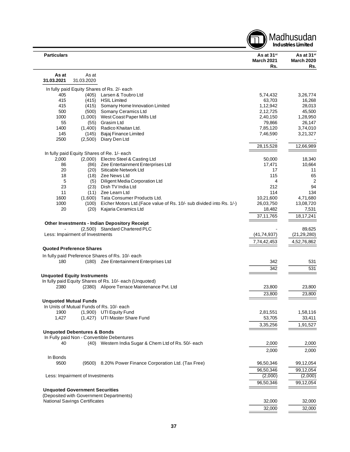|                                        |                     |                                                                                        |                                                    | Madhusudan<br><b>Industries Limited</b>            |
|----------------------------------------|---------------------|----------------------------------------------------------------------------------------|----------------------------------------------------|----------------------------------------------------|
| <b>Particulars</b>                     |                     |                                                                                        | As at 31 <sup>st</sup><br><b>March 2021</b><br>Rs. | As at 31 <sup>st</sup><br><b>March 2020</b><br>Rs. |
| As at<br>31.03.2021                    | As at<br>31.03.2020 |                                                                                        |                                                    |                                                    |
|                                        |                     |                                                                                        |                                                    |                                                    |
| 405                                    |                     | In fully paid Equity Shares of Rs. 2/- each<br>Larsen & Toubro Ltd                     |                                                    |                                                    |
| 415                                    | (405)<br>(415)      | <b>HSIL Limited</b>                                                                    | 5,74,432<br>63,703                                 | 3,26,774<br>16,268                                 |
| 415                                    | (415)               | Somany Home Innovation Limited                                                         | 1,12,942                                           | 28,013                                             |
| 500                                    | (500)               | Somany Ceramics Ltd                                                                    | 2,12,725                                           | 45,500                                             |
| 1000                                   | (1,000)             | West Coast Paper Mills Ltd                                                             | 2,40,150                                           | 1,28,950                                           |
| 55                                     | (55)                | Grasim Ltd                                                                             | 79,866                                             | 26,147                                             |
| 1400                                   | (1,400)             | Radico Khaitan Ltd.                                                                    | 7,85,120                                           | 3,74,010                                           |
| 145                                    | (145)               | Bajaj Finance Limited                                                                  | 7,46,590                                           | 3,21,327                                           |
| 2500                                   | (2,500)             | Diary Den Ltd                                                                          |                                                    |                                                    |
|                                        |                     |                                                                                        | 28,15,528                                          | 12,66,989                                          |
|                                        |                     | In fully paid Equity Shares of Re. 1/- each                                            |                                                    |                                                    |
| 2,000                                  |                     | (2,000) Electro Steel & Casting Ltd                                                    | 50,000                                             | 18,340                                             |
| 86                                     | (86)                | Zee Entertainment Enterprises Ltd                                                      | 17,471                                             | 10,664                                             |
| 20                                     | (20)                | Siticable Network Ltd                                                                  | 17                                                 | 11                                                 |
| 18                                     | (18)                | Zee News Ltd                                                                           | 115                                                | 65                                                 |
| 5                                      | (5)                 | Diligent Media Corporation Ltd                                                         | 4                                                  | $\overline{2}$                                     |
| 23                                     | (23)                | Dish TV India Ltd<br>Zee Learn Ltd                                                     | 212                                                | 94                                                 |
| 11<br>1600                             | (11)<br>(1,600)     | Tata Consumer Products Ltd.                                                            | 114<br>10,21,600                                   | 134<br>4,71,680                                    |
| 1000                                   | (100)               | Eicher Motors Ltd. (Face value of Rs. 10/- sub divided into Rs. 1/-)                   | 26,03,750                                          | 13,08,720                                          |
| 20                                     | (20)                | Kajaria Ceramics Ltd                                                                   | 18,482                                             | 7,531                                              |
|                                        |                     |                                                                                        | 37, 11, 765                                        | 18,17,241                                          |
|                                        |                     |                                                                                        |                                                    |                                                    |
|                                        |                     | <b>Other Investments - Indian Depository Receipt</b><br>(2,500) Standard Chartered PLC |                                                    | 89,625                                             |
| Less: Impairment of Investments        |                     |                                                                                        | (41, 74, 937)                                      | (21, 29, 280)                                      |
|                                        |                     |                                                                                        | 7,74,42,453                                        | 4,52,76,862                                        |
|                                        |                     |                                                                                        |                                                    |                                                    |
| <b>Quoted Preference Shares</b>        |                     |                                                                                        |                                                    |                                                    |
|                                        |                     | In fully paid Preference Shares of Rs. 10/- each                                       |                                                    |                                                    |
| 180                                    |                     | (180) Zee Entertainment Enterprises Ltd                                                | 342                                                | 531                                                |
|                                        |                     |                                                                                        | 342                                                | 531                                                |
| <b>Unquoted Equity Instruments</b>     |                     |                                                                                        |                                                    |                                                    |
|                                        |                     | In fully paid Equity Shares of Rs. 10/- each (Unquoted)                                |                                                    |                                                    |
|                                        |                     | 2380 (2380) Alipore Terrace Maintenance Pvt. Ltd                                       | 23,800                                             | 23,800                                             |
|                                        |                     |                                                                                        | 23,800                                             | 23,800                                             |
| <b>Unquoted Mutual Funds</b>           |                     |                                                                                        |                                                    |                                                    |
|                                        |                     | In Units of Mutual Funds of Rs. 10/- each                                              |                                                    |                                                    |
| 1900                                   |                     | (1,900) UTI Equity Fund                                                                | 2,81,551                                           | 1,58,116                                           |
| 1,427                                  |                     | (1,427) UTI Master Share Fund                                                          | 53,705                                             | 33,411                                             |
|                                        |                     |                                                                                        | 3,35,256                                           | 1,91,527                                           |
| <b>Unquoted Debentures &amp; Bonds</b> |                     |                                                                                        |                                                    |                                                    |
|                                        |                     | In Fully paid Non - Convertible Debentures                                             |                                                    |                                                    |
| 40                                     |                     | (40) Western India Sugar & Chem Ltd of Rs. 50/- each                                   | 2,000                                              | 2,000                                              |
|                                        |                     |                                                                                        | 2,000                                              | 2,000                                              |
| In Bonds                               |                     |                                                                                        |                                                    |                                                    |
| 9500                                   | (9500)              | 8.20% Power Finance Corporation Ltd. (Tax Free)                                        | 96,50,346                                          | 99,12,054                                          |
|                                        |                     |                                                                                        | 96,50,346                                          | 99,12,054                                          |
| Less: Impairment of Investments        |                     |                                                                                        | (2,000)                                            | (2,000)                                            |
|                                        |                     |                                                                                        | 96,50,346                                          | 99,12,054                                          |
| <b>Unquoted Government Securities</b>  |                     |                                                                                        |                                                    |                                                    |
|                                        |                     | (Deposited with Government Departments)                                                |                                                    |                                                    |
| <b>National Savings Certificates</b>   |                     |                                                                                        | 32,000                                             | 32,000                                             |
|                                        |                     |                                                                                        | 32,000                                             | 32,000                                             |
|                                        |                     |                                                                                        |                                                    |                                                    |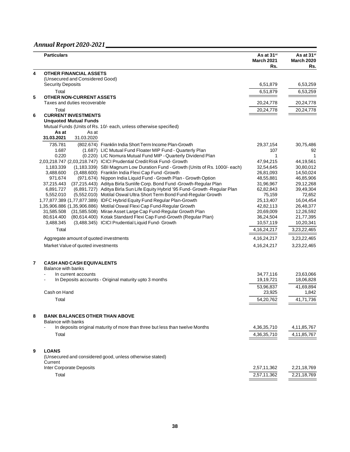|   | <b>Particulars</b>                                                                                                                                           | As at 31 <sup>st</sup><br><b>March 2021</b><br>Rs. | As at 31 <sup>st</sup><br><b>March 2020</b><br>Rs. |
|---|--------------------------------------------------------------------------------------------------------------------------------------------------------------|----------------------------------------------------|----------------------------------------------------|
| 4 | <b>OTHER FINANCIAL ASSETS</b>                                                                                                                                |                                                    |                                                    |
|   | (Unsecured and Considered Good)                                                                                                                              |                                                    |                                                    |
|   | <b>Security Deposits</b>                                                                                                                                     | 6,51,879                                           | 6,53,259                                           |
|   | Total                                                                                                                                                        | 6,51,879                                           | 6,53,259                                           |
| 5 | <b>OTHER NON-CURRENT ASSETS</b><br>Taxes and duties recoverable                                                                                              | 20,24,778                                          | 20,24,778                                          |
|   |                                                                                                                                                              |                                                    |                                                    |
| 6 | Total<br><b>CURRENT INVESTMENTS</b>                                                                                                                          | 20,24,778                                          | 20,24,778                                          |
|   | <b>Unquoted Mutual Funds</b>                                                                                                                                 |                                                    |                                                    |
|   | Mutual Funds (Units of Rs. 10/- each, unless otherwise specified)                                                                                            |                                                    |                                                    |
|   | As at<br>As at                                                                                                                                               |                                                    |                                                    |
|   | 31.03.2021<br>31.03.2020                                                                                                                                     |                                                    |                                                    |
|   | 735.781<br>(802.674) Franklin India Short Term Income Plan-Growth                                                                                            | 29,37,154                                          | 30,75,486                                          |
|   | 1.687<br>(1.687) LIC Mutual Fund Floater MIP Fund - Quarterly Plan                                                                                           | 107                                                | 92                                                 |
|   | 0.220<br>(0.220) LIC Nomura Mutual Fund MIP - Quarterly Dividend Plan                                                                                        | 1                                                  |                                                    |
|   | 2,03,218.747 (2,03,218.747) ICICI Prudential Credit Risk Fund- Growth                                                                                        | 47,94,215<br>32,54,645                             | 44,19,561                                          |
|   | 1,183.339<br>(1,183.339) SBI Magnum Low Duration Fund - Growth (Units of Rs. 1000/- each)<br>3,488.600<br>(3,488.600) Franklin India Flexi Cap Fund - Growth | 26,81,093                                          | 30,80,012<br>14,50,024                             |
|   | 971.674<br>(971.674) Nippon India Liquid Fund - Growth Plan - Growth Option                                                                                  | 48,55,881                                          | 46,85,906                                          |
|   | (37,215.443) Aditya Birla Sunlife Corp. Bond Fund - Growth-Regular Plan<br>37,215.443                                                                        | 31,96,967                                          | 29,12,268                                          |
|   | (6,891.727) Aditya Birla Sun Life Equity Hybrid '95 Fund- Growth - Regular Plan<br>6,891.727                                                                 | 62,82,843                                          | 39,49,304                                          |
|   | 5,552.010<br>(5,552.010) Motilal Oswal Ultra Short Term Bond Fund-Regular Growth                                                                             | 75,159                                             | 72,652                                             |
|   | 1,77,877.389 (1,77,877.389) IDFC Hybrid Equity Fund Regular Plan-Growth                                                                                      | 25,13,407                                          | 16,04,454                                          |
|   | 1,35,906.886 (1,35,906.886) Motilal Oswal Flexi Cap Fund-Regular Growth                                                                                      | 42,82,113                                          | 26,48,377                                          |
|   | (31,585.508) Mirae Asset Large Cap Fund-Regular Growth Plan<br>31,585.508                                                                                    | 20,69,009                                          | 12,26,592                                          |
|   | (80,614.400) Kotak Standard Flexi Cap Fund-Growth (Regular Plan)<br>80,614.400                                                                               | 36,24,504                                          | 21,77,395                                          |
|   | (3,488.345) ICICI Prudential Liquid Fund- Growth<br>3,488.345                                                                                                | 10,57,119                                          | 10,20,341                                          |
|   | Total                                                                                                                                                        | 4, 16, 24, 217                                     | 3,23,22,465                                        |
|   | Aggregate amount of quoted investments                                                                                                                       | 4, 16, 24, 217                                     | 3,23,22,465                                        |
|   | Market Value of quoted investments                                                                                                                           | 4, 16, 24, 217                                     | 3,23,22,465                                        |
| 7 | <b>CASH AND CASH EQUIVALENTS</b><br><b>Balance with banks</b>                                                                                                |                                                    |                                                    |
|   | In current accounts                                                                                                                                          | 34,77,116                                          | 23,63,066                                          |
|   | In Deposits accounts - Original maturity upto 3 months                                                                                                       | 19,19,721                                          | 18,06,828                                          |
|   |                                                                                                                                                              | 53,96,837                                          | 41,69,894                                          |
|   | Cash on Hand                                                                                                                                                 | 23,925                                             | 1,842                                              |
|   | Total                                                                                                                                                        | 54,20,762                                          | 41,71,736                                          |
| 8 | <b>BANK BALANCES OTHER THAN ABOVE</b><br><b>Balance with banks</b>                                                                                           |                                                    |                                                    |
|   | In deposits original maturity of more than three but less than twelve Months<br>۰                                                                            | 4,36,35,710                                        | 4, 11, 85, 767                                     |
|   | Total                                                                                                                                                        | 4,36,35,710                                        | 4, 11, 85, 767                                     |
| 9 | <b>LOANS</b><br>(Unsecured and considered good, unless otherwise stated)                                                                                     |                                                    |                                                    |
|   | Current                                                                                                                                                      |                                                    |                                                    |
|   | Inter Corporate Deposits                                                                                                                                     | 2,57,11,362                                        | 2,21,18,769                                        |
|   | Total                                                                                                                                                        | 2,57,11,362                                        | 2,21,18,769                                        |
|   |                                                                                                                                                              |                                                    |                                                    |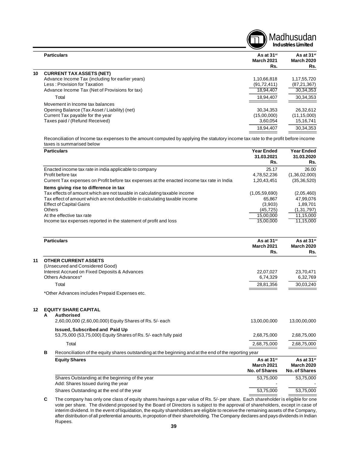|    |                                                  |                                                    | Madhusudan<br><b>Industries Limited</b>            |
|----|--------------------------------------------------|----------------------------------------------------|----------------------------------------------------|
|    | <b>Particulars</b>                               | As at 31 <sup>st</sup><br><b>March 2021</b><br>Rs. | As at 31 <sup>st</sup><br><b>March 2020</b><br>Rs. |
| 10 | <b>CURRENT TAX ASSETS (NET)</b>                  |                                                    |                                                    |
|    | Advance Income Tax (including for earlier years) | 1,10,66,818                                        | 1,17,55,720                                        |
|    | Less: Provision for Taxation                     | (91, 72, 411)                                      | (87, 21, 367)                                      |
|    | Advance Income Tax (Net of Provisions for tax)   | 18,94,407                                          | 30,34,353                                          |
|    | Total                                            | 18,94,407                                          | 30, 34, 353                                        |
|    | Movement in Income tax balances                  |                                                    |                                                    |
|    | Opening Balance (Tax Asset / Liability) (net)    | 30,34,353                                          | 26,32,612                                          |
|    | Current Tax payable for the year                 | (15,00,000)                                        | (11, 15, 000)                                      |
|    | Taxes paid / (Refund Received)                   | 3,60,054                                           | 15,16,741                                          |
|    |                                                  | 18.94.407                                          | 30.34.353                                          |

Reconciliation of Income tax expenses to the amount computed by applying the statutory income tax rate to the profit before income taxes is summarised below

| <b>Particulars</b>                                                                         | <b>Year Ended</b><br>31.03.2021<br>Rs. | <b>Year Ended</b><br>31.03.2020<br>Rs. |
|--------------------------------------------------------------------------------------------|----------------------------------------|----------------------------------------|
| Enacted income tax rate in india applicable to company                                     | 25.17                                  | 26.00                                  |
| Profit before tax                                                                          | 4,78,52,236                            | (1,36,02,000)                          |
| Current Tax expenses on Profit before tax expenses at the enacted income tax rate in India | 1,20,43,451                            | (35, 36, 520)                          |
| Items giving rise to difference in tax                                                     |                                        |                                        |
| Tax effects of amount which are not taxable in calculating taxable income                  | (1,05,59,690)                          | (2,05,460)                             |
| Tax effect of amount which are not deductible in calculating taxable income                | 65.867                                 | 47.99.076                              |
| <b>Effect of Capital Gains</b>                                                             | (3,903)                                | 1,89,701                               |
| <b>Others</b>                                                                              | (45, 725)                              | (1,31,797)                             |
| At the effective tax rate                                                                  | 15.00.000                              | 11,15,000                              |
| Income tax expenses reported in the statement of profit and loss                           | 15,00,000                              | 11,15,000                              |

|    |   | <b>Particulars</b>                                                                                          | As at 31 <sup>st</sup><br><b>March 2021</b><br>Rs. | As at 31 <sup>st</sup><br><b>March 2020</b><br>Rs. |
|----|---|-------------------------------------------------------------------------------------------------------------|----------------------------------------------------|----------------------------------------------------|
| 11 |   | <b>OTHER CURRENT ASSETS</b>                                                                                 |                                                    |                                                    |
|    |   | (Unsecured and Considered Good)                                                                             |                                                    |                                                    |
|    |   | Interest Accrued on Fixed Deposits & Advances                                                               | 22,07,027                                          | 23,70,471                                          |
|    |   | Others Advances*                                                                                            | 6,74,329                                           | 6,32,769                                           |
|    |   | Total                                                                                                       | 28,81,356                                          | 30,03,240                                          |
|    |   | *Other Advances includes Prepaid Expenses etc.                                                              |                                                    |                                                    |
| 12 | A | <b>EQUITY SHARE CAPITAL</b><br><b>Authorised</b><br>2,60,00,000 (2,60,00,000) Equity Shares of Rs. 5/- each | 13,00,00,000                                       | 13,00,00,000                                       |
|    |   | <b>Issued, Subscribed and Paid Up</b>                                                                       |                                                    |                                                    |
|    |   | 53,75,000 (53,75,000) Equity Shares of Rs. 5/- each fully paid                                              | 2,68,75,000                                        | 2,68,75,000                                        |
|    |   | Total                                                                                                       | 2,68,75,000                                        | 2,68,75,000                                        |
|    | В | Reconciliation of the equity shares outstanding at the beginning and at the end of the reporting year       |                                                    |                                                    |
|    |   | <b>Equity Shares</b>                                                                                        | As at 31 <sup>st</sup>                             | As at 31 <sup>st</sup>                             |
|    |   |                                                                                                             | <b>March 2021</b>                                  | <b>March 2020</b>                                  |
|    |   |                                                                                                             | <b>No. of Shares</b>                               | No. of Shares                                      |
|    |   | Shares Outstanding at the beginning of the year                                                             | 53,75,000                                          | 53,75,000                                          |
|    |   | Add: Shares Issued during the year                                                                          |                                                    |                                                    |
|    |   | Shares Outstanding at the end of the year                                                                   | 53,75,000                                          | 53,75,000                                          |

**C** The company has only one class of equity shares havings a par value of Rs. 5/- per share. Each shareholder is eligible for one vote per share. The dividend proposed by the Board of Directors is subject to the approval of shareholders, except in case of interim dividend. In the event of liquidation, the equity shareholders are eligible to receive the remaining assets of the Company, after distribution of all preferential amounts, in propotion of their shareholding. The Company declares and pays dividends in Indian Rupees.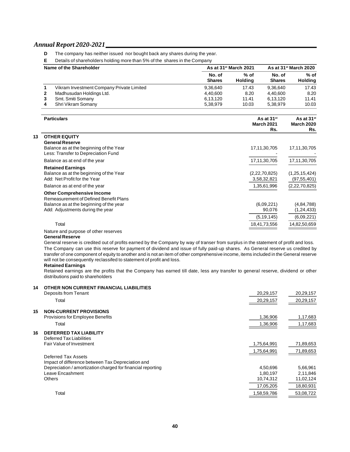- **D** The company has neither issued nor bought back any shares during the year.
- **E** Details of shareholders holding more than 5% of the shares in the Company

| Name of the Shareholder |                                           | As at 31 <sup>st</sup> March 2021 | As at 31 <sup>st</sup> March 2020 |                         |                          |
|-------------------------|-------------------------------------------|-----------------------------------|-----------------------------------|-------------------------|--------------------------|
|                         |                                           | No. of<br><b>Shares</b>           | $%$ of<br>Holdina                 | No. of<br><b>Shares</b> | $%$ of<br><b>Holding</b> |
|                         | Vikram Investment Company Private Limited | 9,36,640                          | 17.43                             | 9.36.640                | 17.43                    |
|                         | Madhusudan Holdings Ltd.                  | 4.40.600                          | 8.20                              | 4.40.600                | 8.20                     |
|                         | Smt. Smiti Somany                         | 6,13,120                          | 11.41                             | 6,13,120                | 11.41                    |
|                         | Shri Vikram Somany                        | 5.38.979                          | 10.03                             | 5.38.979                | 10.03                    |

|    | <b>Particulars</b>                                                                                       | As at $31$ <sup>st</sup><br><b>March 2021</b><br>Rs. | As at 31 <sup>st</sup><br><b>March 2020</b><br>Rs. |
|----|----------------------------------------------------------------------------------------------------------|------------------------------------------------------|----------------------------------------------------|
| 13 | <b>OTHER EQUITY</b>                                                                                      |                                                      |                                                    |
|    | <b>General Reserve</b><br>Balance as at the beginning of the Year<br>Less: Transfer to Depreciation Fund | 17,11,30,705                                         | 17,11,30,705                                       |
|    | Balance as at end of the year                                                                            | 17,11,30,705                                         | 17,11,30,705                                       |
|    | <b>Retained Earnings</b><br>Balance as at the beginning of the Year<br>Add: Net Profit for the Year      | (2,22,70,825)<br>3,58,32,821                         | (1, 25, 15, 424)<br>(97, 55, 401)                  |
|    | Balance as at end of the year                                                                            | 1,35,61,996                                          | (2,22,70,825)                                      |
|    | <b>Other Comprehensive Income</b><br>Remeasurement of Defined Benefit Plans                              |                                                      |                                                    |
|    | Balance as at the beginning of the year<br>Add: Adjustments during the year                              | (6,09,221)<br>90,076                                 | (4, 84, 788)<br>(1, 24, 433)                       |
|    |                                                                                                          | (5, 19, 145)                                         | (6,09,221)                                         |
|    | Total                                                                                                    | 18,41,73,556                                         | 14,82,50,659                                       |
|    | Nature and purpose of other reserves                                                                     |                                                      |                                                    |

#### **General Reserve**

General reserve is credited out of profits earned by the Company by way of transer from surplus in the statement of profit and loss. The Company can use this reserve for payment of dividend and issue of fully paid-up shares. As General reserve us credited by transfer of one component of equity to another and is not an item of other comprehensive income, items included in the General reserve will not be consequently reclassifed to statement of profit and loss.

#### **Retained Earnings**

Retained earnings are the profits that the Company has earned till date, less any transfer to general reserve, dividend or other distributions paid to shareholders

| 14 | OTHER NON CURRENT FINANCIAL LIABILITIES<br>Deposits from Tenant          | 20,29,157   | 20,29,157 |
|----|--------------------------------------------------------------------------|-------------|-----------|
|    | Total                                                                    | 20,29,157   | 20,29,157 |
| 15 | <b>NON-CURRENT PROVISIONS</b>                                            |             |           |
|    | Provisions for Employee Benefits                                         | 1,36,906    | 1,17,683  |
|    | Total                                                                    | 1,36,906    | 1,17,683  |
| 16 | <b>DEFERRED TAX LIABILITY</b><br>Deferred Tax Liabilities                |             |           |
|    | Fair Value of Investment                                                 | 1,75,64,991 | 71,89,653 |
|    |                                                                          | 1,75,64,991 | 71,89,653 |
|    | Deferred Tax Assets<br>Impact of difference between Tax Depreciation and |             |           |
|    | Depreciation / amortization charged for financial reporting              | 4,50,696    | 5,66,961  |
|    | Leave Encashment                                                         | 1,80,197    | 2,11,846  |
|    | <b>Others</b>                                                            | 10,74,312   | 11,02,124 |
|    |                                                                          | 17.05.205   | 18,80,931 |
|    | Total                                                                    | 1,58,59,786 | 53,08,722 |
|    |                                                                          |             |           |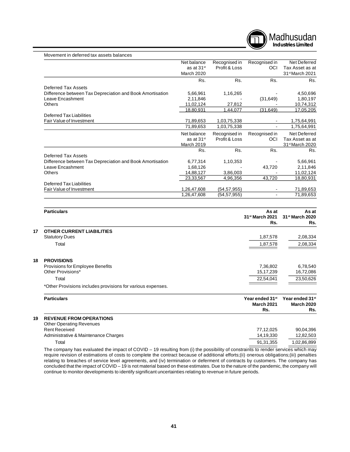

| Movement in deferred tax assets balances                  |                        |               |                |                             |
|-----------------------------------------------------------|------------------------|---------------|----------------|-----------------------------|
|                                                           | Net balance            | Recognised in | Recognised in  | Net Deferred                |
|                                                           | as at 31 <sup>st</sup> | Profit & Loss | <b>OCI</b>     | Tax Asset as at             |
|                                                           | March 2020             |               |                | 31 <sup>st</sup> March 2021 |
|                                                           | Rs.                    | Rs.           | Rs.            | Rs.                         |
| <b>Deferred Tax Assets</b>                                |                        |               |                |                             |
| Difference between Tax Depreciation and Book Amortisation | 5,66,961               | 1,16,265      |                | 4,50,696                    |
| Leave Encashment                                          | 2,11,846               |               | (31, 649)      | 1,80,197                    |
| <b>Others</b>                                             | 11,02,124              | 27,812        |                | 10,74,312                   |
|                                                           | 18,80,931              | 1,44,077      | (31, 649)      | 17,05,205                   |
| <b>Deferred Tax Liabilities</b>                           |                        |               |                |                             |
| Fair Value of Investment                                  | 71,89,653              | 1,03,75,338   |                | 1,75,64,991                 |
|                                                           | 71,89,653              | 1,03,75,338   |                | 1,75,64,991                 |
|                                                           | Net balance            | Recognised in | Recognised in  | Net Deferred                |
|                                                           | as at 31 <sup>st</sup> | Profit & Loss | <b>OCI</b>     | Tax Asset as at             |
|                                                           | <b>March 2019</b>      |               |                | 31 <sup>st</sup> March 2020 |
|                                                           | Rs.                    | Rs.           | Rs.            | Rs.                         |
| Deferred Tax Assets                                       |                        |               |                |                             |
| Difference between Tax Depreciation and Book Amortisation | 6,77,314               | 1,10,353      |                | 5,66,961                    |
| Leave Encashment                                          | 1,68,126               |               | 43,720         | 2,11,846                    |
| <b>Others</b>                                             | 14,88,127              | 3,86,003      |                | 11,02,124                   |
|                                                           | 23,33,567              | 4,96,356      | 43,720         | 18,80,931                   |
| <b>Deferred Tax Liabilities</b>                           |                        |               |                |                             |
| Fair Value of Investment                                  | 1,26,47,608            | (54, 57, 955) |                | 71,89,653                   |
|                                                           | 1,26,47,608            | (54, 57, 955) | $\blacksquare$ | 71,89,653                   |

|                                                             | As at<br>31 <sup>st</sup> March 2021<br>Rs.                                                                     | As at<br>31 <sup>st</sup> March 2020<br>Rs. |
|-------------------------------------------------------------|-----------------------------------------------------------------------------------------------------------------|---------------------------------------------|
| <b>Statutory Dues</b>                                       | 1,87,578                                                                                                        | 2,08,334                                    |
| Total                                                       | 1,87,578                                                                                                        | 2,08,334                                    |
| Other Provisions*                                           | 7,36,802<br>15,17,239                                                                                           | 6,78,540<br>16,72,086                       |
| Total                                                       | 22,54,041                                                                                                       | 23,50,626                                   |
| *Other Provisions includes provisions for various expenses. |                                                                                                                 |                                             |
| <b>Particulars</b>                                          | Year ended 31st<br><b>March 2021</b><br>Rs.                                                                     | Year ended 31st<br><b>March 2020</b><br>Rs. |
|                                                             | <b>Particulars</b><br><b>OTHER CURRENT LIABILITIES</b><br><b>PROVISIONS</b><br>Provisions for Employee Benefits |                                             |

| <b>Other Operating Revenues</b>      |           |             |
|--------------------------------------|-----------|-------------|
| <b>Rent Received</b>                 | 77.12.025 | 90.04.396   |
| Administrative & Maintenance Charges | 14.19.330 | 12,82,503   |
| Total                                | 91.31.355 | 1,02,86,899 |
| .                                    |           | .           |

The company has evaluated the impact of COVID – 19 resulting from (i) the possibility of constraints to render services which may require revision of estimations of costs to complete the contract because of additional efforts;(ii) onerous obligations;(iii) penalties relating to breaches of service level agreements, and (iv) termination or deferment of contracts by customers. The company has concluded that the impact of COVID – 19 is not material based on these estimates. Due to the nature of the pandemic, the company will continue to monitor developments to identify significant uncertainties relating to revenue in future periods.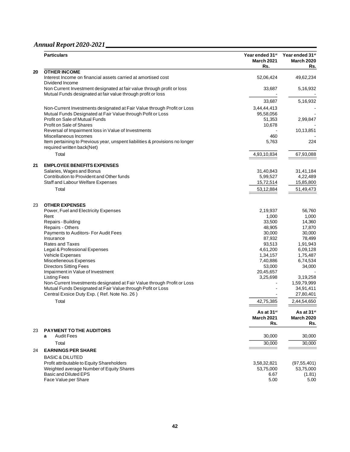|    | <b>Particulars</b>                                                                                         | Year ended 31st<br><b>March 2021</b><br>Rs. | Year ended 31 <sup>st</sup><br><b>March 2020</b><br>Rs. |
|----|------------------------------------------------------------------------------------------------------------|---------------------------------------------|---------------------------------------------------------|
| 20 | <b>OTHER INCOME</b>                                                                                        |                                             |                                                         |
|    | Interest Income on financial assets carried at amortised cost<br>Dividend Income                           | 52,06,424                                   | 49,62,234                                               |
|    | Non Current Investment designated at fair value through profit or loss                                     | 33,687                                      | 5,16,932                                                |
|    | Mutual Funds designated at fair value through profit or loss                                               |                                             |                                                         |
|    |                                                                                                            | 33,687                                      | 5,16,932                                                |
|    | Non-Current Investments designated at Fair Value through Profit or Loss                                    | 3,44,44,413                                 |                                                         |
|    | Mutual Funds Designated at Fair Value through Pofit or Loss                                                | 95,58,056                                   |                                                         |
|    | Profit on Sale of Mutual Funds                                                                             | 51,353                                      | 2,99,847                                                |
|    | Profit on Sale of Shares                                                                                   | 10,678                                      |                                                         |
|    | Reversal of Impairment loss in Value of Investments                                                        |                                             | 10,13,851                                               |
|    | Miscellaneous Incomes                                                                                      | 460<br>5,763                                | 224                                                     |
|    | Item pertaining to Previous year, unspent liabilities & provisions no longer<br>required written back(Net) |                                             |                                                         |
|    | Total                                                                                                      | 4,93,10,834                                 | 67,93,088                                               |
|    |                                                                                                            |                                             |                                                         |
| 21 | <b>EMPLOYEE BENEFITS EXPENSES</b>                                                                          |                                             |                                                         |
|    | Salaries, Wages and Bonus                                                                                  | 31,40,843                                   | 31,41,184                                               |
|    | Contribution to Provident and Other funds                                                                  | 5,99,527                                    | 4,22,489                                                |
|    | Staff and Labour Welfare Expenses                                                                          | 15,72,514                                   | 15,85,800                                               |
|    | Total                                                                                                      | 53,12,884                                   | 51,49,473                                               |
| 23 | <b>OTHER EXPENSES</b>                                                                                      |                                             |                                                         |
|    | Power, Fuel and Electricity Expenses                                                                       | 2,19,937                                    | 56,760                                                  |
|    | Rent                                                                                                       | 1,000                                       | 1,000                                                   |
|    | Repairs - Building                                                                                         | 33,500                                      | 14,360                                                  |
|    | Repairs - Others                                                                                           | 48,905                                      | 17,870                                                  |
|    | Payments to Auditors- For Audit Fees<br>Insurance                                                          | 30,000<br>87,932                            | 30,000<br>78,499                                        |
|    | <b>Rates and Taxes</b>                                                                                     | 93,513                                      | 1,91,943                                                |
|    | Legal & Professional Expenses                                                                              | 4,61,200                                    | 6,09,128                                                |
|    | Vehicle Expenses                                                                                           | 1,34,157                                    | 1,75,487                                                |
|    | Miscelleneous Expenses                                                                                     | 7,40,886                                    | 6,74,534                                                |
|    | <b>Directors Sitting Fees</b>                                                                              | 53,000                                      | 34,000                                                  |
|    | Impairment in Value of Investment                                                                          | 20,45,657                                   |                                                         |
|    | <b>Listing Fees</b><br>Non-Current Investments designated at Fair Value through Profit or Loss             | 3,25,698                                    | 3,19,258<br>1,59,79,999                                 |
|    | Mutual Funds Designated at Fair Value through Pofit or Loss                                                |                                             | 34,91,411                                               |
|    | Central Exsice Duty Exp. (Ref. Note No. 26)                                                                |                                             | 27,80,401                                               |
|    | Total                                                                                                      | 42,75,385                                   | 2,44,54,650                                             |
|    |                                                                                                            | As at 31 <sup>st</sup>                      | As at 31 <sup>st</sup>                                  |
|    |                                                                                                            | <b>March 2021</b>                           | <b>March 2020</b>                                       |
|    |                                                                                                            | Rs.                                         | Rs.                                                     |
| 23 | <b>PAYMENT TO THE AUDITORS</b><br><b>Audit Fees</b><br>a                                                   | 30,000                                      | 30,000                                                  |
|    |                                                                                                            |                                             |                                                         |
|    | Total                                                                                                      | 30,000                                      | 30,000                                                  |
| 24 | <b>EARNINGS PER SHARE</b>                                                                                  |                                             |                                                         |
|    | <b>BASIC &amp; DILUTED</b>                                                                                 |                                             |                                                         |
|    | Profit attributable to Equity Shareholders<br>Weighted average Number of Equity Shares                     | 3,58,32,821<br>53,75,000                    | (97, 55, 401)<br>53,75,000                              |
|    | <b>Basic and Diluted EPS</b>                                                                               | 6.67                                        | (1.81)                                                  |
|    | Face Value per Share                                                                                       | 5.00                                        | 5.00                                                    |
|    |                                                                                                            |                                             |                                                         |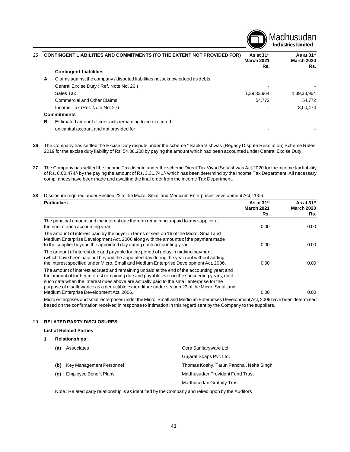

| 25 |   | <b>CONTINGENT LIABILITIES AND COMMITMENTS (TO THE EXTENT NOT PROVIDED FOR)</b> | As at 31 <sup>st</sup><br><b>March 2021</b><br>Rs. | As at 31 <sup>st</sup><br><b>March 2020</b><br>Rs. |
|----|---|--------------------------------------------------------------------------------|----------------------------------------------------|----------------------------------------------------|
|    |   | <b>Contingent Liabilities</b>                                                  |                                                    |                                                    |
|    | A | Claims against the company / disputed liabilities not acknowledged as debts    |                                                    |                                                    |
|    |   | Central Excise Duty (Ref. Note No. 26)                                         |                                                    |                                                    |
|    |   | Sales Tax                                                                      | 1,39,33,964                                        | 1,39,33,964                                        |
|    |   | Commercial and Other Claims                                                    | 54,772                                             | 54.772                                             |
|    |   | Income Tax (Ref. Note No. 27)                                                  |                                                    | 8,00,474                                           |
|    |   | <b>Commitments</b>                                                             |                                                    |                                                    |
|    | в | Estimated amount of contracts remaining to be executed                         |                                                    |                                                    |
|    |   | on capital account and not provided for                                        |                                                    |                                                    |

- **26** The Company has settled the Excise Duty dispute under the scheme " Sabka Vishwas (Regacy Dispute Resolution) Scheme Rules, 2019 for the excise duty liability of Rs. 54,38,208 by paying the amount which had been accounted under Central Excise Duty.
- **27** The Company has settled the Income Tax dispute under the scheme Direct Tax Vivad Se Vishwas Act,2020 for the income tax liability of Rs. 8,00,474/- by the paying the amount of Rs. 3,31,741/- which has been determind by the Income Tax Department. All necessary compliances have been made and awaiting the final order from the Income Tax Department.

#### **28** Disclosure required under Section 22 of the Micro, Small and Medicum Enterprises Development Act, 2006

| <b>Particulars</b>                                                                                                                                                                                                                                                                                                                                                                                                                 | As at 31 <sup>st</sup><br><b>March 2021</b><br>Rs. | As at $31$ <sup>st</sup><br><b>March 2020</b><br>Rs. |
|------------------------------------------------------------------------------------------------------------------------------------------------------------------------------------------------------------------------------------------------------------------------------------------------------------------------------------------------------------------------------------------------------------------------------------|----------------------------------------------------|------------------------------------------------------|
| The principal amount and the interest due thereon remaining unpaid to any supplier at<br>the end of each accounting year                                                                                                                                                                                                                                                                                                           | 0.00                                               | 0.00                                                 |
| The amount of interest paid by the buyer in terms of section 16 of the Micro, Small and<br>Medium Enterprise Development Act, 2006 along with the amounts of the payment made<br>to the supplier beyond the appointed day during each accounting year                                                                                                                                                                              | 0.00                                               | 0.00                                                 |
| The amount of interest due and payable for the period of delay in making payment<br>(which have been paid but beyond the appointed day during the year) but without adding<br>the interest specified under Micro, Small and Medium Enterprise Development Act, 2006.                                                                                                                                                               | 0.00                                               | 0.00                                                 |
| The amount of interest accrued and remaining unpaid at the end of the accounting year; and<br>the amount of further interest remaining due and payable even in the succeeding years, until<br>such date when the interest dues above are actually paid to the small enterprise for the<br>purpose of disallowance as a deductible expenditure under section 23 of the Micro, Small and<br>Medium Enterprise Development Act, 2006. | 0.00                                               | 0.00                                                 |
| Micro enterprises and small enterprises under the Micro. Small and Medicum Enterprises Development Act. 2006 have been determined                                                                                                                                                                                                                                                                                                  |                                                    |                                                      |

Micro enterprises and small enterprises under the Micro, Small and Medicum Enterprises Development Act, 2006 have been determined based on the confirmation received in response to intimation in this regard sent by the Company to the suppliers.

#### 29 **RELATED PARTY DISCLOSURES**

#### **List of Related Parties**

| 1 |     | <b>Relationships:</b>    |                                         |
|---|-----|--------------------------|-----------------------------------------|
|   | (a) | Associates               | Cera Sanitaryware Ltd.                  |
|   |     |                          | Gujarat Soaps Pvt. Ltd.                 |
|   | (b) | Key Management Personnel | Thomas Koshy, Tarun Panchal, Neha Singh |
|   | (c) | Employee Benefit Plans   | Madhusudan Provident Fund Trust         |
|   |     |                          | <b>Madhusudan Gratuity Trust</b>        |

Note : Related party relationship is as identified by the Company and relied upon by the Auditors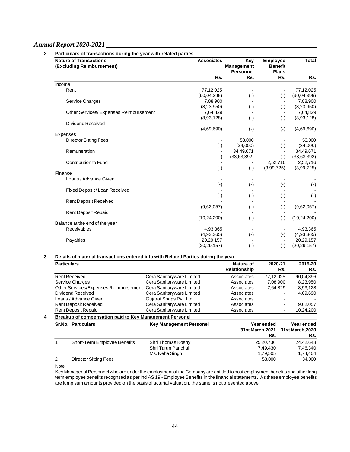| <b>Nature of Transactions</b><br>(Excluding Reimbursement) | <b>Associates</b>        | Key<br><b>Management</b><br><b>Personnel</b> | <b>Employee</b><br><b>Benefit</b><br><b>Plans</b> | Total         |
|------------------------------------------------------------|--------------------------|----------------------------------------------|---------------------------------------------------|---------------|
|                                                            | Rs.                      | Rs.                                          | Rs.                                               | Rs.           |
| Income                                                     |                          |                                              |                                                   |               |
| Rent                                                       | 77,12,025                |                                              |                                                   | 77,12,025     |
|                                                            | (90,04,396)              | $(\cdot)$                                    | $(\cdot)$                                         | (90,04,396)   |
| Service Charges                                            | 7,08,900                 |                                              |                                                   | 7,08,900      |
|                                                            | (8, 23, 950)             | $(\cdot)$                                    | $(\cdot)$                                         | (8,23,950)    |
| Other Services/ Expenses Reimbursement                     | 7,64,829                 |                                              |                                                   | 7,64,829      |
|                                                            | (8,93,128)               | $(\cdot)$                                    | $(\cdot)$                                         | (8,93,128)    |
| <b>Dividend Received</b>                                   |                          |                                              |                                                   |               |
|                                                            | (4,69,690)               | $(\cdot)$                                    | $(-)$                                             | (4,69,690)    |
| Expenses                                                   |                          |                                              |                                                   |               |
| <b>Director Sitting Fees</b>                               |                          | 53,000                                       |                                                   | 53,000        |
|                                                            | $(\cdot)$                | (34,000)                                     | $(\cdot)$                                         | (34,000)      |
| Remuneration                                               | $\sim$                   | 34,49,671                                    |                                                   | 34,49,671     |
|                                                            | $(\cdot)$                | (33,63,392)                                  | $(\cdot)$                                         | (33,63,392)   |
| <b>Contribution to Fund</b>                                |                          |                                              | 2,52,716                                          | 2,52,716      |
|                                                            | $(\cdot)$                | $(\cdot)$                                    | (3,99,725)                                        | (3,99,725)    |
| Finance                                                    |                          |                                              |                                                   |               |
| Loans / Advance Given                                      | $\overline{\phantom{a}}$ | $\blacksquare$                               |                                                   |               |
|                                                            | $(\cdot)$                | $(\cdot)$                                    | $(\cdot)$                                         | $(\cdot)$     |
| Fixed Deposit / Loan Received                              |                          |                                              |                                                   |               |
|                                                            | $(\cdot)$                | $(\cdot)$                                    | $(\cdot)$                                         | $(\cdot)$     |
| <b>Rent Deposit Received</b>                               |                          |                                              |                                                   |               |
|                                                            | (9,62,057)               | $(\cdot)$                                    | $(\cdot)$                                         | (9,62,057)    |
| <b>Rent Deposit Repaid</b>                                 |                          |                                              |                                                   |               |
|                                                            | (10, 24, 200)            | $(\cdot)$                                    | $(\cdot)$                                         | (10, 24, 200) |
| Balance at the end of the year                             |                          |                                              |                                                   |               |
| Receivables                                                | 4,93,365                 |                                              |                                                   | 4,93,365      |
|                                                            | (4, 93, 365)             | $(\cdot)$                                    | $(-)$                                             | (4,93,365)    |
| Payables                                                   | 20,29,157                |                                              |                                                   | 20,29,157     |
|                                                            | (20, 29, 157)            | $(\cdot)$                                    | $(\cdot)$                                         | (20, 29, 157) |

# **3 Details of material transactions entered into with Related Parties duirng the year**

| <b>Particulars</b> |                                                                 |                                | Nature of<br>Relationship | 2020-21           | Rs. | 2019-20<br>Rs.                        |
|--------------------|-----------------------------------------------------------------|--------------------------------|---------------------------|-------------------|-----|---------------------------------------|
|                    | <b>Rent Received</b>                                            | Cera Sanitaryware Limited      | Associates                | 77,12,025         |     | 90,04,396                             |
|                    | <b>Service Charges</b>                                          | Cera Sanitaryware Limited      | Associates                | 7,08,900          |     | 8,23,950                              |
|                    | Other Services/Expenses Reimbursement Cera Sanitaryware Limited |                                | Associates                | 7,64,829          |     | 8,93,128                              |
|                    | Dividend Received                                               | Cera Sanitaryware Limited      | Associates                |                   |     | 4,69,690                              |
|                    | Loans / Advance Given                                           | Gujarat Soaps Pvt. Ltd.        | Associates                |                   |     |                                       |
|                    | <b>Rent Deposit Received</b>                                    | Cera Sanitaryware Limited      | Associates                |                   |     | 9,62,057                              |
|                    | <b>Rent Deposit Repaid</b>                                      | Cera Sanitaryware Limited      | Associates                |                   |     | 10,24,200                             |
|                    | Breakup of compensation paid to Key Management Personel         |                                |                           |                   |     |                                       |
|                    | Sr.No. Particulars                                              | <b>Key Management Personel</b> | 31st March, 2021          | Year ended<br>Rs. |     | Year ended<br>31st March, 2020<br>Rs. |
|                    | Short-Term Employee Benefits                                    | Shri Thomas Koshy              |                           | 25,20,736         |     | 24,42,648                             |
|                    |                                                                 | Shri Tarun Panchal             |                           | 7,49,430          |     | 7,46,340                              |
|                    |                                                                 | Ms. Neha Singh                 |                           | 1,79,505          |     | 1,74,404                              |
| 2                  | <b>Director Sitting Fees</b>                                    |                                |                           | 53,000            |     | 34,000                                |

Note

Key Managerial Personnel who are under the employment of the Company are entitled to post employment benefits and other long term employee benefits recognsed as per Ind AS 19 - Èmployee Benefits'in the financial statements. As these employee benefits are lump sum amounts provided on the basis of acturial valuation, the same is not presented above.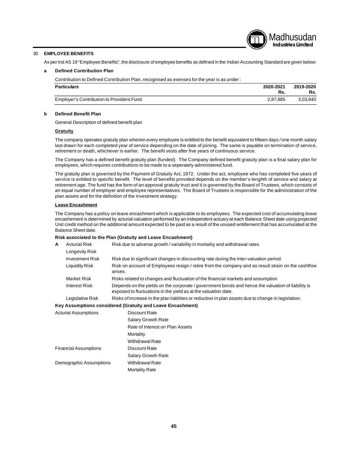# Madhusudan **Industries Limited**

# 30 **EMPLOYEE BENEFITS**

As per Ind AS 19 "Employee Benefits", the disclosure of employee benefits as defined in the Indian Accounting Standard are given below:

#### **a Defined Contribution Plan**

Contribution to Defined Contribution Plan, recognised as exenses for the year is as under :

| <b>Particulars</b>                        | 2020-2021<br>Rs. | 2019-2020<br>Rs. |
|-------------------------------------------|------------------|------------------|
| Employer's Contribution to Provident Fund | 2.87.885         | 3.03.840         |

#### **b Defined Benefit Plan**

General Description of defined benefit plan

#### **Gratuity**

The company operates gratuity plan wherein every employee is entitled to the benefit equivalent to fifteen days / one month salary last drawn for each completed year of service depending on the date of joining. The same is payable on termination of service, retirement or death, whichever is earlier. The benefit vests after five years of continuous service.

The Company has a defined benefit gratuity plan (funded). The Company defined benefit gratuity plan is a final salary plan for employees, which requires contributions to be made to a seperately administered fund.

The gratuity plan is governed by the Payment of Gratuity Act, 1972. Under the act, employee who has completed five years of service is entitled to specific benefit. The level of benefits provided depends on the member's lenghth of service and salary at retirement age. The fund has the form of an approval gratuity trust and it is governed by the Board of Trustees, which consists of an equal number of employer and employee representatives. The Board of Trustees is responsible for the administration of the plan assets and for the definition of the investment strategy.

#### **Leave Encashment**

The Company has a policy on leave encashment which is applicable to its employees. The expected cost of accumulating leave encashement is determined by acturial valuation performed by an independent actuary at each Balance Sheet date using projected Unit credit method on the additional amount expected to be paid as a result of the unused entitlement that has accumulated at the Balance Sheet date.

# **Risk associated to the Plan (Gratuity and Leave Encashment)**

Demographic Assumptions Withdrawal Rate

| A | <b>Acturial Risk</b>                                                                                                                                                                 | Risk due to adverse growth / variability in mortality and withdrawal rates                                    |  |  |
|---|--------------------------------------------------------------------------------------------------------------------------------------------------------------------------------------|---------------------------------------------------------------------------------------------------------------|--|--|
|   | Longevity Risk                                                                                                                                                                       |                                                                                                               |  |  |
|   | <b>Investment Risk</b>                                                                                                                                                               | Risk due to significant changes in discounting rate during the inter-valuation period.                        |  |  |
|   | Liquidity Risk                                                                                                                                                                       | Risk on account of Employees resign / retire from the company and as result strain on the cashflow<br>arises. |  |  |
|   | Market Risk                                                                                                                                                                          | Risks related to changes and fluctuation of the financial markets and assumption                              |  |  |
|   | Depends on the yields on the corporate / government bonds and hence the valuation of liability is<br>Interest Risk<br>exposed to fluctuations in the yield as at the valuation date. |                                                                                                               |  |  |
|   | Risks of increase in the plan liablities or reduction in plan assets due to change in legislation.<br>Legislative Risk                                                               |                                                                                                               |  |  |
|   |                                                                                                                                                                                      | Key Assumptions considered (Gratuity and Leave Encashment)                                                    |  |  |
|   | <b>Acturial Assumptions</b>                                                                                                                                                          | Discount Rate                                                                                                 |  |  |
|   |                                                                                                                                                                                      | <b>Salary Growth Rate</b>                                                                                     |  |  |
|   |                                                                                                                                                                                      | Rate of Interest on Plan Assets                                                                               |  |  |
|   |                                                                                                                                                                                      | Mortality                                                                                                     |  |  |
|   |                                                                                                                                                                                      | <b>Withdrawal Rate</b>                                                                                        |  |  |
|   | <b>Financial Assumptions</b>                                                                                                                                                         | Discount Rate                                                                                                 |  |  |

Salary Growth Rate

Mortality Rate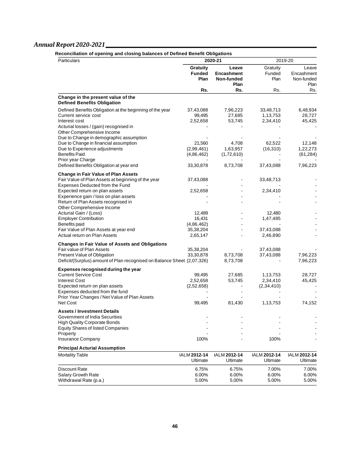| Particulars                                                                                                                         |                                          | 2020-21                                          |                                   | 2019-20                                   |  |  |
|-------------------------------------------------------------------------------------------------------------------------------------|------------------------------------------|--------------------------------------------------|-----------------------------------|-------------------------------------------|--|--|
|                                                                                                                                     | <b>Gratuity</b><br><b>Funded</b><br>Plan | Leave<br><b>Encashment</b><br>Non-funded<br>Plan | Gratuity<br>Funded<br>Plan        | Leave<br>Encashment<br>Non-funded<br>Plan |  |  |
|                                                                                                                                     | Rs.                                      | Rs.                                              | Rs.                               | Rs.                                       |  |  |
| Change in the present value of the<br><b>Defined Benefits Obligation</b>                                                            |                                          |                                                  |                                   |                                           |  |  |
| Defined Benefits Obligation at the beginning of the year<br>Current service cost<br>Interest cost                                   | 37,43,088<br>99,495<br>2,52,658          | 7,96,223<br>27,685<br>53,745                     | 33,48,713<br>1,13,753<br>2,34,410 | 6,48,934<br>28,727<br>45,425              |  |  |
| Acturial losses / (gain) recognised in<br>Other Comprehensive Income<br>Due to Change in demographic assumption                     |                                          |                                                  |                                   |                                           |  |  |
| Due to Change in financial assumption<br>Due to Experience adjustments<br><b>Benefits Paid</b>                                      | 21,560<br>(2,99,461)<br>(4,86,462)       | 4,708<br>1,63,957<br>(1,72,610)                  | 62,522<br>(16, 310)               | 12,148<br>1,22,273<br>(61, 284)           |  |  |
| Prior year Charge<br>Defined Benefits Obligation at year end                                                                        | 33,30,878                                | 8,73,708                                         | 37,43,088                         | 7,96,223                                  |  |  |
| <b>Change in Fair Value of Plan Assets</b>                                                                                          |                                          |                                                  |                                   |                                           |  |  |
| Fair Value of Plan Assets at beginning of the year<br>Expenses Deducted from the Fund                                               | 37,43,088                                |                                                  | 33,48,713                         |                                           |  |  |
| Expected return on plan assets<br>Experience gain / loss on plan assets                                                             | 2,52,658                                 |                                                  | 2,34,410                          |                                           |  |  |
| Return of Plan Assets recognised in<br>Other Comprehensive Income<br>Acturial Gain / (Loss)                                         | 12,489                                   |                                                  | 12,480                            |                                           |  |  |
| <b>Employer Contribution</b><br>Benefits paid                                                                                       | 16,431<br>(4,86,462)                     | $\blacksquare$                                   | 1,47,485                          |                                           |  |  |
| Fair Value of Plan Assets at year end<br>Actual return on Plan Assets                                                               | 35,38,204<br>2,65,147                    | $\blacksquare$                                   | 37,43,088<br>2,46,890             |                                           |  |  |
| <b>Changes in Fair Value of Assets and Obligations</b>                                                                              |                                          |                                                  |                                   |                                           |  |  |
| Fair value of Plan Assets<br>Present Value of Obligation<br>Deficit/(Surplus) amount of Plan recognised on Balance Sheet (2,07,326) | 35,38,204<br>33,30,878                   | 8,73,708<br>8,73,708                             | 37,43,088<br>37,43,088            | 7,96,223<br>7,96,223                      |  |  |
| Expenses recognised during the year                                                                                                 |                                          |                                                  |                                   |                                           |  |  |
| <b>Current Service Cost</b><br><b>Interest Cost</b>                                                                                 | 99,495<br>2,52,658                       | 27,685<br>53,745                                 | 1,13,753<br>2,34,410              | 28,727<br>45,425                          |  |  |
| Expected return on plan assets<br>Expenses deducted from the fund<br>Prior Year Changes / Net Value of Plan Assets                  | (2,52,658)                               |                                                  | (2,34,410)                        |                                           |  |  |
| Net Cost                                                                                                                            | 99,495                                   | 81,430                                           | 1,13,753                          | 74,152                                    |  |  |
| <b>Assets / Investment Details</b><br>Government of India Securities                                                                |                                          |                                                  |                                   |                                           |  |  |
| <b>High Quality Corporate Bonds</b><br><b>Equity Shares of listed Companies</b>                                                     |                                          |                                                  |                                   |                                           |  |  |
| Property<br>Insurance Company                                                                                                       | 100%                                     |                                                  | 100%                              |                                           |  |  |
| <b>Principal Acturial Assumption</b>                                                                                                |                                          |                                                  |                                   |                                           |  |  |
| <b>Mortality Table</b>                                                                                                              | IALM 2012-14<br>Ultimate                 | IALM 2012-14<br>Ultimate                         | IALM 2012-14<br>Ultimate          | IALM 2012-14<br>Ultimate                  |  |  |
| Discount Rate<br><b>Salary Growth Rate</b><br>Withdrawal Rate (p.a.)                                                                | 6.75%<br>6.00%<br>5.00%                  | 6.75%<br>6.00%<br>5.00%                          | 7.00%<br>6.00%<br>5.00%           | 7.00%<br>6.00%<br>5.00%                   |  |  |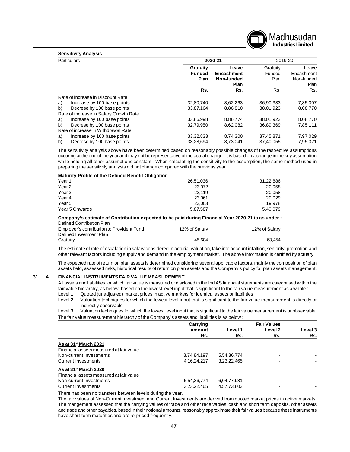

#### **Sensitivity Analysis**

|    | <b>Particulars</b>                     | 2020-21       |            | 2019-20   |            |
|----|----------------------------------------|---------------|------------|-----------|------------|
|    |                                        | Gratuity      | Leave      | Gratuity  | Leave      |
|    |                                        | <b>Funded</b> | Encashment | Funded    | Encashment |
|    |                                        | Plan          | Non-funded | Plan      | Non-funded |
|    |                                        |               | Plan       |           | Plan       |
|    |                                        | Rs.           | Rs.        | Rs.       | Rs.        |
|    | Rate of increase in Discount Rate      |               |            |           |            |
| a) | Increase by 100 base points            | 32,80,740     | 8,62,263   | 36,90,333 | 7,85,307   |
| b) | Decrese by 100 base points             | 33,87,164     | 8,86,810   | 38,01,923 | 8,08,770   |
|    | Rate of increase in Salary Growth Rate |               |            |           |            |
| a) | Increase by 100 base points            | 33,86,998     | 8,86,774   | 38,01,923 | 8,08,770   |
| b) | Decrese by 100 base points             | 32,79,950     | 8,62,082   | 36,89,369 | 7,85,111   |
|    | Rate of increase in Withdrawal Rate    |               |            |           |            |
| a) | Increase by 100 base points            | 33, 32, 833   | 8,74,300   | 37,45,871 | 7,97,029   |
| b) | Decrese by 100 base points             | 33.28.694     | 8.73.041   | 37.40.055 | 7.95.321   |

The sensitivity analysis above have been determined based on reasonably possible changes of the respective assumptions occuring at the end of the year and may not be representative of the actual change. It is based on a change in the key assumption while holding all other assumptions constant. When calculating the sensitivity to the assumption, the same method used in preparing the sensitivity analysis did not change compared with the previous year.

#### **Maturity Profile of the Defined Benefit Obligation**

| Year <sub>1</sub> | 26,51,036 | 31,22,886 |
|-------------------|-----------|-----------|
|                   |           |           |
| Year <sub>2</sub> | 23,072    | 20,058    |
| Year <sub>3</sub> | 23.119    | 20,058    |
| Year 4            | 23.061    | 20.029    |
| Year <sub>5</sub> | 23,003    | 19.978    |
| Year 5 Onwards    | 5,87,587  | 5,40,079  |

#### **Company's estimate of Contribution expected to be paid during Financial Year 2020-21 is as under :** Defined Contribution Plan

| <b>PUILIUG OUTERUATUL IUI</b>             |               |               |
|-------------------------------------------|---------------|---------------|
| Employer's contribution to Provident Fund | 12% of Salary | 12% of Salary |
| Defined Investment Plan                   |               |               |
| Gratuity                                  | 45.604        | 63.454        |

The estimate of rate of escalation in salary considered in acturial valuation, take into account infaltion, seniority, promotion and other relevant factors including supply and demand In the employment market. The above information is certified by actuary.

The expected rate of return on plan assets is determined considering several applicable factors, mainly the composition of plan assets held, assessed risks, historical results of return on plan assets and the Company's policy for plan assets management.

#### **31 A FINANCIAL INSTRUMENTS FAIR VALUE MEASUREMENT**

All assets and liabilities for which fair value is measured or disclosed in the Ind AS financial statements are categorised within the fair value hierarchy, as below, based on the lowest level input that is significant to the fair value measurement as a whole :

Level 1 Quoted (unadjusted) market prices in active markets for identical assets or liabilities

Level 2 Valuation techniques for which the lowest level input that is significant to the fair value measurement is directly or indirectly observable

Level 3 Valuation techniques for which the lowest level input that is significant to the fair value measurement is unobservable. The fair value measurement hierarchy of the Company's assets and liabilities is as below :

|                                         | Carrying       |             | <b>Fair Values</b> |         |
|-----------------------------------------|----------------|-------------|--------------------|---------|
|                                         | amount         | Level 1     | Level 2            | Level 3 |
|                                         | Rs.            | Rs.         | Rs.                | Rs.     |
| As at $31$ <sup>st</sup> March 2021     |                |             |                    |         |
| Financial assets measured at fair value |                |             |                    |         |
| Non-current Investments                 | 8,74,84,197    | 5,54,36,774 | -                  |         |
| <b>Current Investments</b>              | 4, 16, 24, 217 | 3,23,22,465 |                    |         |
| As at $31$ <sup>st</sup> March 2020     |                |             |                    |         |
| Financial assets measured at fair value |                |             |                    |         |
| Non-current Investments                 | 5,54,36,774    | 6,04,77,981 |                    |         |
| Current Investments                     | 3,23,22,465    | 4,57,73,803 |                    |         |

There has been no transfers between levels during the year.

The fair values of Non-Current Investment and Current Investments are derived from quoted market prices in active markets. The mangement assessed that the carrying values of trade and other receivables, cash and short term deposits, other assets and trade and other payables, based in their notional amounts, reasonably approximate their fair values because these instruments have short-term maturities and are re-priced frequently.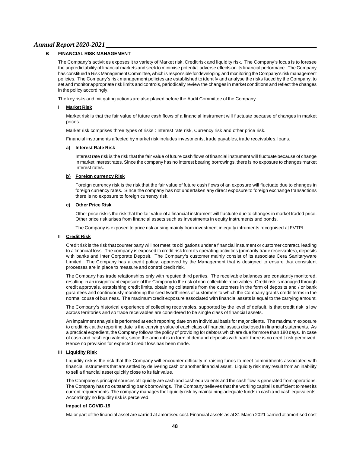# **FINANCIAL RISK MANAGEMENT**

The Company's activities exposes it to variety of Market risk, Credit risk and liquidity risk. The Company's focus is to foresee the unpredictability of financial markets and seek to minimise potential adverse effects on its financial performace. The Company has constitued a Risk Management Committee, which is responsible for developing and monitoring the Company's risk management policies. The Company's risk management policies are established to identify and analyse the risks faced by the Company, to set and monitor appropriate risk limits and controls, periodically review the changes in market conditions and reflect the changes in the policy accordingly.

The key risks and mitigating actions are also placed before the Audit Committee of the Company.

#### **I Market Risk**

Market risk is that the fair value of future cash flows of a financial instrument will fluctuate because of changes in market prices.

Market risk comprises three types of risks : Interest rate risk, Currency risk and other price risk.

Financial instruments affected by market risk includes investments, trade payables, trade receivables, loans.

#### **a) Interest Rate Risk**

Interest rate risk is the risk that the fair value of future cash flows of financial instrument will fluctuate because of change in market interest rates. Since the company has no interest bearing borrowings, there is no exposure to changes market interest rates.

#### **b) Foreign currency Risk**

Foreign currency risk is the risk that the fair value of future cash flows of an exposure will fluctuate due to changes in foreign currency rates. Since the company has not undertaken any direct exposure to foreign exchange transactions there is no exposure to foreign currency risk.

#### **c) Other Price Risk**

Other price risk is the risk that the fair value of a financial instrument will fluctuate due to changes in market traded price. Other price risk arises from financial assets such as investments in equity instruments and bonds.

The Company is exposed to price risk arising mainly from investment in equity intruments recognised at FVTPL.

#### **II Credit Risk**

Credit risk is the risk that counter party will not meet its obligations under a financial instument or customer contract, leading to a financial loss. The company is exposed to credit risk from its operating activities (primarily trade receivables), deposits with banks and Inter Corporate Deposit. The Company's customer mainly consist of its associate Cera Sanitaryware Limited. The Company has a credit policy, approved by the Management that is designed to ensure that consistent processes are in place to measure and control credit risk.

The Company has trade relationships only with reputed third parties. The receivable balances are constantly monitored, resulting in an insignificant exposure of the Company to the risk of non-collectible receivables. Credit risk is managed through credit approvals, estabishing credit limits, obtaining collaterals from the customers in the form of deposits and / or bank gurantees and continuously monitoring the creditworthiness of customers to which the Company grants credit terms in the normal couse of business. The maximum credit exposure associated with financial assets is equal to the carrying amount.

The Company's historical experience of collecting receivables, supported by the level of default, is that credit risk is low across territories and so trade receivables are considered to be single class of financial assets.

An impairment analysis is performed at each reporting date on an individual basis for major clients. The maximum exposure to credit risk at the reporting date is the carrying value of each class of financial assets disclosed in financial statements. As a practical expedient, the Company follows the policy of providing for debtors which are due for more than 180 days. In case of cash and cash equivalents, since the amount is in form of demand deposits with bank there is no credit risk perceived. Hence no provision for expected credit loss has been made.

#### **III Liquidity Risk**

Liquidity risk is the risk that the Company will encounter difficulty in raising funds to meet commitments associated with financial instruments that are settled by delivering cash or another financial asset. Liquidity risk may result from an inability to sell a financial asset quickly close to its fair value.

The Company's principal sources of liquidity are cash and cash equivalents and the cash flow is generated from operations. The Company has no outstanding bank borrowings. The Company believes that the working capital is sufficient to meet its current requirements. The company manages the liquidity risk by maintaining adequate funds in cash and cash equivalents. Accordingly no liquidity risk is perceived.

#### **Impact of COVID-19**

Major part of the financial asset are carried at amortised cost. Financial assets as at 31 March 2021 carried at amortised cost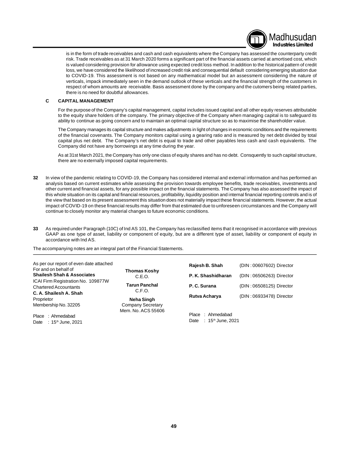

is in the form of trade receivables and cash and cash equivalents where the Company has assessed the counterparty credit risk. Trade receivables as at 31 March 2020 forms a significant part of the financial assets carried at amortised cost, which is valued considering provision for allowance using expected credit loss method. In addition to the historical pattern of credit loss, we have considered the likelihood of increased credit risk and consequential default considering emerging situation due to COVID-19. This assessment is not based on any mathematical model but an assessment considering the nature of verticals, impack immediately seen in the demand outlook of these verticals and the financial strength of the customers in respect of whom amounts are receivable. Basis assessment done by the company and the cutomers being related parties, there is no need for doubtful allowances.

#### **C CAPITAL MANAGEMENT**

For the purpose of the Company's capital management, capital includes issued capital and all other equtiy reserves attributable to the equity share holders of the company. The primary objective of the Company when managing capital is to safeguard its ability to continue as going concern and to maintain an optimal capital structure so as to maximise the shareholder value.

The Company manages its capital structure and makes adjustments in light of changes in economic conditions and the requirements of the financial covenants. The Company monitors capital using a gearing ratio and is measured by net debt divided by total capital plus net debt. The Company's net debt is equal to trade and other payables less cash and cash equivalents. The Company did not have any borrowings at any time during the year.

As at 31st March 2021, the Company has only one class of equity shares and has no debt. Consquently to such capital structure, there are no externally imposed capital requirements.

- **32** In view of the pandemic relating to COVID-19, the Company has considered internal and external information and has performed an analysis based on current estimates while assessing the provision towards employee benefits, trade receivables, investments and other current and financial assets, for any possible impact on the financial statements. The Company has also assessed the impact of this whole situation on its capital and financial resources, profitability, liquidity position and internal financial reporting controls and is of the view that based on its present assessment this situation does not materially impact these financial statements. However, the actual impact of COVID-19 on these financial results may differ from that estimated due to unforeseen circumstances and the Company will continue to closely monitor any material changes to future economic conditions.
- **33** As required under Paragraph (10C) of Ind AS 101, the Company has reclassified items that it recognised in accordance with previous GAAP as one type of asset, liability or component of equity, but are a different type of asset, liability or component of equity in accordance with Ind AS.

The accompanying notes are an integral part of the Financial Statements.

| As per our report of even date attached<br>For and on behalf of<br><b>Shailesh Shah &amp; Associates</b><br>ICAI Firm Registration No. 109877W<br><b>Chartered Accountants</b> | Thomas Koshy<br>C.E.O.<br><b>Tarun Panchal</b><br>C.F.O.<br>Neha Singh<br>Company Secretary<br>Mem. No. ACS 55606 | Rajesh B. Shah<br>P. K. Shashidharan<br>P. C. Surana | (DIN: 00607602) Director<br>(DIN: 06506263) Director<br>(DIN: 06508125) Director |
|--------------------------------------------------------------------------------------------------------------------------------------------------------------------------------|-------------------------------------------------------------------------------------------------------------------|------------------------------------------------------|----------------------------------------------------------------------------------|
| C. A. Shailesh A. Shah<br>Proprietor<br>Membership No. 32205                                                                                                                   |                                                                                                                   | Rutva Acharya                                        | (DIN: 06933478) Director                                                         |
| Place<br>: Ahmedabad<br>: 15 <sup>th</sup> June, 2021<br>Date                                                                                                                  |                                                                                                                   | : Ahmedabad<br>Place<br>$: 15th$ June, 2021<br>Date  |                                                                                  |